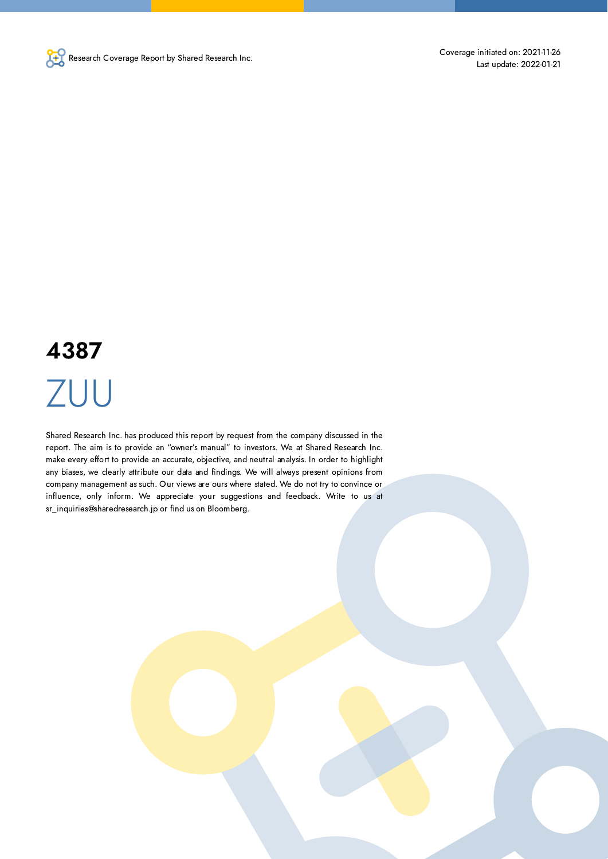

# 4387 ZUU

Shared Research Inc. has produced this report by request from the company discussed in the report. The aim is to provide an "owner's manual" to investors. We at Shared Research Inc. make every effort to provide an accurate, objective, and neutral analysis. In order to highlight any biases, we clearly attribute our data and findings. We will always present opinions from company management as such. Our views are ours where stated. We do not try to convince or influence, only inform. We appreciate your suggestions and feedback. Write to us at sr\_inquiries@sharedresearch.jp or find us on Bloomberg.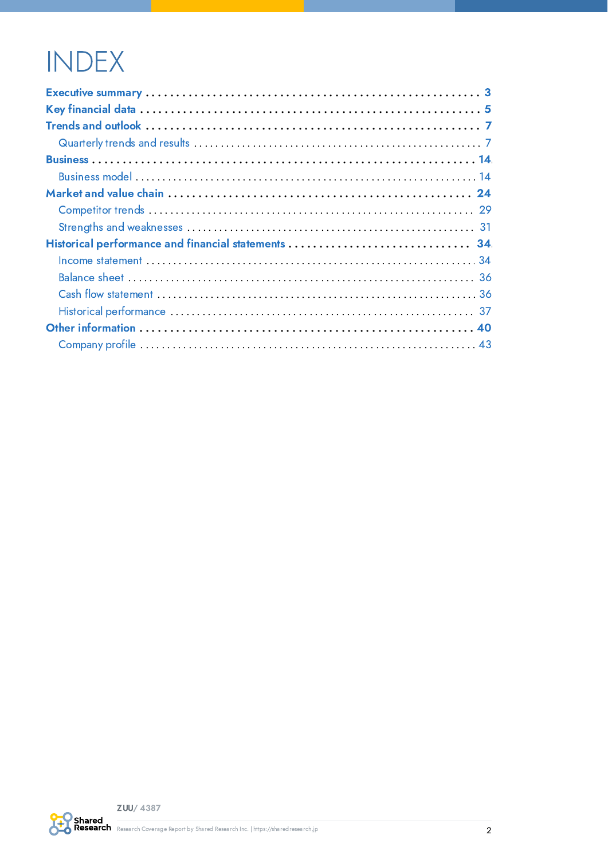# **INDEX**

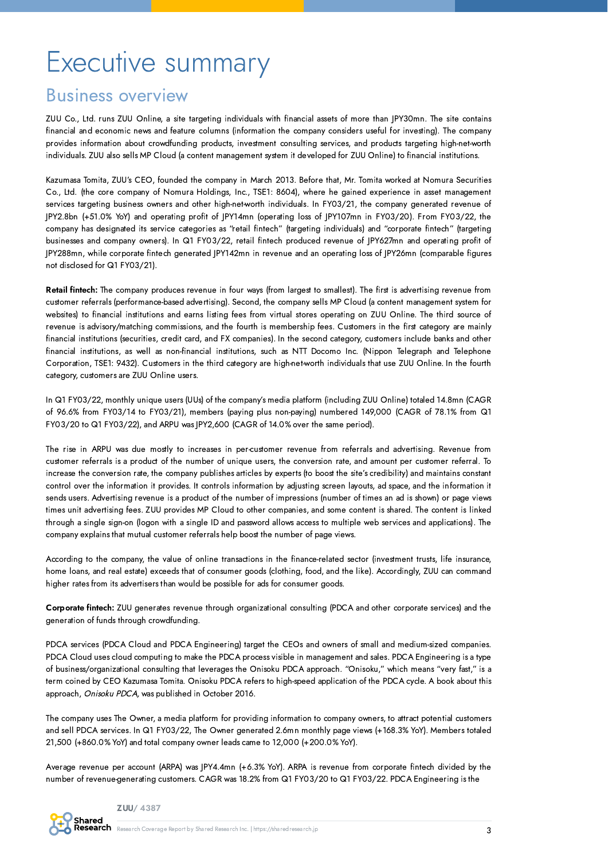# <span id="page-2-0"></span>Executive summary

## Business overview

ZUU Co., Ltd. runs ZUU Online, a site targeting individuals with financial assets of more than JPY30mn. The site contains financial and economic news and feature columns (information the company considers useful for investing). The company provides information about crowdfunding products, investment consulting services, and products targeting high-net-worth individuals. ZUU also sells MP Cloud (a content management system it developed for ZUU Online) to financial institutions.

Kazumasa Tomita, ZUU's CEO, founded the company in March 2013. Before that, Mr. Tomita worked at Nomura Securities Co., Ltd. (the core company of Nomura Holdings, Inc., TSE1: 8604), where he gained experience in asset management services targeting business owners and other high-net-worth individuals. In FY03/21, the company generated revenue of JPY2.8bn (+51.0% YoY) and operating profit of JPY14mn (operating loss of JPY107mn in FY03/20). From FY03/22, the company has designated its service categories as "retail fintech" (targeting individuals) and "corporate fintech" (targeting businesses and company owners). In Q1 FY03/22, retail fintech produced revenue of JPY627mn and operating profit of JPY288mn, while corporate fintech generated JPY142mn in revenue and an operating loss of JPY26mn (comparable figures not disclosed for Q1 FY03/21).

Retail fintech: The company produces revenue in four ways (from largest to smallest). The first is advertising revenue from customer referrals (performance-based advertising). Second, the company sells MP Cloud (a content management system for websites) to financial institutions and earns listing fees from virtual stores operating on ZUU Online. The third source of revenue is advisory/matching commissions, and the fourth is membership fees. Customers in the first category are mainly financial institutions (securities, credit card, and FX companies). In the second category, customers include banks and other financial institutions, as well as non-financial institutions, such as NTT Docomo Inc. (Nippon Telegraph and Telephone Corporation, TSE1: 9432). Customers in the third category are high-net-worth individuals that use ZUU Online. In the fourth category, customers are ZUU Online users.

In Q1 FY03/22, monthly unique users (UUs) of the company's media platform (including ZUU Online) totaled 14.8mn (CAGR of 96.6% from FY03/14 to FY03/21), members (paying plus non-paying) numbered 149,000 (CAGR of 78.1% from Q1 FY03/20 to Q1 FY03/22), and ARPU was JPY2,600 (CAGR of 14.0% over the same period).

The rise in ARPU was due mostly to increases in per-customer revenue from referrals and advertising. Revenue from customer referrals is a product of the number of unique users, the conversion rate, and amount per customer referral. To increase the conversion rate, the company publishes articles by experts (to boost the site's credibility) and maintains constant control over the information it provides. It controls information by adjusting screen layouts, ad space, and the information it sends users. Advertising revenue is a product of the number of impressions (number of times an ad is shown) or page views times unit advertising fees. ZUU provides MP Cloud to other companies, and some content is shared. The content is linked through a single sign-on (logon with a single ID and password allows access to multiple web services and applications). The company explains that mutual customer referrals help boost the number of page views.

According to the company, the value of online transactions in the finance-related sector (investment trusts, life insurance, home loans, and real estate) exceeds that of consumer goods (clothing, food, and the like). Accordingly, ZUU can command higher rates from its advertisers than would be possible for ads for consumer goods.

Corporate fintech: ZUU generates revenue through organizational consulting (PDCA and other corporate services) and the generation of funds through crowdfunding.

PDCA services (PDCA Cloud and PDCA Engineering) target the CEOs and owners of small and medium-sized companies. PDCA Cloud uses cloud computing to make the PDCA process visible in management and sales. PDCA Engineering is a type of business/organizational consulting that leverages the Onisoku PDCA approach. "Onisoku," which means "very fast," is a term coined by CEO Kazumasa Tomita. Onisoku PDCA refers to high-speed application of the PDCA cycle. A book about this approach, Onisoku PDCA, was published in October 2016.

The company uses The Owner, a media platform for providing information to company owners, to attract potential customers and sell PDCA services. In Q1 FY03/22, The Owner generated 2.6mn monthly page views (+168.3% YoY). Members totaled 21,500 (+860.0% YoY) and total company owner leads came to 12,000 (+200.0% YoY).

Average revenue per account (ARPA) was JPY4.4mn (+6.3% YoY). ARPA is revenue from corporate fintech divided by the number of revenue-generating customers. CAGR was 18.2% from Q1 FY03/20 to Q1 FY03/22. PDCA Engineering is the

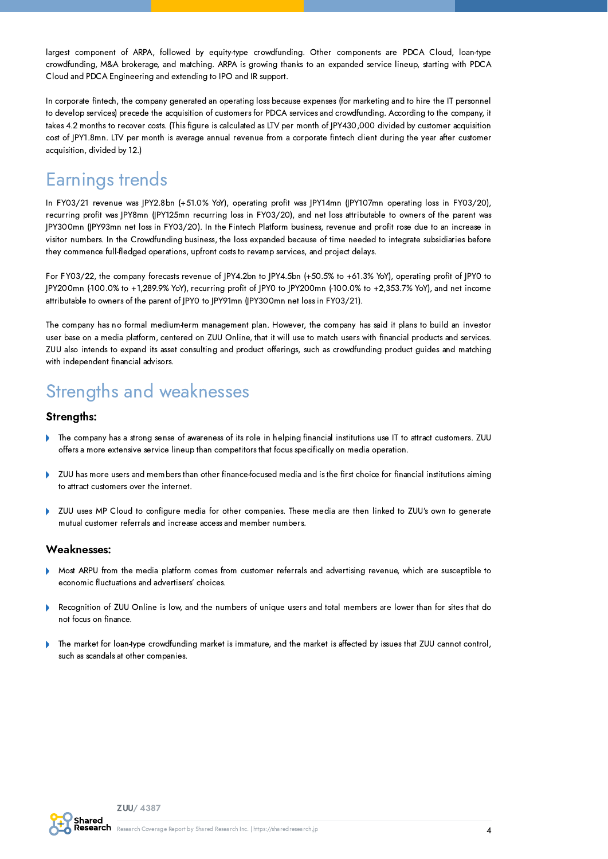largest component of ARPA, followed by equity-type crowdfunding. Other components are PDCA Cloud, loan-type crowdfunding, M&A brokerage, and matching. ARPA is growing thanks to an expanded service lineup, starting with PDCA Cloud and PDCA Engineering and extending to IPO and IR support.

In corporate fintech, the company generated an operating loss because expenses (for marketing and to hire the IT personnel to develop services) precede the acquisition of customers for PDCA services and crowdfunding. According to the company, it takes 4.2 months to recover costs. (This figure is calculated as LTV per month of JPY430,000 divided by customer acquisition cost of JPY1.8mn. LTV per month is average annual revenue from a corporate fintech client during the year after customer acquisition, divided by 12.)

## Earnings trends

In FY03/21 revenue was JPY2.8bn (+51.0% YoY), operating profit was JPY14mn (JPY107mn operating loss in FY03/20), recurring profit was JPY8mn (JPY125mn recurring loss in FY03/20), and net loss attributable to owners of the parent was JPY300mn (JPY93mn net loss in FY03/20). In the Fintech Platform business, revenue and profit rose due to an increase in visitor numbers. In the Crowdfunding business, the loss expanded because of time needed to integrate subsidiaries before they commence full-fledged operations, upfront costs to revamp services, and project delays.

For FY03/22, the company forecasts revenue of JPY4.2bn to JPY4.5bn (+50.5% to +61.3% YoY), operating profit of JPY0 to JPY200mn (-100.0% to +1,289.9% YoY), recurring profit of JPY0 to JPY200mn (-100.0% to +2,353.7% YoY), and net income attributable to owners of the parent of JPY0 to JPY91mn (JPY300mn net loss in FY03/21).

The company has no formal medium-term management plan. However, the company has said it plans to build an investor user base on a media platform, centered on ZUU Online, that it will use to match users with financial products and services. ZUU also intends to expand its asset consulting and product offerings, such as crowdfunding product guides and matching with independent financial advisors.

## Strengths and weaknesses

#### Strengths:

- The company has a strong sense of awareness of its role in helping financial institutions use IT to attract customers. ZUU offers a more extensive service lineup than competitors that focus specifically on media operation.
- Ď ZUU has more users and members than other finance-focused media and is the first choice for financial institutions aiming to attract customers over the internet.
- ZUU uses MP Cloud to configure media for other companies. These media are then linked to ZUU's own to generate  $\mathbf b$ mutual customer referrals and increase access and member numbers.

#### Weaknesses:

- Most ARPU from the media platform comes from customer referrals and advertising revenue, which are susceptible to economic fluctuations and advertisers' choices.
- Recognition of ZUU Online is low, and the numbers of unique users and total members are lower than for sites that do not focus on finance.
- b The market for loan-type crowdfunding market is immature, and the market is affected by issues that ZUU cannot control, such as scandals at other companies.

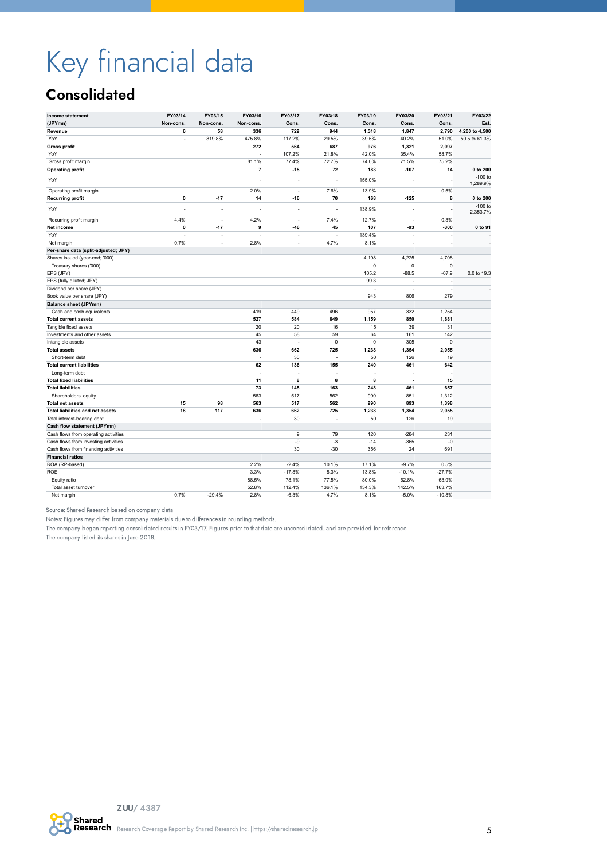# <span id="page-4-0"></span>Key financial data

## **Consolidated**

| Income statement                     | FY03/14      | FY03/15   | FY03/16              | FY03/17                  | FY03/18 | FY03/19 | FY03/20              | FY03/21     | FY03/22               |
|--------------------------------------|--------------|-----------|----------------------|--------------------------|---------|---------|----------------------|-------------|-----------------------|
| (JPYmn)                              | Non-cons.    | Non-cons. | Non-cons.            | Cons.                    | Cons.   | Cons.   | Cons.                | Cons.       | Est.                  |
| Revenue                              | 6            | 58        | 336                  | 729                      | 944     | 1,318   | 1,847                | 2,790       | 4,200 to 4,500        |
| YoY                                  | ä,           | 819.8%    | 475.8%               | 117.2%                   | 29.5%   | 39.5%   | 40.2%                | 51.0%       | 50.5 to 61.3%         |
| <b>Gross profit</b>                  |              |           | 272                  | 564                      | 687     | 976     | 1,321                | 2,097       |                       |
| YoY                                  |              |           | ÷,                   | 107.2%                   | 21.8%   | 42.0%   | 35.4%                | 58.7%       |                       |
| Gross profit margin                  |              |           | 81.1%                | 77.4%                    | 72.7%   | 74.0%   | 71.5%                | 75.2%       |                       |
| <b>Operating profit</b>              |              |           | $\overline{7}$       | $-15$                    | 72      | 183     | $-107$               | 14          | 0 to 200              |
| YoY                                  |              |           |                      |                          | ÷,      | 155.0%  |                      |             | $-100$ to<br>1,289.9% |
| Operating profit margin              |              |           | 2.0%                 | ä,                       | 7.6%    | 13.9%   | $\bar{a}$            | 0.5%        |                       |
| <b>Recurring profit</b>              | $\pmb{0}$    | $-17$     | 14                   | $-16$                    | 70      | 168     | $-125$               | 8           | 0 to 200              |
| YoY                                  | ł,           | ł,        |                      |                          |         | 138.9%  |                      |             | $-100$ to<br>2,353.7% |
| Recurring profit margin              | 4.4%         | $\sim$    | 4.2%                 | $\overline{\phantom{a}}$ | 7.4%    | 12.7%   | $\sim$               | 0.3%        |                       |
| Net income                           | $\mathbf{0}$ | $-17$     | 9                    | $-46$                    | 45      | 107     | -93                  | $-300$      | 0 to 91               |
| YoY                                  |              | J,        |                      | J,                       |         | 139.4%  | $\sim$               |             |                       |
| Net margin                           | 0.7%         | ä,        | 2.8%                 | ÷,                       | 4.7%    | 8.1%    | $\bar{a}$            | ÷,          | $\sim$                |
| Per-share data (split-adjusted; JPY) |              |           |                      |                          |         |         |                      |             |                       |
| Shares issued (year-end; '000)       |              |           |                      |                          |         | 4,198   | 4,225                | 4,708       |                       |
| Treasury shares ('000)               |              |           |                      |                          |         | 0       | $\mathbf 0$          | $\pmb{0}$   |                       |
| EPS (JPY)                            |              |           |                      |                          |         | 105.2   | $-88.5$              | $-67.9$     | 0.0 to 19.3           |
| EPS (fully diluted; JPY)             |              |           |                      |                          |         | 99.3    |                      |             |                       |
| Dividend per share (JPY)             |              |           |                      |                          |         | ä,      | $\sim$               | $\sim$      |                       |
| Book value per share (JPY)           |              |           |                      |                          |         | 943     | 806                  | 279         |                       |
| <b>Balance sheet (JPYmn)</b>         |              |           |                      |                          |         |         |                      |             |                       |
| Cash and cash equivalents            |              |           | 419                  | 449                      | 496     | 957     | 332                  | 1,254       |                       |
| <b>Total current assets</b>          |              |           | 527                  | 584                      | 649     | 1,159   | 850                  | 1,881       |                       |
| Tangible fixed assets                |              |           | 20                   | 20                       | 16      | 15      | 39                   | 31          |                       |
| Investments and other assets         |              |           | 45                   | 58                       | 59      | 64      | 161                  | 142         |                       |
| Intangible assets                    |              |           | 43                   | ä,                       | 0       | 0       | 305                  | $\mathbf 0$ |                       |
| <b>Total assets</b>                  |              |           | 636                  | 662                      | 725     | 1,238   | 1,354                | 2,055       |                       |
| Short-term debt                      |              |           | $\ddot{\phantom{1}}$ | 30                       | ÷,      | 50      | 126                  | 19          |                       |
| <b>Total current liabilities</b>     |              |           | 62                   | 136                      | 155     | 240     | 461                  | 642         |                       |
| Long-term debt                       |              |           | $\ddot{\phantom{1}}$ | J,                       | ÷,      | ä,      |                      | ä,          |                       |
| <b>Total fixed liabilities</b>       |              |           | 11                   | 8                        | 8       | 8       | $\ddot{\phantom{1}}$ | 15          |                       |
| <b>Total liabilities</b>             |              |           | 73                   | 145                      | 163     | 248     | 461                  | 657         |                       |
| Shareholders' equity                 |              |           | 563                  | 517                      | 562     | 990     | 851                  | 1,312       |                       |
| <b>Total net assets</b>              | 15           | 98        | 563                  | 517                      | 562     | 990     | 893                  | 1,398       |                       |
| Total liabilities and net assets     | 18           | 117       | 636                  | 662                      | 725     | 1,238   | 1,354                | 2,055       |                       |
| Total interest-bearing debt          |              |           |                      | 30                       | ÷,      | 50      | 126                  | 19          |                       |
| Cash flow statement (JPYmn)          |              |           |                      |                          |         |         |                      |             |                       |
| Cash flows from operating activities |              |           |                      | 9                        | 79      | 120     | $-284$               | 231         |                       |
| Cash flows from investing activities |              |           |                      | -9                       | $-3$    | $-14$   | $-365$               | $-0$        |                       |
| Cash flows from financing activities |              |           |                      | 30                       | $-30$   | 356     | 24                   | 691         |                       |
| <b>Financial ratios</b>              |              |           |                      |                          |         |         |                      |             |                       |
| ROA (RP-based)                       |              |           | 2.2%                 | $-2.4%$                  | 10.1%   | 17.1%   | $-9.7%$              | 0.5%        |                       |
| ROE                                  |              |           | 3.3%                 | $-17.8%$                 | 8.3%    | 13.8%   | $-10.1%$             | $-27.7%$    |                       |
| Equity ratio                         |              |           | 88.5%                | 78.1%                    | 77.5%   | 80.0%   | 62.8%                | 63.9%       |                       |
| Total asset turnover                 |              |           | 52.8%                | 112.4%                   | 136.1%  | 134.3%  | 142.5%               | 163.7%      |                       |
| Net margin                           | 0.7%         | $-29.4%$  | 2.8%                 | $-6.3%$                  | 4.7%    | 8.1%    | $-5.0%$              | $-10.8%$    |                       |

Source: Shared Research based on company data

Notes: Figures may differ from company materials due to differences in rounding methods.

The company began reporting consolidated results in FY03/17. Figures prior to that date are unconsolidated, and are provided for reference.

The company listed its shares in June 2018.

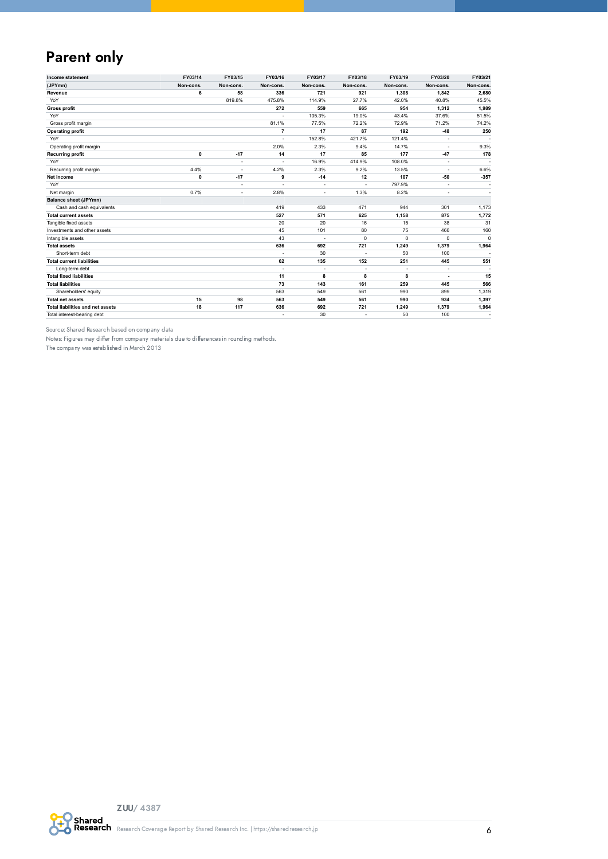## Parent only

| Income statement                 | FY03/14   | FY03/15        | FY03/16                  | FY03/17   | FY03/18                  | FY03/19     | FY03/20                  | FY03/21     |
|----------------------------------|-----------|----------------|--------------------------|-----------|--------------------------|-------------|--------------------------|-------------|
| (JPYmn)                          | Non-cons. | Non-cons.      | Non-cons.                | Non-cons. | Non-cons.                | Non-cons.   | Non-cons.                | Non-cons.   |
| Revenue                          | 6         | 58             | 336                      | 721       | 921                      | 1,308       | 1,842                    | 2,680       |
| YoY                              |           | 819.8%         | 475.8%                   | 114.9%    | 27.7%                    | 42.0%       | 40.8%                    | 45.5%       |
| <b>Gross profit</b>              |           |                | 272                      | 559       | 665                      | 954         | 1,312                    | 1,989       |
| YoY                              |           |                |                          | 105.3%    | 19.0%                    | 43.4%       | 37.6%                    | 51.5%       |
| Gross profit margin              |           |                | 81.1%                    | 77.5%     | 72.2%                    | 72.9%       | 71.2%                    | 74.2%       |
| <b>Operating profit</b>          |           |                | $\overline{7}$           | 17        | 87                       | 192         | $-48$                    | 250         |
| YoY                              |           |                |                          | 152.8%    | 421.7%                   | 121.4%      | $\overline{\phantom{a}}$ |             |
| Operating profit margin          |           |                | 2.0%                     | 2.3%      | 9.4%                     | 14.7%       | ٠                        | 9.3%        |
| <b>Recurring profit</b>          | 0         | $-17$          | 14                       | 17        | 85                       | 177         | $-47$                    | 178         |
| YoY                              |           |                |                          | 16.9%     | 414.9%                   | 108.0%      | ÷,                       |             |
| Recurring profit margin          | 4.4%      |                | 4.2%                     | 2.3%      | 9.2%                     | 13.5%       | ٠                        | 6.6%        |
| Net income                       | 0         | $-17$          | 9                        | $-14$     | 12                       | 107         | $-50$                    | $-357$      |
| YoY                              |           |                | $\overline{\phantom{a}}$ | $\sim$    | $\overline{\phantom{a}}$ | 797.9%      | $\overline{\phantom{a}}$ |             |
| Net margin                       | 0.7%      | $\overline{a}$ | 2.8%                     | ٠         | 1.3%                     | 8.2%        | ٠                        |             |
| <b>Balance sheet (JPYmn)</b>     |           |                |                          |           |                          |             |                          |             |
| Cash and cash equivalents        |           |                | 419                      | 433       | 471                      | 944         | 301                      | 1,173       |
| <b>Total current assets</b>      |           |                | 527                      | 571       | 625                      | 1,158       | 875                      | 1,772       |
| Tangible fixed assets            |           |                | 20                       | 20        | 16                       | 15          | 38                       | 31          |
| Investments and other assets     |           |                | 45                       | 101       | 80                       | 75          | 466                      | 160         |
| Intangible assets                |           |                | 43                       | ÷,        | $\mathbf 0$              | $\mathbf 0$ | 0                        | $\mathbf 0$ |
| <b>Total assets</b>              |           |                | 636                      | 692       | 721                      | 1,249       | 1,379                    | 1,964       |
| Short-term debt                  |           |                |                          | 30        | $\sim$                   | 50          | 100                      |             |
| <b>Total current liabilities</b> |           |                | 62                       | 135       | 152                      | 251         | 445                      | 551         |
| Long-term debt                   |           |                |                          | ÷,        |                          | ÷,          |                          |             |
| <b>Total fixed liabilities</b>   |           |                | 11                       | 8         | 8                        | 8           | $\overline{\phantom{a}}$ | 15          |
| <b>Total liabilities</b>         |           |                | 73                       | 143       | 161                      | 259         | 445                      | 566         |
| Shareholders' equity             |           |                | 563                      | 549       | 561                      | 990         | 899                      | 1,319       |
| <b>Total net assets</b>          | 15        | 98             | 563                      | 549       | 561                      | 990         | 934                      | 1,397       |
| Total liabilities and net assets | 18        | 117            | 636                      | 692       | 721                      | 1,249       | 1,379                    | 1,964       |
| Total interest-bearing debt      |           |                |                          | 30        | ٠                        | 50          | 100                      |             |

Source: Shared Research based on company data

Notes: Figures may differ from company materials due to differences in rounding methods.

The company was established in March 2013

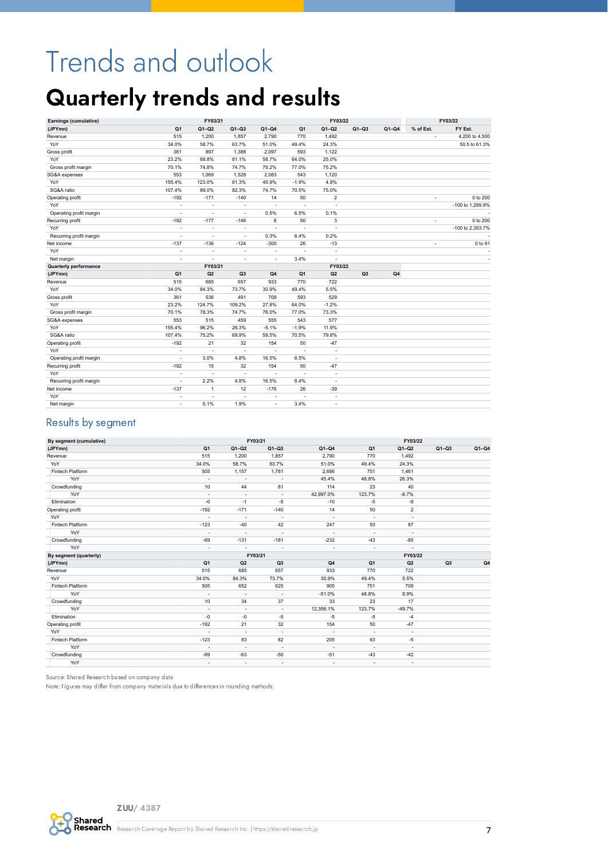# <span id="page-6-0"></span>Trends and outlook

## <span id="page-6-1"></span>Quarterly trends and results

| Earnings (cumulative)        |                          | FY03/21                  |                |                          |                          | FY03/22                  |                |         |           | FY03/22          |
|------------------------------|--------------------------|--------------------------|----------------|--------------------------|--------------------------|--------------------------|----------------|---------|-----------|------------------|
| (JPYmn)                      | Q <sub>1</sub>           | $Q1-Q2$                  | $Q1-Q3$        | $Q1-Q4$                  | Q <sub>1</sub>           | $Q1-Q2$                  | $Q1-Q3$        | $Q1-Q4$ | % of Est. | FY Est.          |
| Revenue                      | 515                      | 1,200                    | 1,857          | 2,790                    | 770                      | 1,492                    |                |         |           | 4,200 to 4,500   |
| YoY                          | 34.0%                    | 58.7%                    | 63.7%          | 51.0%                    | 49.4%                    | 24.3%                    |                |         |           | 50.5 to 61.3%    |
| Gross profit                 | 361                      | 897                      | 1,388          | 2,097                    | 593                      | 1,122                    |                |         |           |                  |
| YoY                          | 23.2%                    | 68.8%                    | 81.1%          | 58.7%                    | 64.0%                    | 25.0%                    |                |         |           |                  |
| Gross profit margin          | 70.1%                    | 74.8%                    | 74.7%          | 75.2%                    | 77.0%                    | 75.2%                    |                |         |           |                  |
| SG&A expenses                | 553                      | 1,069                    | 1,528          | 2,083                    | 543                      | 1,120                    |                |         |           |                  |
| YoY                          | 155.4%                   | 123.0%                   | 81.3%          | 45.9%                    | $-1.9%$                  | 4.8%                     |                |         |           |                  |
| SG&A ratio                   | 107.4%                   | 89.0%                    | 82.3%          | 74.7%                    | 70.5%                    | 75.0%                    |                |         |           |                  |
| Operating profit             | $-192$                   | $-171$                   | $-140$         | 14                       | 50                       | $\overline{2}$           |                |         | $\sim$    | 0 to 200         |
| YoY                          | ä,                       | $\ddot{\phantom{1}}$     | ä,             | $\ddot{\phantom{1}}$     | ä,                       | ÷,                       |                |         |           | -100 to 1,289.9% |
| Operating profit margin      | ÷                        | ÷.                       | ä,             | 0.5%                     | 6.5%                     | 0.1%                     |                |         |           |                  |
| Recurring profit             | $-192$                   | $-177$                   | $-146$         | 8                        | 50                       | 3                        |                |         | $\sim$    | 0 to 200         |
| YoY                          | $\overline{\phantom{a}}$ | $\overline{\phantom{a}}$ | ÷              | $\overline{\phantom{a}}$ | $\overline{\phantom{a}}$ | ٠                        |                |         |           | -100 to 2,353.7% |
| Recurring profit margin      | ä,                       | ÷                        | ä,             | 0.3%                     | 6.4%                     | 0.2%                     |                |         |           |                  |
| Net income                   | $-137$                   | $-136$                   | $-124$         | $-300$                   | 26                       | $-13$                    |                |         |           | 0 to 91          |
| YoY                          | ä,                       |                          | ä,             | $\ddot{\phantom{1}}$     | ä,                       | $\sim$                   |                |         |           |                  |
| Net margin                   | ÷                        | $\overline{\phantom{a}}$ | ä,             | $\ddot{\phantom{1}}$     | 3.4%                     | $\sim$                   |                |         |           |                  |
| <b>Quarterly performance</b> |                          | FY03/21                  |                |                          |                          | FY03/22                  |                |         |           |                  |
| (JPYmn)                      | Q1                       | Q2                       | Q <sub>3</sub> | Q <sub>4</sub>           | Q <sub>1</sub>           | Q <sub>2</sub>           | Q <sub>3</sub> | Q4      |           |                  |
| Revenue                      | 515                      | 685                      | 657            | 933                      | 770                      | 722                      |                |         |           |                  |
| YoY                          | 34.0%                    | 84.3%                    | 73.7%          | 30.9%                    | 49.4%                    | 5.5%                     |                |         |           |                  |
| Gross profit                 | 361                      | 536                      | 491            | 709                      | 593                      | 529                      |                |         |           |                  |
| YoY                          | 23.2%                    | 124.7%                   | 109.2%         | 27.8%                    | 64.0%                    | $-1.2%$                  |                |         |           |                  |
| Gross profit margin          | 70.1%                    | 78.3%                    | 74.7%          | 76.0%                    | 77.0%                    | 73.3%                    |                |         |           |                  |
| SG&A expenses                | 553                      | 515                      | 459            | 555                      | 543                      | 577                      |                |         |           |                  |
| YoY                          | 155.4%                   | 96.2%                    | 26.3%          | $-5.1%$                  | $-1.9%$                  | 11.9%                    |                |         |           |                  |
| SG&A ratio                   | 107.4%                   | 75.2%                    | 69.9%          | 59.5%                    | 70.5%                    | 79.8%                    |                |         |           |                  |
| Operating profit             | $-192$                   | 21                       | 32             | 154                      | 50                       | $-47$                    |                |         |           |                  |
| YoY                          | $\overline{\phantom{a}}$ |                          | ÷,             | $\overline{\phantom{a}}$ | ÷,                       | $\overline{\phantom{a}}$ |                |         |           |                  |
| Operating profit margin      | ä,                       | 3.0%                     | 4.8%           | 16.5%                    | 6.5%                     | $\sim$                   |                |         |           |                  |
| Recurring profit             | $-192$                   | 15                       | 32             | 154                      | 50                       | $-47$                    |                |         |           |                  |
| YoY                          | ÷                        | $\overline{\phantom{a}}$ | ÷,             | $\overline{\phantom{a}}$ | ä,                       | $\sim$                   |                |         |           |                  |
| Recurring profit margin      | ٠                        | 2.2%                     | 4.8%           | 16.5%                    | 6.4%                     | $\overline{\phantom{a}}$ |                |         |           |                  |
| Net income                   | $-137$                   | $\mathbf{1}$             | 12             | $-176$                   | 26                       | $-39$                    |                |         |           |                  |
| YoY                          | ÷                        | $\overline{\phantom{a}}$ | ä,             | $\overline{\phantom{a}}$ |                          | $\overline{\phantom{a}}$ |                |         |           |                  |
| Net margin                   | $\overline{\phantom{a}}$ | 0.1%                     | 1.9%           | $\sim$                   | 3.4%                     | $\overline{\phantom{a}}$ |                |         |           |                  |
|                              |                          |                          |                |                          |                          |                          |                |         |           |                  |

#### Results by segment

| By segment (cumulative) |                          |                          | FY03/21                  |                          |                          | FY03/22                  |                |         |
|-------------------------|--------------------------|--------------------------|--------------------------|--------------------------|--------------------------|--------------------------|----------------|---------|
| (JPYmn)                 | Q <sub>1</sub>           | $Q1-Q2$                  | $Q1 - Q3$                | $Q1-Q4$                  | Q <sub>1</sub>           | $Q1-Q2$                  | $Q1-Q3$        | $Q1-Q4$ |
| Revenue                 | 515                      | 1,200                    | 1,857                    | 2,790                    | 770                      | 1,492                    |                |         |
| YoY                     | 34.0%                    | 58.7%                    | 63.7%                    | 51.0%                    | 49.4%                    | 24.3%                    |                |         |
| Fintech Platform        | 505                      | 1,157                    | 1,781                    | 2,686                    | 751                      | 1,461                    |                |         |
| YoY                     |                          | $\overline{\phantom{a}}$ |                          | 45.4%                    | 48.8%                    | 26.3%                    |                |         |
| Crowdfunding            | 10                       | 44                       | 81                       | 114                      | 23                       | 40                       |                |         |
| YoY                     | $\sim$                   | $\overline{\phantom{a}}$ |                          | 42,997.0%                | 123.7%                   | $-8.7%$                  |                |         |
| Elimination             | $-0$                     | $-1$                     | $-5$                     | $-10$                    | $-5$                     | -9                       |                |         |
| Operating profit        | $-192$                   | $-171$                   | $-140$                   | 14                       | 50                       | $\overline{2}$           |                |         |
| YoY                     | $\overline{\phantom{a}}$ | $\overline{\phantom{a}}$ | $\overline{\phantom{a}}$ | $\overline{\phantom{a}}$ | $\overline{\phantom{a}}$ | $\sim$                   |                |         |
| Fintech Platform        | $-123$                   | $-40$                    | 42                       | 247                      | 93                       | 87                       |                |         |
| YoY                     | $\overline{\phantom{a}}$ | $\overline{\phantom{a}}$ | $\overline{\phantom{a}}$ | $\sim$                   | $\overline{\phantom{a}}$ | $\sim$                   |                |         |
| Crowdfunding            | $-69$                    | $-131$                   | $-181$                   | $-232$                   | $-43$                    | -85                      |                |         |
| YoY                     | $\overline{\phantom{a}}$ | $\blacksquare$           | $\overline{\phantom{a}}$ | $\overline{\phantom{a}}$ | $\overline{\phantom{a}}$ | $\sim$                   |                |         |
| By segment (quarterly)  |                          |                          | FY03/21                  |                          |                          | FY03/22                  |                |         |
| (JPYmn)                 | Q <sub>1</sub>           | Q2                       | Q3                       | Q4                       | Q <sub>1</sub>           | Q2                       | Q <sub>3</sub> | Q4      |
| Revenue                 | 515                      | 685                      | 657                      | 933                      | 770                      | 722                      |                |         |
| YoY                     | 34.0%                    | 84.3%                    | 73.7%                    | 30.9%                    | 49.4%                    | 5.5%                     |                |         |
| Fintech Platform        | 505                      | 652                      | 625                      | 905                      | 751                      | 709                      |                |         |
| YoY                     | $\overline{\phantom{a}}$ | $\overline{\phantom{a}}$ | $\sim$                   | $-51.0%$                 | 48.8%                    | 8.9%                     |                |         |
| Crowdfunding            | 10                       | 34                       | 37                       | 33                       | 23                       | 17                       |                |         |
| YoY                     | $\overline{\phantom{a}}$ | $\overline{\phantom{a}}$ | $\overline{\phantom{a}}$ | 12,356.1%                | 123.7%                   | $-49.7%$                 |                |         |
| Elimination             | $-0$                     | -0                       | $-5$                     | $-5$                     | $-5$                     | $-4$                     |                |         |
| Operating profit        | $-192$                   | 21                       | 32                       | 154                      | 50                       | $-47$                    |                |         |
| YoY                     | $\overline{\phantom{a}}$ | $\overline{\phantom{a}}$ |                          | ÷,                       | $\overline{\phantom{a}}$ | $\overline{\phantom{a}}$ |                |         |
| Fintech Platform        | $-123$                   | 83                       | 82                       | 205                      | 93                       | $-5$                     |                |         |
| YoY                     |                          | $\overline{\phantom{a}}$ |                          | ÷                        | $\overline{\phantom{a}}$ | $\overline{\phantom{a}}$ |                |         |
| Crowdfunding            | $-69$                    | $-63$                    | $-50$                    | $-51$                    | $-43$                    | $-42$                    |                |         |
| YoY                     | $\overline{\phantom{a}}$ | $\overline{\phantom{a}}$ | $\overline{\phantom{a}}$ | $\overline{\phantom{a}}$ | $\overline{\phantom{a}}$ | $\overline{\phantom{a}}$ |                |         |

Source: Shared Research based on company data

Note: Figures may differ from company materials due to differences in rounding methods.

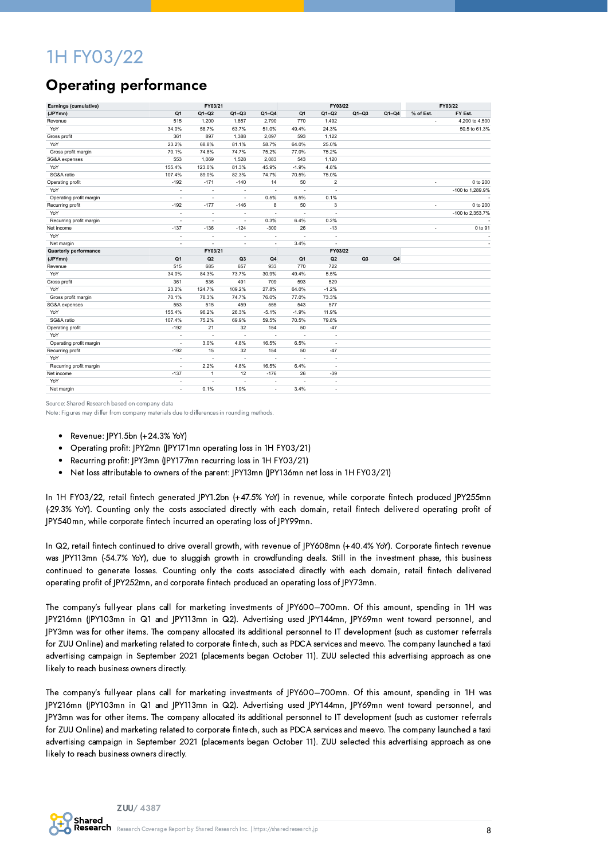## 1H FY03/22

## Operating performance

| Earnings (cumulative)        |                          | FY03/21                  |                          |                          |                          | FY03/22                  |                |                |           | FY03/22          |
|------------------------------|--------------------------|--------------------------|--------------------------|--------------------------|--------------------------|--------------------------|----------------|----------------|-----------|------------------|
| (JPYmn)                      | Q1                       | $Q1-Q2$                  | $Q1-Q3$                  | $Q1-Q4$                  | Q1                       | $Q1-Q2$                  | $Q1-Q3$        | $Q1-Q4$        | % of Est. | FY Est.          |
| Revenue                      | 515                      | 1,200                    | 1,857                    | 2,790                    | 770                      | 1,492                    |                |                | ٠         | 4,200 to 4,500   |
| YoY                          | 34.0%                    | 58.7%                    | 63.7%                    | 51.0%                    | 49.4%                    | 24.3%                    |                |                |           | 50.5 to 61.3%    |
| Gross profit                 | 361                      | 897                      | 1,388                    | 2,097                    | 593                      | 1,122                    |                |                |           |                  |
| YoY                          | 23.2%                    | 68.8%                    | 81.1%                    | 58.7%                    | 64.0%                    | 25.0%                    |                |                |           |                  |
| Gross profit margin          | 70.1%                    | 74.8%                    | 74.7%                    | 75.2%                    | 77.0%                    | 75.2%                    |                |                |           |                  |
| SG&A expenses                | 553                      | 1,069                    | 1,528                    | 2,083                    | 543                      | 1,120                    |                |                |           |                  |
| YoY                          | 155.4%                   | 123.0%                   | 81.3%                    | 45.9%                    | $-1.9%$                  | 4.8%                     |                |                |           |                  |
| SG&A ratio                   | 107.4%                   | 89.0%                    | 82.3%                    | 74.7%                    | 70.5%                    | 75.0%                    |                |                |           |                  |
| Operating profit             | $-192$                   | $-171$                   | $-140$                   | 14                       | 50                       | $\overline{\mathbf{c}}$  |                |                | ٠         | 0 to 200         |
| YoY                          | ÷                        | $\overline{\phantom{a}}$ | $\overline{\phantom{a}}$ | $\overline{\phantom{a}}$ | $\overline{\phantom{a}}$ | $\sim$                   |                |                |           | -100 to 1.289.9% |
| Operating profit margin      | ٠                        | $\overline{\phantom{a}}$ | $\sim$                   | 0.5%                     | 6.5%                     | 0.1%                     |                |                |           |                  |
| Recurring profit             | $-192$                   | $-177$                   | $-146$                   | 8                        | 50                       | 3                        |                |                | ×.        | 0 to 200         |
| YoY                          | $\overline{\phantom{a}}$ | $\overline{\phantom{a}}$ | $\sim$                   | $\sim$                   | $\overline{\phantom{a}}$ | $\sim$                   |                |                |           | -100 to 2,353.7% |
| Recurring profit margin      | ÷                        | $\overline{\phantom{a}}$ | $\bar{a}$                | 0.3%                     | 6.4%                     | 0.2%                     |                |                |           |                  |
| Net income                   | $-137$                   | $-136$                   | $-124$                   | $-300$                   | 26                       | $-13$                    |                |                |           | 0 to 91          |
| YoY                          | $\overline{\phantom{a}}$ | $\overline{\phantom{a}}$ | ÷,                       | $\overline{\phantom{a}}$ | $\overline{\phantom{a}}$ | $\overline{\phantom{a}}$ |                |                |           |                  |
| Net margin                   | ÷                        |                          | ä,                       | $\sim$                   | 3.4%                     | $\overline{a}$           |                |                |           |                  |
| <b>Quarterly performance</b> |                          | FY03/21                  |                          |                          |                          | FY03/22                  |                |                |           |                  |
| (JPYmn)                      | Q <sub>1</sub>           | Q2                       | Q <sub>3</sub>           | Q4                       | Q <sub>1</sub>           | Q <sub>2</sub>           | Q <sub>3</sub> | Q <sub>4</sub> |           |                  |
| Revenue                      | 515                      | 685                      | 657                      | 933                      | 770                      | 722                      |                |                |           |                  |
| YoY                          | 34.0%                    | 84.3%                    | 73.7%                    | 30.9%                    | 49.4%                    | 5.5%                     |                |                |           |                  |
| Gross profit                 | 361                      | 536                      | 491                      | 709                      | 593                      | 529                      |                |                |           |                  |
| YoY                          | 23.2%                    | 124.7%                   | 109.2%                   | 27.8%                    | 64.0%                    | $-1.2%$                  |                |                |           |                  |
| Gross profit margin          | 70.1%                    | 78.3%                    | 74.7%                    | 76.0%                    | 77.0%                    | 73.3%                    |                |                |           |                  |
| SG&A expenses                | 553                      | 515                      | 459                      | 555                      | 543                      | 577                      |                |                |           |                  |
| YoY                          | 155.4%                   | 96.2%                    | 26.3%                    | $-5.1%$                  | $-1.9%$                  | 11.9%                    |                |                |           |                  |
| SG&A ratio                   | 107.4%                   | 75.2%                    | 69.9%                    | 59.5%                    | 70.5%                    | 79.8%                    |                |                |           |                  |
| Operating profit             | $-192$                   | 21                       | 32                       | 154                      | 50                       | $-47$                    |                |                |           |                  |
| YoY                          | ÷,                       | $\overline{\phantom{a}}$ | $\sim$                   | $\overline{\phantom{a}}$ | $\overline{\phantom{a}}$ | $\overline{\phantom{a}}$ |                |                |           |                  |
| Operating profit margin      | $\overline{\phantom{a}}$ | 3.0%                     | 4.8%                     | 16.5%                    | 6.5%                     | $\overline{\phantom{a}}$ |                |                |           |                  |
| Recurring profit             | $-192$                   | 15                       | 32                       | 154                      | 50                       | $-47$                    |                |                |           |                  |
| YoY                          | $\overline{\phantom{a}}$ |                          | $\overline{\phantom{a}}$ | $\overline{\phantom{a}}$ | $\overline{\phantom{a}}$ | $\overline{\phantom{a}}$ |                |                |           |                  |
| Recurring profit margin      | ٠                        | 2.2%                     | 4.8%                     | 16.5%                    | 6.4%                     | $\overline{\phantom{a}}$ |                |                |           |                  |
| Net income                   | $-137$                   | $\overline{1}$           | 12                       | $-176$                   | 26                       | $-39$                    |                |                |           |                  |
| YoY                          | ÷                        |                          | $\ddot{\phantom{1}}$     | $\overline{\phantom{a}}$ | ÷,                       | $\overline{\phantom{a}}$ |                |                |           |                  |
| Net margin                   | ÷                        | 0.1%                     | 1.9%                     | $\overline{\phantom{a}}$ | 3.4%                     | $\sim$                   |                |                |           |                  |

Source: Shared Research based on company data

Note: Figures may differ from company materials due to differences in rounding methods.

- $\bullet$  Revenue: |PY1.5bn  $(+24.3\%$  YoY)
- Operating profit: JPY2mn (JPY171mn operating loss in 1H FY03/21)
- Recurring profit: JPY3mn (JPY177mn recurring loss in 1H FY03/21)
- Net loss attributable to owners of the parent: JPY13mn (JPY136mn net loss in 1H FY03/21)

In 1H FY03/22, retail fintech generated JPY1.2bn (+47.5% YoY) in revenue, while corporate fintech produced JPY255mn (-29.3% YoY). Counting only the costs associated directly with each domain, retail fintech delivered operating profit of JPY540mn, while corporate fintech incurred an operating loss of JPY99mn.

In Q2, retail fintech continued to drive overall growth, with revenue of JPY608mn (+40.4% YoY). Corporate fintech revenue was JPY113mn (-54.7% YoY), due to sluggish growth in crowdfunding deals. Still in the investment phase, this business continued to generate losses. Counting only the costs associated directly with each domain, retail fintech delivered operating profit of JPY252mn, and corporate fintech produced an operating loss of JPY73mn.

The company's full-year plans call for marketing investments of JPY600–700mn. Of this amount, spending in 1H was JPY216mn (JPY103mn in Q1 and JPY113mn in Q2). Advertising used JPY144mn, JPY69mn went toward personnel, and JPY3mn was for other items. The company allocated its additional personnel to IT development (such as customer referrals for ZUU Online) and marketing related to corporate fintech, such as PDCA services and meevo. The company launched a taxi advertising campaign in September 2021 (placements began October 11). ZUU selected this advertising approach as one likely to reach business owners directly.

The company's full-year plans call for marketing investments of JPY600–700mn. Of this amount, spending in 1H was JPY216mn (JPY103mn in Q1 and JPY113mn in Q2). Advertising used JPY144mn, JPY69mn went toward personnel, and JPY3mn was for other items. The company allocated its additional personnel to IT development (such as customer referrals for ZUU Online) and marketing related to corporate fintech, such as PDCA services and meevo. The company launched a taxi advertising campaign in September 2021 (placements began October 11). ZUU selected this advertising approach as one likely to reach business owners directly.

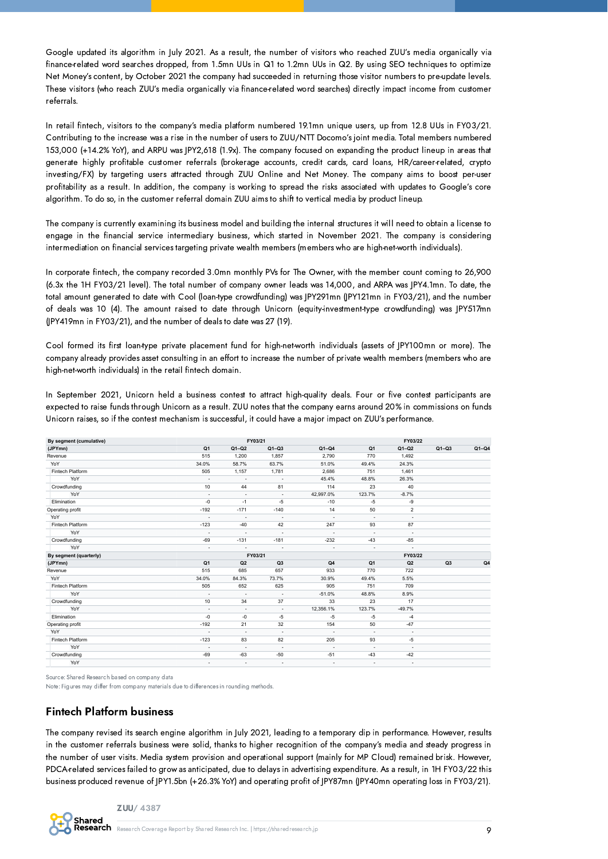Google updated its algorithm in July 2021. As a result, the number of visitors who reached ZUU's media organically via finance-related word searches dropped, from 1.5mn UUs in Q1 to 1.2mn UUs in Q2. By using SEO techniques to optimize Net Money's content, by October 2021 the company had succeeded in returning those visitor numbers to pre-update levels. These visitors (who reach ZUU's media organically via finance-related word searches) directly impact income from customer referrals.

In retail fintech, visitors to the company's media platform numbered 19.1mn unique users, up from 12.8 UUs in FY03/21. Contributing to the increase was a rise in the number of users to ZUU/NTT Docomo's joint media. Total members numbered 153,000 (+14.2% YoY), and ARPU was JPY2,618 (1.9x). The company focused on expanding the product lineup in areas that generate highly profitable customer referrals (brokerage accounts, credit cards, card loans, HR/career-related, crypto investing/FX) by targeting users attracted through ZUU Online and Net Money. The company aims to boost per-user profitability as a result. In addition, the company is working to spread the risks associated with updates to Google's core algorithm. To do so, in the customer referral domain ZUU aims to shift to vertical media by product lineup.

The company is currently examining its business model and building the internal structures it will need to obtain a license to engage in the financial service intermediary business, which started in November 2021. The company is considering intermediation on financial services targeting private wealth members (members who are high-net-worth individuals).

In corporate fintech, the company recorded 3.0mn monthly PVs for The Owner, with the member count coming to 26,900 (6.3x the 1H FY03/21 level). The total number of company owner leads was 14,000, and ARPA was JPY4.1mn. To date, the total amount generated to date with Cool (loan-type crowdfunding) was JPY291mn (JPY121mn in FY03/21), and the number of deals was 10 (4). The amount raised to date through Unicorn (equity-investment-type crowdfunding) was JPY517mn (JPY419mn in FY03/21), and the number of deals to date was 27 (19).

Cool formed its first loan-type private placement fund for high-net-worth individuals (assets of JPY100mn or more). The company already provides asset consulting in an effort to increase the number of private wealth members (members who are high-net-worth individuals) in the retail fintech domain.

In September 2021, Unicorn held a business contest to attract high-quality deals. Four or five contest participants are expected to raise funds through Unicorn as a result. ZUU notes that the company earns around 20% in commissions on funds Unicorn raises, so if the contest mechanism is successful, it could have a major impact on ZUU's performance.

| By segment (cumulative) |                          |                          | FY03/21                  |                          |                          | FY03/22                  |         |         |
|-------------------------|--------------------------|--------------------------|--------------------------|--------------------------|--------------------------|--------------------------|---------|---------|
| (JPYmn)                 | Q <sub>1</sub>           | $Q1-Q2$                  | $Q1-Q3$                  | $Q1-Q4$                  | Q <sub>1</sub>           | $Q1-Q2$                  | $Q1-Q3$ | $Q1-Q4$ |
| Revenue                 | 515                      | 1,200                    | 1,857                    | 2,790                    | 770                      | 1,492                    |         |         |
| YoY                     | 34.0%                    | 58.7%                    | 63.7%                    | 51.0%                    | 49.4%                    | 24.3%                    |         |         |
| Fintech Platform        | 505                      | 1,157                    | 1,781                    | 2,686                    | 751                      | 1,461                    |         |         |
| YoY                     | $\overline{\phantom{a}}$ | $\overline{\phantom{a}}$ | $\overline{\phantom{a}}$ | 45.4%                    | 48.8%                    | 26.3%                    |         |         |
| Crowdfunding            | 10                       | 44                       | 81                       | 114                      | 23                       | 40                       |         |         |
| YoY                     | $\overline{\phantom{a}}$ | $\overline{\phantom{a}}$ | $\overline{\phantom{a}}$ | 42,997.0%                | 123.7%                   | $-8.7%$                  |         |         |
| Elimination             | $-0$                     | $-1$                     | $-5$                     | $-10$                    | $-5$                     | -9                       |         |         |
| Operating profit        | $-192$                   | $-171$                   | $-140$                   | 14                       | 50                       | $\overline{2}$           |         |         |
| YoY                     | $\overline{\phantom{a}}$ | $\overline{\phantom{a}}$ | $\overline{\phantom{a}}$ | $\overline{\phantom{a}}$ | $\bar{a}$                | $\sim$                   |         |         |
| Fintech Platform        | $-123$                   | $-40$                    | 42                       | 247                      | 93                       | 87                       |         |         |
| YoY                     | $\overline{\phantom{a}}$ | $\overline{a}$           |                          | $\sim$                   | ٠                        | $\overline{\phantom{a}}$ |         |         |
| Crowdfunding            | $-69$                    | $-131$                   | $-181$                   | $-232$                   | $-43$                    | $-85$                    |         |         |
| YoY                     | $\overline{\phantom{a}}$ |                          |                          | ٠                        | ٠                        | $\sim$                   |         |         |
| By segment (quarterly)  |                          |                          | FY03/21                  |                          |                          | FY03/22                  |         |         |
| (JPYmn)                 | Q <sub>1</sub>           | Q2                       | Q3                       | Q4                       | Q <sub>1</sub>           | Q2                       | Q3      | Q4      |
| Revenue                 | 515                      | 685                      | 657                      | 933                      | 770                      | 722                      |         |         |
| YoY                     | 34.0%                    | 84.3%                    | 73.7%                    | 30.9%                    | 49.4%                    | 5.5%                     |         |         |
| Fintech Platform        | 505                      | 652                      | 625                      | 905                      | 751                      | 709                      |         |         |
| YoY                     | $\overline{\phantom{a}}$ | $\overline{\phantom{a}}$ | $\overline{\phantom{a}}$ | $-51.0%$                 | 48.8%                    | 8.9%                     |         |         |
| Crowdfunding            | 10                       | 34                       | 37                       | 33                       | 23                       | 17                       |         |         |
| YoY                     | $\overline{\phantom{a}}$ | $\overline{\phantom{a}}$ | $\overline{\phantom{a}}$ | 12,356.1%                | 123.7%                   | $-49.7%$                 |         |         |
| Elimination             | $-0$                     | $-0$                     | $-5$                     | $-5$                     | $-5$                     | $-4$                     |         |         |
| Operating profit        | $-192$                   | 21                       | 32                       | 154                      | 50                       | $-47$                    |         |         |
| YoY                     | ٠                        | $\overline{\phantom{a}}$ |                          |                          | $\overline{\phantom{a}}$ | $\overline{\phantom{a}}$ |         |         |
| Fintech Platform        | $-123$                   | 83                       | 82                       | 205                      | 93                       | $-5$                     |         |         |
| YoY                     |                          | $\overline{\phantom{a}}$ |                          |                          | $\overline{\phantom{a}}$ | $\overline{\phantom{a}}$ |         |         |
| Crowdfunding            | $-69$                    | $-63$                    | $-50$                    | $-51$                    | $-43$                    | $-42$                    |         |         |
| YoY                     | $\overline{\phantom{a}}$ | $\blacksquare$           | $\overline{\phantom{a}}$ | ٠                        | $\overline{\phantom{a}}$ | $\overline{\phantom{a}}$ |         |         |

Source: Shared Research based on company data

Note: Figures may differ from company materials due to differences in rounding methods.

#### Fintech Platform business

The company revised its search engine algorithm in July 2021, leading to a temporary dip in performance. However, results in the customer referrals business were solid, thanks to higher recognition of the company's media and steady progress in the number of user visits. Media system provision and operational support (mainly for MP Cloud) remained brisk. However, PDCA-related services failed to grow as anticipated, due to delays in advertising expenditure. As a result, in 1H FY03/22 this business produced revenue of JPY1.5bn (+26.3% YoY) and operating profit of JPY87mn (JPY40mn operating loss in FY03/21).

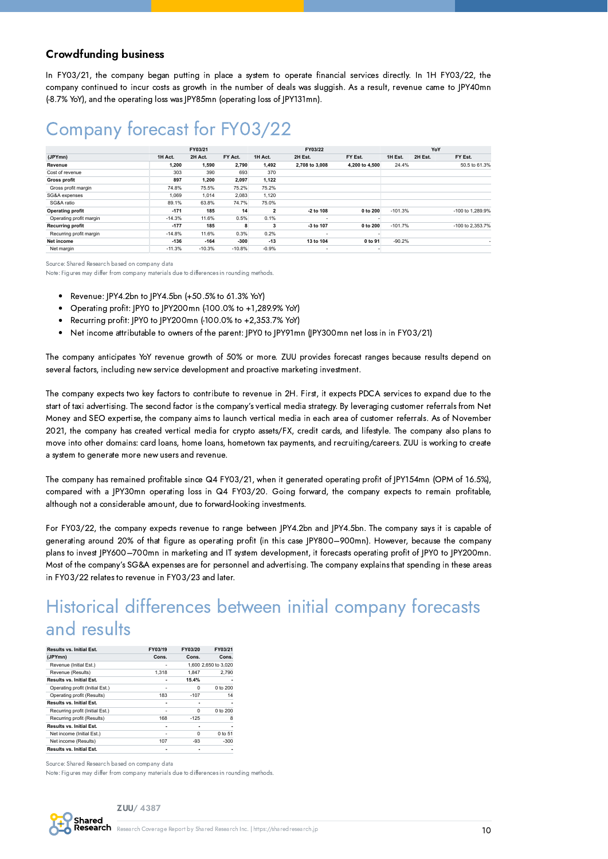#### Crowdfunding business

In FY03/21, the company began putting in place a system to operate financial services directly. In 1H FY03/22, the company continued to incur costs as growth in the number of deals was sluggish. As a result, revenue came to JPY40mn (-8.7% YoY), and the operating loss was JPY85mn (operating loss of JPY131mn).

## Company forecast for FY03/22

|                         |          | FY03/21  |          |                         | FY03/22                  |                |           | YoY     |                  |
|-------------------------|----------|----------|----------|-------------------------|--------------------------|----------------|-----------|---------|------------------|
| (JPYmn)                 | 1H Act.  | 2H Act.  | FY Act.  | 1H Act.                 | 2H Est.                  | FY Est.        | 1H Est.   | 2H Est. | FY Est.          |
| Revenue                 | 1.200    | 1.590    | 2.790    | 1.492                   | 2.708 to 3.008           | 4.200 to 4.500 | 24.4%     |         | 50.5 to 61.3%    |
| Cost of revenue         | 303      | 390      | 693      | 370                     |                          |                |           |         |                  |
| Gross profit            | 897      | 1,200    | 2,097    | 1,122                   |                          |                |           |         |                  |
| Gross profit margin     | 74.8%    | 75.5%    | 75.2%    | 75.2%                   |                          |                |           |         |                  |
| SG&A expenses           | 1.069    | 1.014    | 2,083    | 1,120                   |                          |                |           |         |                  |
| SG&A ratio              | 89.1%    | 63.8%    | 74.7%    | 75.0%                   |                          |                |           |         |                  |
| <b>Operating profit</b> | $-171$   | 185      | 14       | $\overline{\mathbf{2}}$ | -2 to 108                | 0 to 200       | $-101.3%$ |         | -100 to 1,289.9% |
| Operating profit margin | $-14.3%$ | 11.6%    | 0.5%     | 0.1%                    | $\overline{\phantom{a}}$ |                |           |         |                  |
| <b>Recurring profit</b> | $-177$   | 185      | 8        | 3                       | -3 to 107                | 0 to 200       | $-101.7%$ |         | -100 to 2.353.7% |
| Recurring profit margin | $-14.8%$ | 11.6%    | 0.3%     | 0.2%                    | $\overline{\phantom{a}}$ |                |           |         |                  |
| Net income              | $-136$   | $-164$   | $-300$   | $-13$                   | 13 to 104                | 0 to 91        | $-90.2%$  |         |                  |
| Net margin              | $-11.3%$ | $-10.3%$ | $-10.8%$ | $-0.9%$                 | $\overline{\phantom{a}}$ |                |           |         |                  |

Source: Shared Research based on company data

Note: Figures may differ from company materials due to differences in rounding methods.

- Revenue: JPY4.2bn to JPY4.5bn (+50.5% to 61.3% YoY)  $\bullet$
- Operating profit: JPY0 to JPY200mn (-100.0% to +1,289.9% YoY)
- Recurring profit: JPY0 to JPY200mn (-100.0% to +2,353.7% YoY)
- $\bullet$ Net income attributable to owners of the parent: JPY0 to JPY91mn (JPY300mn net loss in in FY03/21)

The company anticipates YoY revenue growth of 50% or more. ZUU provides forecast ranges because results depend on several factors, including new service development and proactive marketing investment.

The company expects two key factors to contribute to revenue in 2H. First, it expects PDCA services to expand due to the start of taxi advertising. The second factor is the company's vertical media strategy. By leveraging customer referrals from Net Money and SEO expertise, the company aims to launch vertical media in each area of customer referrals. As of November 2021, the company has created vertical media for crypto assets/FX, credit cards, and lifestyle. The company also plans to move into other domains: card loans, home loans, hometown tax payments, and recruiting/careers. ZUU is working to create a system to generate more new users and revenue.

The company has remained profitable since Q4 FY03/21, when it generated operating profit of JPY154mn (OPM of 16.5%), compared with a JPY30mn operating loss in Q4 FY03/20. Going forward, the company expects to remain profitable, although not a considerable amount, due to forward-looking investments.

For FY03/22, the company expects revenue to range between JPY4.2bn and JPY4.5bn. The company says it is capable of generating around 20% of that figure as operating profit (in this case JPY800–900mn). However, because the company plans to invest JPY600-700mn in marketing and IT system development, it forecasts operating profit of JPY0 to JPY200mn. Most of the company's SG&A expenses are for personnel and advertising. The company explains that spending in these areas in FY03/22 relates to revenue in FY03/23 and later.

## Historical differences between initial company forecasts and results

| Results vs. Initial Est.        | FY03/19                      | FY03/20 | FY03/21              |
|---------------------------------|------------------------------|---------|----------------------|
| (JPYmn)                         | Cons.                        | Cons.   | Cons.                |
| Revenue (Initial Est.)          |                              |         | 1,600 2,650 to 3,020 |
| Revenue (Results)               | 1.318                        | 1.847   | 2.790                |
| Results vs. Initial Est.        |                              | 15.4%   |                      |
| Operating profit (Initial Est.) |                              | 0       | 0 to 200             |
| Operating profit (Results)      | 183                          | $-107$  | 14                   |
| Results vs. Initial Est.        |                              |         |                      |
| Recurring profit (Initial Est.) | ۰                            | 0       | 0 to 200             |
| Recurring profit (Results)      | 168                          | $-125$  | 8                    |
| Results vs. Initial Est.        |                              | ٠       |                      |
| Net income (Initial Est.)       | $\qquad \qquad \blacksquare$ | 0       | 0 to 51              |
| Net income (Results)            | 107                          | -93     | $-300$               |
| Results vs. Initial Est.        |                              |         |                      |

Source: Shared Research based on company data

Note: Figures may differ from company materials due to differences in rounding methods.

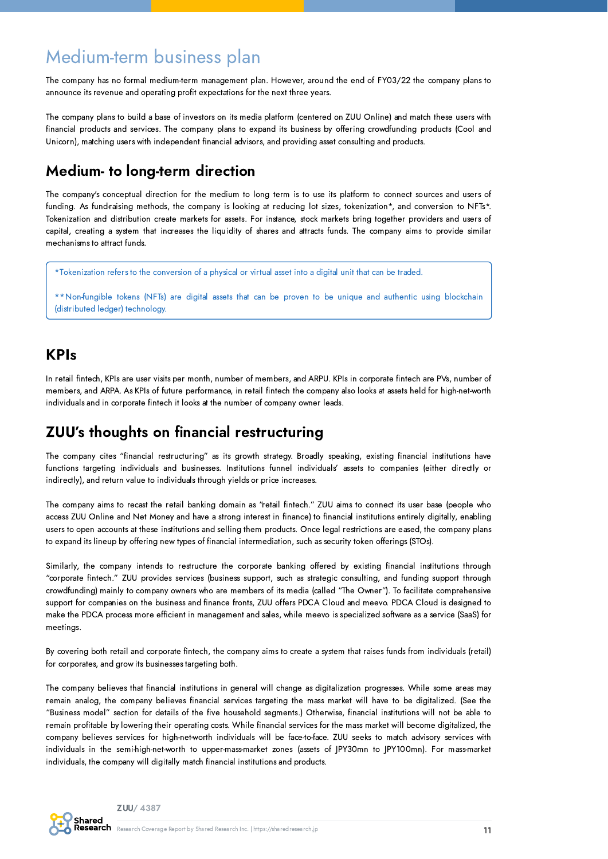## Medium-term business plan

The company has no formal medium-term management plan. However, around the end of FY03/22 the company plans to announce its revenue and operating profit expectations for the next three years.

The company plans to build a base of investors on its media platform (centered on ZUU Online) and match these users with financial products and services. The company plans to expand its business by offering crowdfunding products (Cool and Unicorn), matching users with independent financial advisors, and providing asset consulting and products.

### Medium- to long-term direction

The company's conceptual direction for the medium to long term is to use its platform to connect sources and users of funding. As fund-raising methods, the company is looking at reducing lot sizes, tokenization\*, and conversion to NFTs\*. Tokenization and distribution create markets for assets. For instance, stock markets bring together providers and users of capital, creating a system that increases the liquidity of shares and attracts funds. The company aims to provide similar mechanisms to attract funds.

\*Tokenization refers to the conversion of a physical or virtual asset into a digital unit that can be traded.

\*\*Non-fungible tokens (NFTs) are digital assets that can be proven to be unique and authentic using blockchain (distributed ledger) technology.

### KPIs

In retail fintech, KPIs are user visits per month, number of members, and ARPU. KPIs in corporate fintech are PVs, number of members, and ARPA. As KPIs of future performance, in retail fintech the company also looks at assets held for high-net-worth individuals and in corporate fintech it looks at the number of company owner leads.

### ZUU's thoughts on financial restructuring

The company cites "financial restructuring" as its growth strategy. Broadly speaking, existing financial institutions have functions targeting individuals and businesses. Institutions funnel individuals' assets to companies (either directly or indirectly), and return value to individuals through yields or price increases.

The company aims to recast the retail banking domain as "retail fintech." ZUU aims to connect its user base (people who access ZUU Online and Net Money and have a strong interest in finance) to financial institutions entirely digitally, enabling users to open accounts at these institutions and selling them products. Once legal restrictions are eased, the company plans to expand its lineup by offering new types of financial intermediation, such as security token offerings (STOs).

Similarly, the company intends to restructure the corporate banking offered by existing financial institutions through "corporate fintech." ZUU provides services (business support, such as strategic consulting, and funding support through crowdfunding) mainly to company owners who are members of its media (called "The Owner"). To facilitate comprehensive support for companies on the business and finance fronts, ZUU offers PDCA Cloud and meevo. PDCA Cloud is designed to make the PDCA process more efficient in management and sales, while meevo is specialized software as a service (SaaS) for meetings.

By covering both retail and corporate fintech, the company aims to create a system that raises funds from individuals (retail) for corporates, and grow its businesses targeting both.

The company believes that financial institutions in general will change as digitalization progresses. While some areas may remain analog, the company believes financial services targeting the mass market will have to be digitalized. (See the "Business model" section for details of the five household segments.) Otherwise, financial institutions will not be able to remain profitable by lowering their operating costs. While financial services for the mass market will become digitalized, the company believes services for high-net-worth individuals will be face-to-face. ZUU seeks to match advisory services with individuals in the semi-high-net-worth to upper-mass-market zones (assets of JPY30mn to JPY100mn). For mass-market individuals, the company will digitally match financial institutions and products.

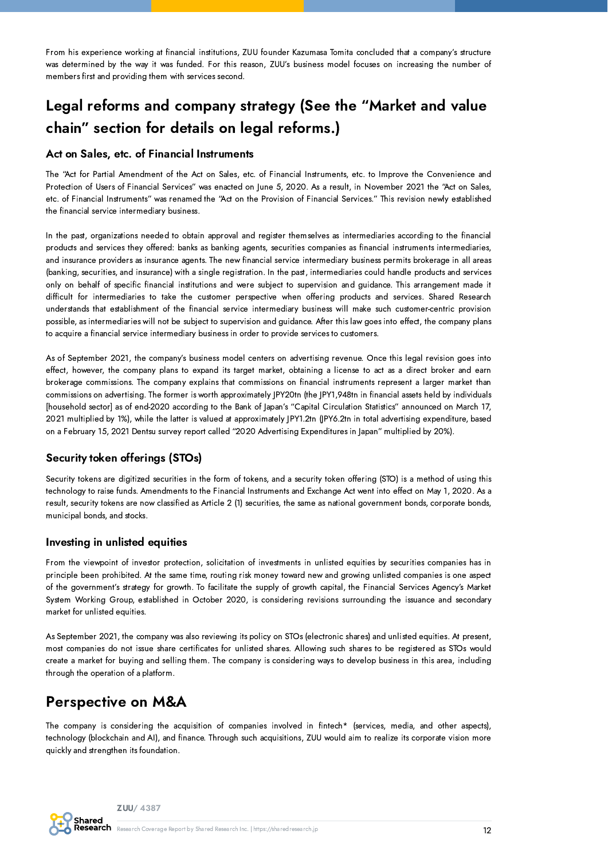From his experience working at financial institutions, ZUU founder Kazumasa Tomita concluded that a company's structure was determined by the way it was funded. For this reason, ZUU's business model focuses on increasing the number of members first and providing them with services second.

## Legal reforms and company strategy (See the "Market and value chain" section for details on legal reforms.)

#### Act on Sales, etc. of Financial Instruments

The "Act for Partial Amendment of the Act on Sales, etc. of Financial Instruments, etc. to Improve the Convenience and Protection of Users of Financial Services" was enacted on June 5, 2020. As a result, in November 2021 the "Act on Sales, etc. of Financial Instruments" was renamed the "Act on the Provision of Financial Services." This revision newly established the financial service intermediary business.

In the past, organizations needed to obtain approval and register themselves as intermediaries according to the financial products and services they offered: banks as banking agents, securities companies as financial instruments intermediaries, and insurance providers as insurance agents. The new financial service intermediary business permits brokerage in all areas (banking, securities, and insurance) with a single registration. In the past, intermediaries could handle products and services only on behalf of specific financial institutions and were subject to supervision and guidance. This arrangement made it difficult for intermediaries to take the customer perspective when offering products and services. Shared Research understands that establishment of the financial service intermediary business will make such customer-centric provision possible, as intermediaries will not be subject to supervision and guidance. After this law goes into effect, the company plans to acquire a financial service intermediary business in order to provide services to customers.

As of September 2021, the company's business model centers on advertising revenue. Once this legal revision goes into effect, however, the company plans to expand its target market, obtaining a license to act as a direct broker and earn brokerage commissions. The company explains that commissions on financial instruments represent a larger market than commissions on advertising. The former is worth approximately JPY20tn (the JPY1,948tn in financial assets held by individuals [household sector] as of end-2020 according to the Bank of Japan's "Capital Circulation Statistics" announced on March 17, 2021 multiplied by 1%), while the latter is valued at approximately JPY1.2tn (JPY6.2tn in total advertising expenditure, based on a February 15, 2021 Dentsu survey report called "2020 Advertising Expenditures in Japan" multiplied by 20%).

#### Security token offerings (STOs)

Security tokens are digitized securities in the form of tokens, and a security token offering (STO) is a method of using this technology to raise funds. Amendments to the Financial Instruments and Exchange Act went into effect on May 1, 2020. As a result, security tokens are now classified as Article 2 (1) securities, the same as national government bonds, corporate bonds, municipal bonds, and stocks.

#### Investing in unlisted equities

From the viewpoint of investor protection, solicitation of investments in unlisted equities by securities companies has in principle been prohibited. At the same time, routing risk money toward new and growing unlisted companies is one aspect of the government's strategy for growth. To facilitate the supply of growth capital, the Financial Services Agency's Market System Working Group, established in October 2020, is considering revisions surrounding the issuance and secondary market for unlisted equities.

As September 2021, the company was also reviewing its policy on STOs (electronic shares) and unlisted equities. At present, most companies do not issue share certificates for unlisted shares. Allowing such shares to be registered as STOs would create a market for buying and selling them. The company is considering ways to develop business in this area, including through the operation of a platform.

### Perspective on M&A

The company is considering the acquisition of companies involved in fintech\* (services, media, and other aspects), technology (blockchain and AI), and finance. Through such acquisitions, ZUU would aim to realize its corporate vision more quickly and strengthen its foundation.

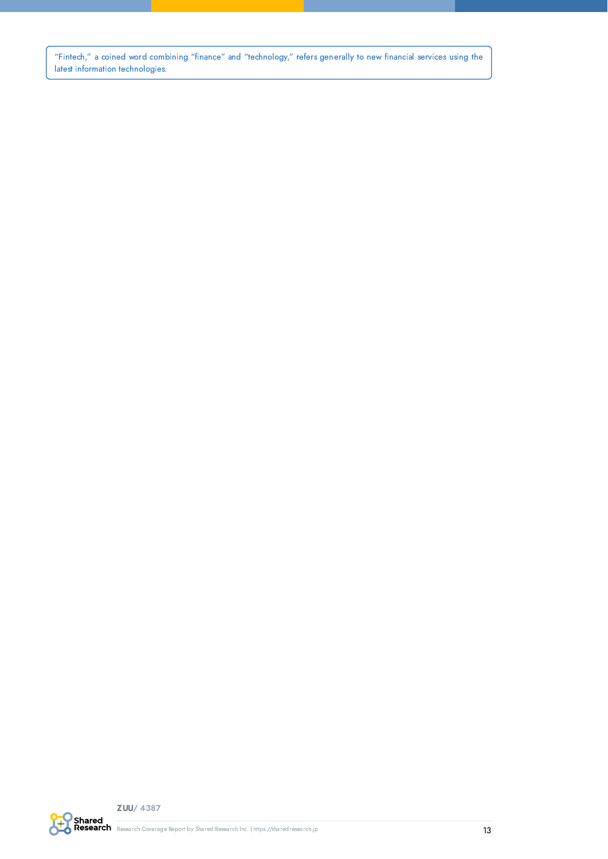"Fintech," a coined word combining "finance" and "technology," refers generally to new financial services using the latest information technologies.

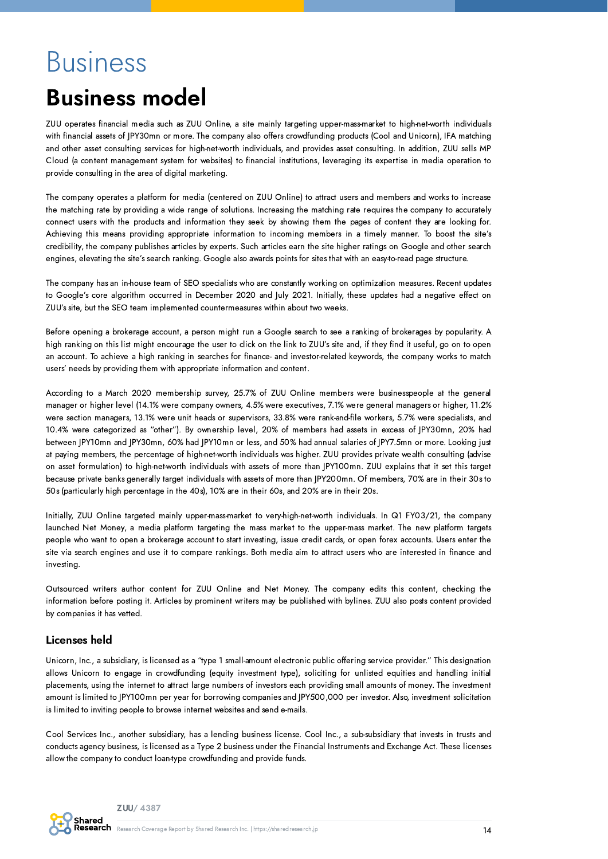# <span id="page-13-0"></span>**Business**

## <span id="page-13-1"></span>Business model

ZUU operates financial media such as ZUU Online, a site mainly targeting upper-mass-market to high-net-worth individuals with financial assets of JPY30mn or more. The company also offers crowdfunding products (Cool and Unicorn), IFA matching and other asset consulting services for high-net-worth individuals, and provides asset consulting. In addition, ZUU sells MP Cloud (a content management system for websites) to financial institutions, leveraging its expertise in media operation to provide consulting in the area of digital marketing.

The company operates a platform for media (centered on ZUU Online) to attract users and members and works to increase the matching rate by providing a wide range of solutions. Increasing the matching rate requires the company to accurately connect users with the products and information they seek by showing them the pages of content they are looking for. Achieving this means providing appropriate information to incoming members in a timely manner. To boost the site's credibility, the company publishes articles by experts. Such articles earn the site higher ratings on Google and other search engines, elevating the site's search ranking. Google also awards points for sites that with an easy-to-read page structure.

The company has an in-house team of SEO specialists who are constantly working on optimization measures. Recent updates to Google's core algorithm occurred in December 2020 and July 2021. Initially, these updates had a negative effect on ZUU's site, but the SEO team implemented countermeasures within about two weeks.

Before opening a brokerage account, a person might run a Google search to see a ranking of brokerages by popularity. A high ranking on this list might encourage the user to click on the link to ZUU's site and, if they find it useful, go on to open an account. To achieve a high ranking in searches for finance- and investor-related keywords, the company works to match users' needs by providing them with appropriate information and content.

According to a March 2020 membership survey, 25.7% of ZUU Online members were businesspeople at the general manager or higher level (14.1% were company owners, 4.5% were executives, 7.1% were general managers or higher, 11.2% were section managers, 13.1% were unit heads or supervisors, 33.8% were rank-and-file workers, 5.7% were specialists, and 10.4% were categorized as "other"). By ownership level, 20% of members had assets in excess of JPY30mn, 20% had between JPY10mn and JPY30mn, 60% had JPY10mn or less, and 50% had annual salaries of JPY7.5mn or more. Looking just at paying members, the percentage of high-net-worth individuals was higher. ZUU provides private wealth consulting (advise on asset formulation) to high-net-worth individuals with assets of more than JPY100mn. ZUU explains that it set this target because private banks generally target individuals with assets of more than JPY200mn. Of members, 70% are in their 30s to 50s (particularly high percentage in the 40s), 10% are in their 60s, and 20% are in their 20s.

Initially, ZUU Online targeted mainly upper-mass-market to very-high-net-worth individuals. In Q1 FY03/21, the company launched Net Money, a media platform targeting the mass market to the upper-mass market. The new platform targets people who want to open a brokerage account to start investing, issue credit cards, or open forex accounts. Users enter the site via search engines and use it to compare rankings. Both media aim to attract users who are interested in finance and investing.

Outsourced writers author content for ZUU Online and Net Money. The company edits this content, checking the information before posting it. Articles by prominent writers may be published with bylines. ZUU also posts content provided by companies it has vetted.

#### Licenses held

Unicorn, Inc., a subsidiary, is licensed as a "type 1 small-amount electronic public offering service provider." This designation allows Unicorn to engage in crowdfunding (equity investment type), soliciting for unlisted equities and handling initial placements, using the internet to attract large numbers of investors each providing small amounts of money. The investment amount is limited to JPY100mn per year for borrowing companies and JPY500,000 per investor. Also, investment solicitation is limited to inviting people to browse internet websites and send e-mails.

Cool Services Inc., another subsidiary, has a lending business license. Cool Inc., a sub-subsidiary that invests in trusts and conducts agency business, is licensed as a Type 2 business under the Financial Instruments and Exchange Act. These licenses allow the company to conduct loan-type crowdfunding and provide funds.

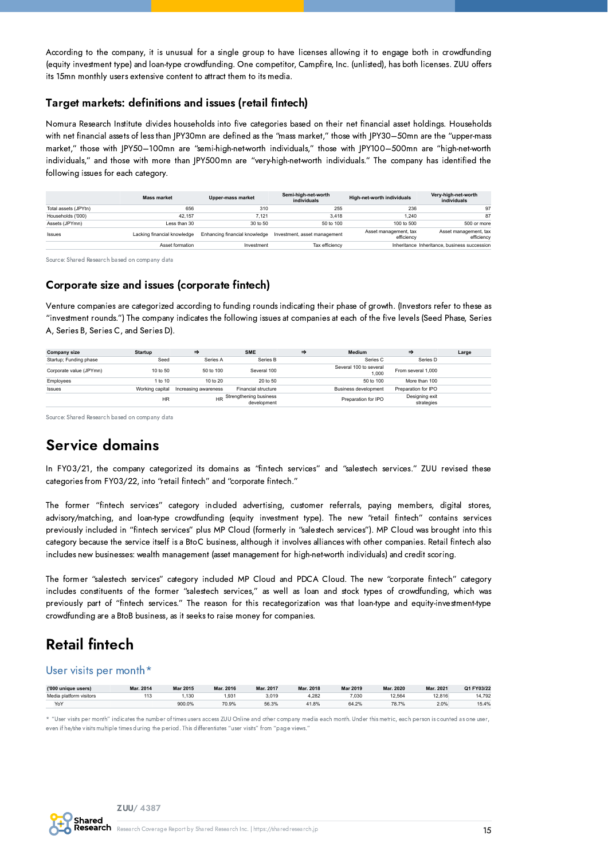According to the company, it is unusual for a single group to have licenses allowing it to engage both in crowdfunding (equity investment type) and loan-type crowdfunding. One competitor, Campfire, Inc. (unlisted), has both licenses. ZUU offers its 15mn monthly users extensive content to attract them to its media.

#### Target markets: definitions and issues (retail fintech)

Nomura Research Institute divides households into five categories based on their net financial asset holdings. Households with net financial assets of less than JPY30mn are defined as the "mass market," those with JPY30–50mn are the "upper-mass market," those with JPY50–100mn are "semi-high-net-worth individuals," those with JPY100–500mn are "high-net-worth individuals," and those with more than JPY500mn are "very-high-net-worth individuals." The company has identified the following issues for each category.

|                      | <b>Mass market</b>          | <b>Upper-mass market</b>      | Semi-high-net-worth<br>individuals | High-net-worth individuals          | Very-high-net-worth<br>individuals           |
|----------------------|-----------------------------|-------------------------------|------------------------------------|-------------------------------------|----------------------------------------------|
| Total assets (JPYtn) | 656                         | 310                           | 255                                | 236                                 | 97                                           |
| Households ('000)    | 42.157                      | 7.121                         | 3.418                              | 1.240                               | 87                                           |
| Assets (JPYmn)       | I ess than 30               | 30 to 50                      | $50 \text{ to } 100$               | 100 to 500                          | 500 or more                                  |
| <b>Issues</b>        | Lacking financial knowledge | Enhancing financial knowledge | Investment, asset management       | Asset management, tax<br>efficiency | Asset management, tax<br>efficiency          |
|                      | Asset formation             | Investment                    | Tax efficiency                     |                                     | Inheritance Inheritance, business succession |

Source: Shared Research based on company data

#### Corporate size and issues (corporate fintech)

Venture companies are categorized according to funding rounds indicating their phase of growth. (Investors refer to these as "investment rounds.") The company indicates the following issues at companies at each of the five levels (Seed Phase, Series A, Series B, Series C, and Series D).

| <b>Company size</b>     | <b>Startup</b>  | $\Rightarrow$        | <b>SME</b>                               | ⇒ | <b>Medium</b>                   | ⇒                            | Large |
|-------------------------|-----------------|----------------------|------------------------------------------|---|---------------------------------|------------------------------|-------|
| Startup; Funding phase  | Seed            | Series A             | Series B                                 |   | Series C                        | Series D                     |       |
| Corporate value (JPYmn) | 10 to 50        | 50 to 100            | Several 100                              |   | Several 100 to several<br>1.000 | From several 1.000           |       |
| Employees               | 1 to 10         | 10 to 20             | 20 to 50                                 |   | 50 to 100                       | More than 100                |       |
| <b>Issues</b>           | Working capital | Increasing awareness | Financial structure                      |   | Business development            | Preparation for IPO          |       |
|                         | <b>HR</b>       |                      | HR Strengthening business<br>development |   | Preparation for IPO             | Designing exit<br>strategies |       |

Source: Shared Research based on company data

### Service domains

In FY03/21, the company categorized its domains as "fintech services" and "salestech services." ZUU revised these categories from FY03/22, into "retail fintech" and "corporate fintech."

The former "fintech services" category included advertising, customer referrals, paying members, digital stores, advisory/matching, and loan-type crowdfunding (equity investment type). The new "retail fintech" contains services previously included in "fintech services" plus MP Cloud (formerly in "salestech services"). MP Cloud was brought into this category because the service itself is a BtoC business, although it involves alliances with other companies. Retail fintech also includes new businesses: wealth management (asset management for high-net-worth individuals) and credit scoring.

The former "salestech services" category included MP Cloud and PDCA Cloud. The new "corporate fintech" category includes constituents of the former "salestech services," as well as loan and stock types of crowdfunding, which was previously part of "fintech services." The reason for this recategorization was that loan-type and equity-investment-type crowdfunding are a BtoB business, as it seeks to raise money for companies.

### Retail fintech

#### User visits per month\*

| ('000 unique users)     | Mar. 2014 | Mar 2015 | Mar. 2016 | Mar. 2017 | Mar. 2018 | Mar 2019 | Mar. 2020 | Mar. 202 | Q1 FY03/22 |
|-------------------------|-----------|----------|-----------|-----------|-----------|----------|-----------|----------|------------|
| Media platform visitors | د ۱۰      | .130     | .93'      | 3.019     | .282      | 7.030    | 12.564    | 12.816   | 14.792     |
| YoY                     |           | 900.0%   | 70.9%     | 56.3%     | 11.8%     | 64.2%    | 78.7%     | 2.0%     | 15.4%      |

\* "User visits per month" indicates the number of times users access ZUU Online and other company media each month. Under this metric, each person is counted as one user, even if he/she visits multiple times during the period. This differentiates "user visits" from "page views.

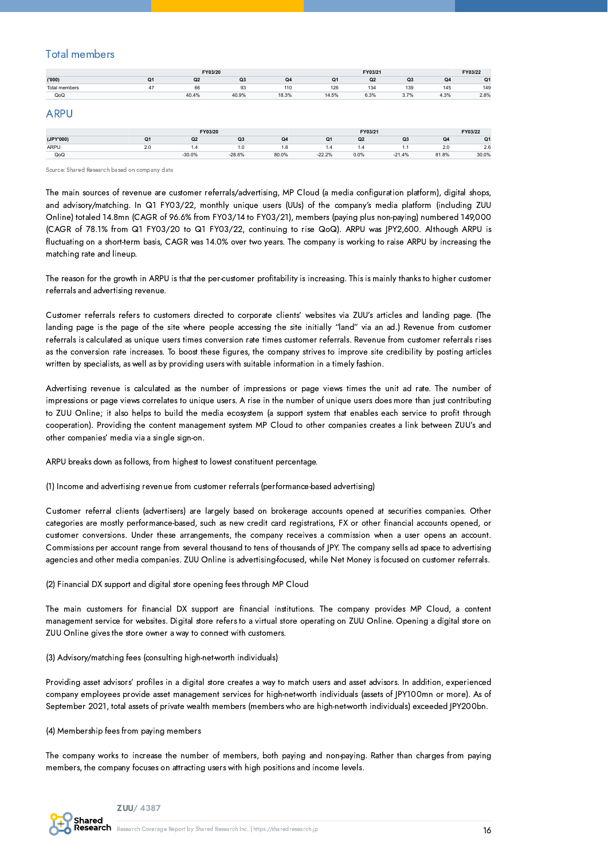#### Total members

|               | FY03/20        |          |                |       |                | FY03/21        |                |       | FY03/22 |
|---------------|----------------|----------|----------------|-------|----------------|----------------|----------------|-------|---------|
| (000)         | Q <sub>1</sub> | Q2       | Q3             | Q4    | Q <sub>1</sub> | Q2             | Q3             | Q4    | Q1      |
| Total members | 47             | 66       | 93             | 110   | 126            | 134            | 139            | 145   | 149     |
| QoQ           |                | 40.4%    | 40.9%          | 18.3% | 14.5%          | 6.3%           | 3.7%           | 4.3%  | 2.8%    |
| <b>ARPU</b>   |                |          |                |       |                |                |                |       |         |
|               |                | FY03/20  |                |       |                | FY03/21        |                |       | FY03/22 |
| (JPY'000)     | Q1             | Q2       | Q <sub>3</sub> | Q4    | Q <sub>1</sub> | Q <sub>2</sub> | Q <sub>3</sub> | Q4    | Q1      |
| ARPU          | 2.0            | 1.4      | 1.0            | 1.8   | 1.4            | 1.4            | 1.1            | 2.0   | 2.6     |
| QoQ           |                | $-30.0%$ | $-28.6%$       | 80.0% | $-22.2%$       | 0.0%           | $-21.4%$       | 81.8% | 30.0%   |

Source: Shared Research based on company data

The main sources of revenue are customer referrals/advertising, MP Cloud (a media configuration platform), digital shops, and advisory/matching. In Q1 FY03/22, monthly unique users (UUs) of the company's media platform (including ZUU Online) totaled 14.8mn (CAGR of 96.6% from FY03/14 to FY03/21), members (paying plus non-paying) numbered 149,000 (CAGR of 78.1% from Q1 FY03/20 to Q1 FY03/22, continuing to rise QoQ). ARPU was JPY2,600. Although ARPU is fluctuating on a short-term basis, CAGR was 14.0% over two years. The company is working to raise ARPU by increasing the matching rate and lineup.

The reason for the growth in ARPU is that the per-customer profitability is increasing. This is mainly thanks to higher customer referrals and advertising revenue.

Customer referrals refers to customers directed to corporate clients' websites via ZUU's articles and landing page. (The landing page is the page of the site where people accessing the site initially "land" via an ad.) Revenue from customer referrals is calculated as unique users times conversion rate times customer referrals. Revenue from customer referrals rises as the conversion rate increases. To boost these figures, the company strives to improve site credibility by posting articles written by specialists, as well as by providing users with suitable information in a timely fashion.

Advertising revenue is calculated as the number of impressions or page views times the unit ad rate. The number of impressions or page views correlates to unique users. A rise in the number of unique users does more than just contributing to ZUU Online; it also helps to build the media ecosystem (a support system that enables each service to profit through cooperation). Providing the content management system MP Cloud to other companies creates a link between ZUU's and other companies' media via a single sign-on.

ARPU breaks down as follows, from highest to lowest constituent percentage.

(1) Income and advertising revenue from customer referrals (performance-based advertising)

Customer referral clients (advertisers) are largely based on brokerage accounts opened at securities companies. Other categories are mostly performance-based, such as new credit card registrations, FX or other financial accounts opened, or customer conversions. Under these arrangements, the company receives a commission when a user opens an account. Commissions per account range from several thousand to tens of thousands of JPY. The company sells ad space to advertising agencies and other media companies. ZUU Online is advertising-focused, while Net Money is focused on customer referrals.

(2) Financial DX support and digital store opening fees through MP Cloud

The main customers for financial DX support are financial institutions. The company provides MP Cloud, a content management service for websites. Digital store refers to a virtual store operating on ZUU Online. Opening a digital store on ZUU Online gives the store owner a way to connect with customers.

(3) Advisory/matching fees (consulting high-net-worth individuals)

Providing asset advisors' profiles in a digital store creates a way to match users and asset advisors. In addition, experienced company employees provide asset management services for high-net-worth individuals (assets of JPY100mn or more). As of September 2021, total assets of private wealth members (members who are high-net-worth individuals) exceeded JPY200bn.

#### (4) Membership fees from paying members

The company works to increase the number of members, both paying and non-paying. Rather than charges from paying members, the company focuses on attracting users with high positions and income levels.

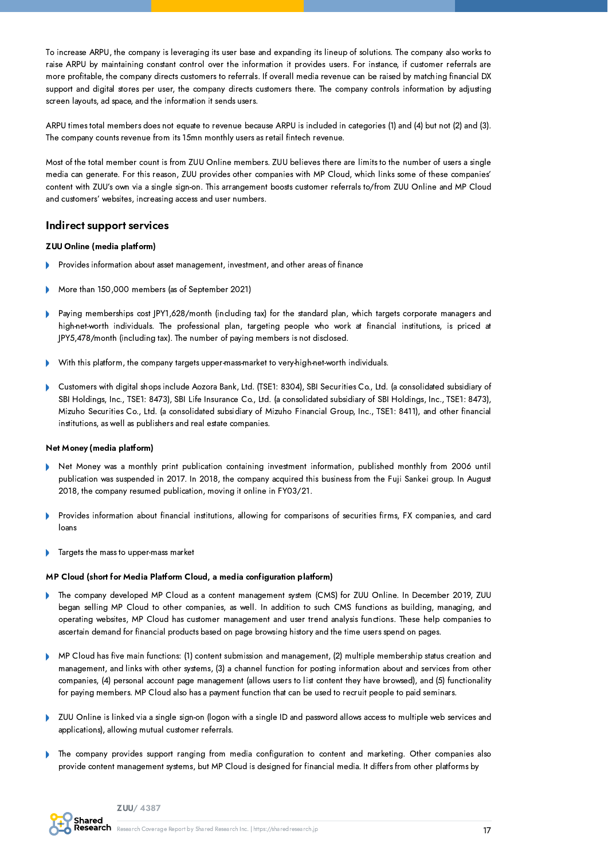To increase ARPU, the company is leveraging its user base and expanding its lineup of solutions. The company also works to raise ARPU by maintaining constant control over the information it provides users. For instance, if customer referrals are more profitable, the company directs customers to referrals. If overall media revenue can be raised by matching financial DX support and digital stores per user, the company directs customers there. The company controls information by adjusting screen layouts, ad space, and the information it sends users.

ARPU times total members does not equate to revenue because ARPU is included in categories (1) and (4) but not (2) and (3). The company counts revenue from its 15mn monthly users as retail fintech revenue.

Most of the total member count is from ZUU Online members. ZUU believes there are limits to the number of users a single media can generate. For this reason, ZUU provides other companies with MP Cloud, which links some of these companies' content with ZUU's own via a single sign-on. This arrangement boosts customer referrals to/from ZUU Online and MP Cloud and customers' websites, increasing access and user numbers.

#### Indirect support services

#### ZUU Online (media platform)

- Provides information about asset management, investment, and other areas of finance
- More than 150,000 members (as of September 2021)
- Paying memberships cost JPY1,628/month (including tax) for the standard plan, which targets corporate managers and high-net-worth individuals. The professional plan, targeting people who work at financial institutions, is priced at JPY5,478/month (including tax). The number of paying members is not disclosed.
- With this platform, the company targets upper-mass-market to very-high-net-worth individuals.
- Customers with digital shops include Aozora Bank, Ltd. (TSE1: 8304), SBI Securities Co., Ltd. (a consolidated subsidiary of SBI Holdings, Inc., TSE1: 8473), SBI Life Insurance Co., Ltd. (a consolidated subsidiary of SBI Holdings, Inc., TSE1: 8473), Mizuho Securities Co., Ltd. (a consolidated subsidiary of Mizuho Financial Group, Inc., TSE1: 8411), and other financial institutions, as well as publishers and real estate companies.

#### Net Money (media platform)

- Net Money was a monthly print publication containing investment information, published monthly from 2006 until publication was suspended in 2017. In 2018, the company acquired this business from the Fuji Sankei group. In August 2018, the company resumed publication, moving it online in FY03/21.
- Provides information about financial institutions, allowing for comparisons of securities firms, FX companies, and card loans
- Targets the mass to upper-mass market

#### MP Cloud (short for Media Platform Cloud, a media configuration platform)

- The company developed MP Cloud as a content management system (CMS) for ZUU Online. In December 2019, ZUU began selling MP Cloud to other companies, as well. In addition to such CMS functions as building, managing, and operating websites, MP Cloud has customer management and user trend analysis functions. These help companies to ascertain demand for financial products based on page browsing history and the time users spend on pages.
- MP Cloud has five main functions: (1) content submission and management, (2) multiple membership status creation and management, and links with other systems, (3) a channel function for posting information about and services from other companies, (4) personal account page management (allows users to list content they have browsed), and (5) functionality for paying members. MP Cloud also has a payment function that can be used to recruit people to paid seminars.
- ZUU Online is linked via a single sign-on (logon with a single ID and password allows access to multiple web services and applications), allowing mutual customer referrals.
- The company provides support ranging from media configuration to content and marketing. Other companies also  $\mathbf b$ provide content management systems, but MP Cloud is designed for financial media. It differs from other platforms by

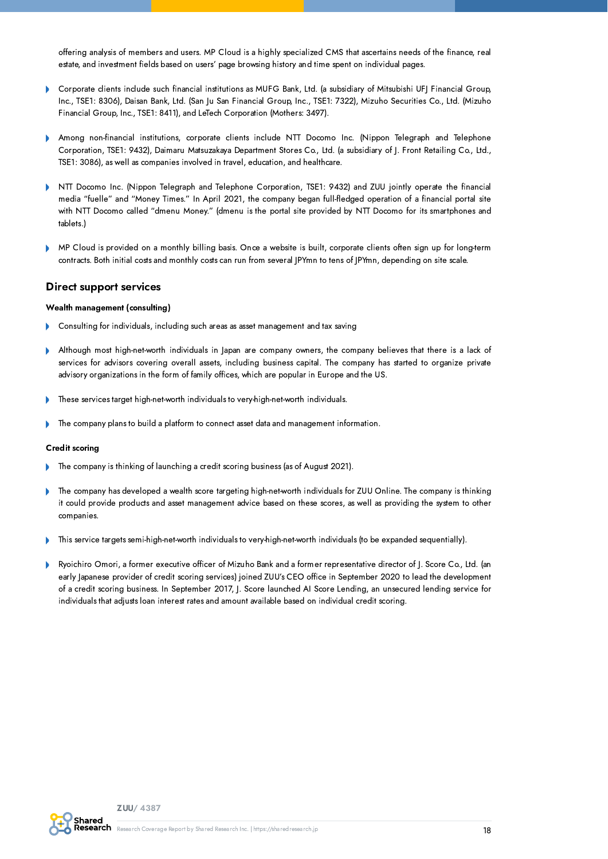offering analysis of members and users. MP Cloud is a highly specialized CMS that ascertains needs of the finance, real estate, and investment fields based on users' page browsing history and time spent on individual pages.

- Corporate clients include such financial institutions as MUFG Bank, Ltd. (a subsidiary of Mitsubishi UFJ Financial Group, Inc., TSE1: 8306), Daisan Bank, Ltd. (San Ju San Financial Group, Inc., TSE1: 7322), Mizuho Securities Co., Ltd. (Mizuho Financial Group, Inc., TSE1: 8411), and LeTech Corporation (Mothers: 3497).
- Among non-financial institutions, corporate clients include NTT Docomo Inc. (Nippon Telegraph and Telephone Corporation, TSE1: 9432), Daimaru Matsuzakaya Department Stores Co., Ltd. (a subsidiary of J. Front Retailing Co., Ltd., TSE1: 3086), as well as companies involved in travel, education, and healthcare.
- NTT Docomo Inc. (Nippon Telegraph and Telephone Corporation, TSE1: 9432) and ZUU jointly operate the financial ¥ media "fuelle" and "Money Times." In April 2021, the company began full-fledged operation of a financial portal site with NTT Docomo called "dmenu Money." (dmenu is the portal site provided by NTT Docomo for its smartphones and tablets.)
- b MP Cloud is provided on a monthly billing basis. Once a website is built, corporate clients often sign up for long-term contracts. Both initial costs and monthly costs can run from several JPYmn to tens of JPYmn, depending on site scale.

#### Direct support services

#### Wealth management (consulting)

- Consulting for individuals, including such areas as asset management and tax saving
- b Although most high-net-worth individuals in Japan are company owners, the company believes that there is a lack of services for advisors covering overall assets, including business capital. The company has started to organize private advisory organizations in the form of family offices, which are popular in Europe and the US.
- These services target high-net-worth individuals to very-high-net-worth individuals.
- The company plans to build a platform to connect asset data and management information.

#### Credit scoring

- The company is thinking of launching a credit scoring business (as of August 2021).
- The company has developed a wealth score targeting high-net-worth individuals for ZUU Online. The company is thinking it could provide products and asset management advice based on these scores, as well as providing the system to other companies.
- This service targets semi-high-net-worth individuals to very-high-net-worth individuals (to be expanded sequentially).
- Ryoichiro Omori, a former executive officer of Mizuho Bank and a former representative director of J. Score Co., Ltd. (an early Japanese provider of credit scoring services) joined ZUU's CEO office in September 2020 to lead the development of a credit scoring business. In September 2017, J. Score launched AI Score Lending, an unsecured lending service for individuals that adjusts loan interest rates and amount available based on individual credit scoring.

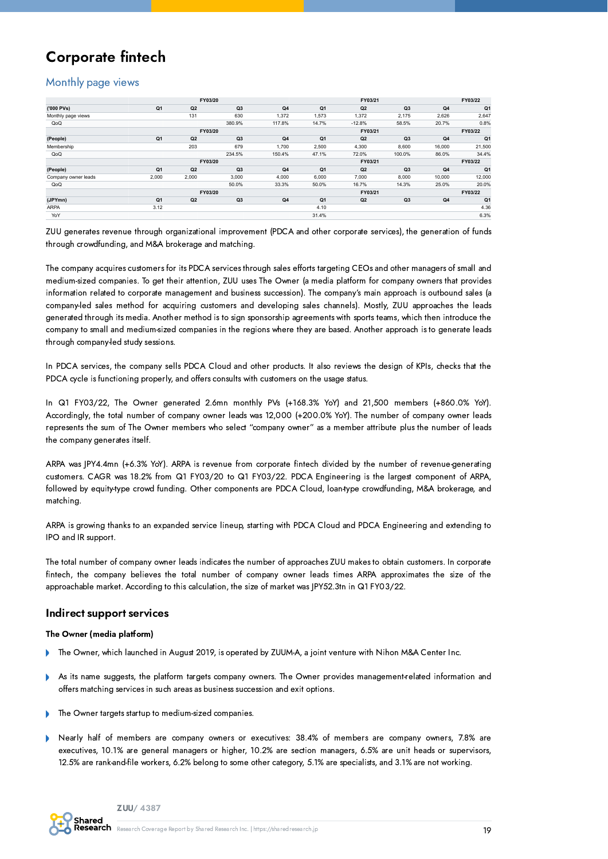## Corporate fintech

#### Monthly page views

|                     |                |                | FY03/20        |        |                |                    | FY03/21        |        | FY03/22        |
|---------------------|----------------|----------------|----------------|--------|----------------|--------------------|----------------|--------|----------------|
| ('000 PVs)          | Q <sub>1</sub> | Q <sub>2</sub> | Q <sub>3</sub> | Q4     | Q <sub>1</sub> | Q2                 | Q3             | Q4     | Q1             |
| Monthly page views  |                | 131            | 630            | 1,372  | 1,573          | 1,372              | 2,175          | 2,626  | 2,647          |
| QoQ                 |                |                | 380.9%         | 117.8% | 14.7%          | $-12.8%$           | 58.5%          | 20.7%  | 0.8%           |
|                     |                |                | FY03/20        |        |                | FY03/21            |                |        | FY03/22        |
| (People)            | Q <sub>1</sub> | Q <sub>2</sub> | Q <sub>3</sub> | Q4     | Q <sub>1</sub> | Q2                 | Q3             | Q4     | Q <sub>1</sub> |
| Membership          |                | 203            | 679            | 1.700  | 2,500          | 4,300              | 8,600          | 16,000 | 21,500         |
| QoQ                 |                |                | 234.5%         | 150.4% | 47.1%          | 72.0%              | 100.0%         | 86.0%  | 34.4%          |
|                     |                | FY03/20        |                |        |                | FY03/21            |                |        |                |
| (People)            | Q <sub>1</sub> | Q2             | Q <sub>3</sub> | Q4     | Q <sub>1</sub> | Q2                 | Q <sub>3</sub> | Q4     | Q <sub>1</sub> |
| Company owner leads | 2,000          | 2,000          | 3,000          | 4,000  | 6,000          | 7,000              | 8,000          | 10,000 | 12,000         |
| QoQ                 |                |                | 50.0%          | 33.3%  | 50.0%          | 16.7%              | 14.3%          | 25.0%  | 20.0%          |
|                     |                |                | FY03/20        |        |                | FY03/21<br>FY03/22 |                |        |                |
| (JPYmn)             | Q <sub>1</sub> | Q <sub>2</sub> | Q <sub>3</sub> | Q4     | Q <sub>1</sub> | Q2                 | Q <sub>3</sub> | Q4     | Q <sub>1</sub> |
| <b>ARPA</b>         | 3.12           |                |                |        | 4.10           |                    |                |        | 4.36           |
| YoY                 |                |                |                |        | 31.4%          |                    |                |        | 6.3%           |

ZUU generates revenue through organizational improvement (PDCA and other corporate services), the generation of funds through crowdfunding, and M&A brokerage and matching.

The company acquires customers for its PDCA services through sales efforts targeting CEOs and other managers of small and medium-sized companies. To get their attention, ZUU uses The Owner (a media platform for company owners that provides information related to corporate management and business succession). The company's main approach is outbound sales (a company-led sales method for acquiring customers and developing sales channels). Mostly, ZUU approaches the leads generated through its media. Another method is to sign sponsorship agreements with sports teams, which then introduce the company to small and medium-sized companies in the regions where they are based. Another approach is to generate leads through company-led study sessions.

In PDCA services, the company sells PDCA Cloud and other products. It also reviews the design of KPIs, checks that the PDCA cycle is functioning properly, and offers consults with customers on the usage status.

In Q1 FY03/22, The Owner generated 2.6mn monthly PVs (+168.3% YoY) and 21,500 members (+860.0% YoY). Accordingly, the total number of company owner leads was 12,000 (+200.0% YoY). The number of company owner leads represents the sum of The Owner members who select "company owner" as a member attribute plus the number of leads the company generates itself.

ARPA was JPY4.4mn (+6.3% YoY). ARPA is revenue from corporate fintech divided by the number of revenue-generating customers. CAGR was 18.2% from Q1 FY03/20 to Q1 FY03/22. PDCA Engineering is the largest component of ARPA, followed by equity-type crowd funding. Other components are PDCA Cloud, loan-type crowdfunding, M&A brokerage, and matching.

ARPA is growing thanks to an expanded service lineup, starting with PDCA Cloud and PDCA Engineering and extending to IPO and IR support.

The total number of company owner leads indicates the number of approaches ZUU makes to obtain customers. In corporate fintech, the company believes the total number of company owner leads times ARPA approximates the size of the approachable market. According to this calculation, the size of market was JPY52.3tn in Q1 FY03/22.

#### Indirect support services

#### The Owner (media platform)

- The Owner, which launched in August 2019, is operated by ZUUM-A, a joint venture with Nihon M&A Center Inc.
- As its name suggests, the platform targets company owners. The Owner provides management-related information and offers matching services in such areas as business succession and exit options.
- The Owner targets startup to medium-sized companies. b
- Nearly half of members are company owners or executives: 38.4% of members are company owners, 7.8% are executives, 10.1% are general managers or higher, 10.2% are section managers, 6.5% are unit heads or supervisors, 12.5% are rank-and-file workers, 6.2% belong to some other category, 5.1% are specialists, and 3.1% are not working.

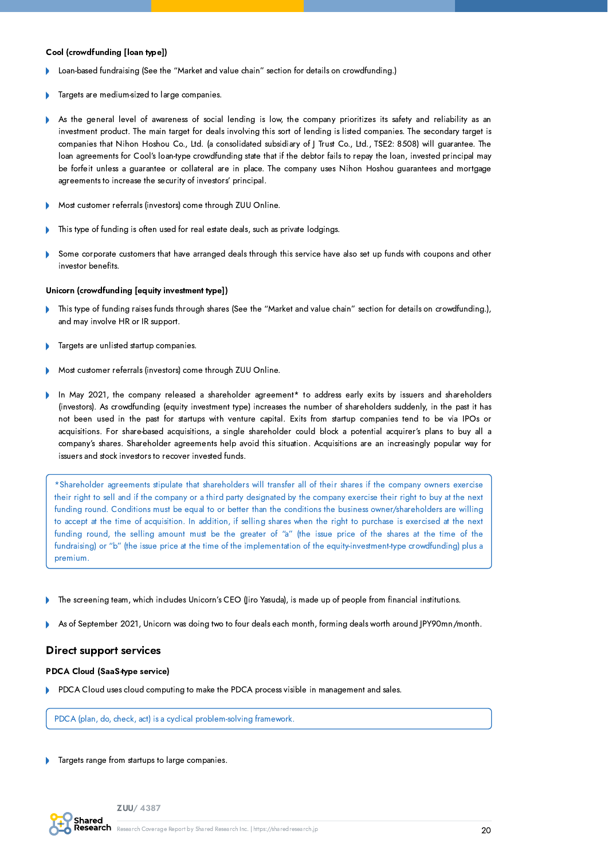#### Cool (crowdfunding [loan type])

- Loan-based fundraising (See the "Market and value chain" section for details on crowdfunding.)
- Targets are medium-sized to large companies.
- As the general level of awareness of social lending is low, the company prioritizes its safety and reliability as an b investment product. The main target for deals involving this sort of lending is listed companies. The secondary target is companies that Nihon Hoshou Co., Ltd. (a consolidated subsidiary of J Trust Co., Ltd., TSE2: 8508) will guarantee. The loan agreements for Cool's loan-type crowdfunding state that if the debtor fails to repay the loan, invested principal may be forfeit unless a guarantee or collateral are in place. The company uses Nihon Hoshou guarantees and mortgage agreements to increase the security of investors' principal.
- Most customer referrals (investors) come through ZUU Online.
- This type of funding is often used for real estate deals, such as private lodgings.
- Some corporate customers that have arranged deals through this service have also set up funds with coupons and other investor benefits.

#### Unicorn (crowdfunding [equity investment type])

- This type of funding raises funds through shares (See the "Market and value chain" section for details on crowdfunding.), and may involve HR or IR support.
- Targets are unlisted startup companies.
- Most customer referrals (investors) come through ZUU Online.
- In May 2021, the company released a shareholder agreement\* to address early exits by issuers and shareholders Ď (investors). As crowdfunding (equity investment type) increases the number of shareholders suddenly, in the past it has not been used in the past for startups with venture capital. Exits from startup companies tend to be via IPOs or acquisitions. For share-based acquisitions, a single shareholder could block a potential acquirer's plans to buy all a company's shares. Shareholder agreements help avoid this situation. Acquisitions are an increasingly popular way for issuers and stock investors to recover invested funds.

\*Shareholder agreements stipulate that shareholders will transfer all of their shares if the company owners exercise their right to sell and if the company or a third party designated by the company exercise their right to buy at the next funding round. Conditions must be equal to or better than the conditions the business owner/shareholders are willing to accept at the time of acquisition. In addition, if selling shares when the right to purchase is exercised at the next funding round, the selling amount must be the greater of "a" (the issue price of the shares at the time of the fundraising) or "b" (the issue price at the time of the implementation of the equity-investment-type crowdfunding) plus a premium.

- The screening team, which includes Unicorn's CEO (Jiro Yasuda), is made up of people from financial institutions.
- As of September 2021, Unicorn was doing two to four deals each month, forming deals worth around JPY90mn/month.

#### Direct support services

#### PDCA Cloud (SaaS-type service)

PDCA Cloud uses cloud computing to make the PDCA process visible in management and sales.

PDCA (plan, do, check, act) is a cyclical problem-solving framework.

Targets range from startups to large companies.

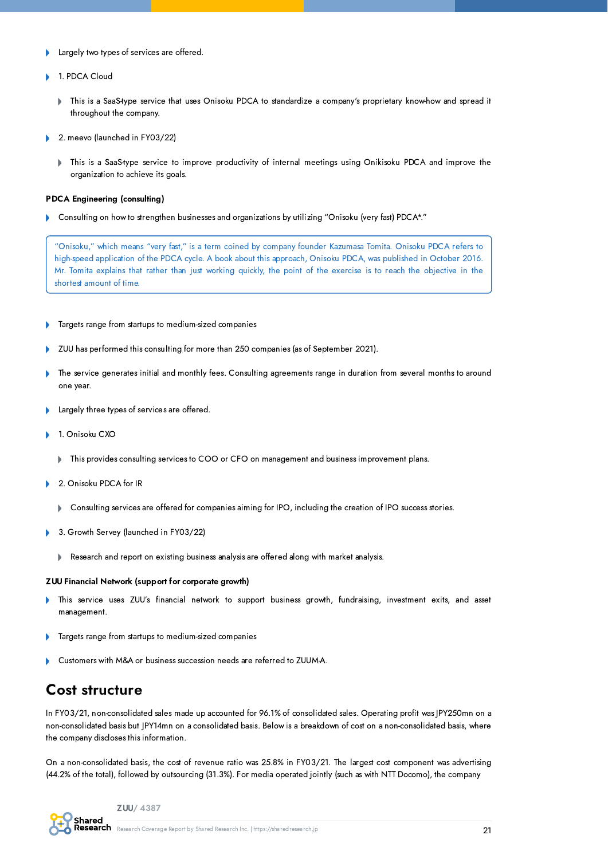- Largely two types of services are offered.  $\overline{\phantom{a}}$
- 1. PDCA Cloud
	- This is a SaaS-type service that uses Onisoku PDCA to standardize a company's proprietary know-how and spread it h throughout the company.
- 2. meevo (launched in FY03/22)
	- This is a SaaS-type service to improve productivity of internal meetings using Onikisoku PDCA and improve the  $\mathbf b$ organization to achieve its goals.

#### PDCA Engineering (consulting)

Consulting on how to strengthen businesses and organizations by utilizing "Onisoku (very fast) PDCA\*."

"Onisoku," which means "very fast," is a term coined by company founder Kazumasa Tomita. Onisoku PDCA refers to high-speed application of the PDCA cycle. A book about this approach, Onisoku PDCA, was published in October 2016. Mr. Tomita explains that rather than just working quickly, the point of the exercise is to reach the objective in the shortest amount of time.

- Targets range from startups to medium-sized companies Þ
- ZUU has performed this consulting for more than 250 companies (as of September 2021). Þ
- The service generates initial and monthly fees. Consulting agreements range in duration from several months to around  $\mathbf{r}$ one year.
- Largely three types of services are offered.
- 1. Onisoku CXO
	- This provides consulting services to COO or CFO on management and business improvement plans. ь
- 2. Onisoku PDCA for IR
	- Consulting services are offered for companies aiming for IPO, including the creation of IPO success stories.
- 3. Growth Servey (launched in FY03/22)  $\overline{\phantom{a}}$ 
	- Research and report on existing business analysis are offered along with market analysis.  $\mathbf b$

#### ZUU Financial Network (support for corporate growth)

- This service uses ZUU's financial network to support business growth, fundraising, investment exits, and asset  $\mathbf b$ management.
- Targets range from startups to medium-sized companies b
- Customers with M&A or business succession needs are referred to ZUUM-A.

### Cost structure

In FY03/21, non-consolidated sales made up accounted for 96.1% of consolidated sales. Operating profit was JPY250mn on a non-consolidated basis but JPY14mn on a consolidated basis. Below is a breakdown of cost on a non-consolidated basis, where the company discloses this information.

On a non-consolidated basis, the cost of revenue ratio was 25.8% in FY03/21. The largest cost component was advertising (44.2% of the total), followed by outsourcing (31.3%). For media operated jointly (such as with NTT Docomo), the company

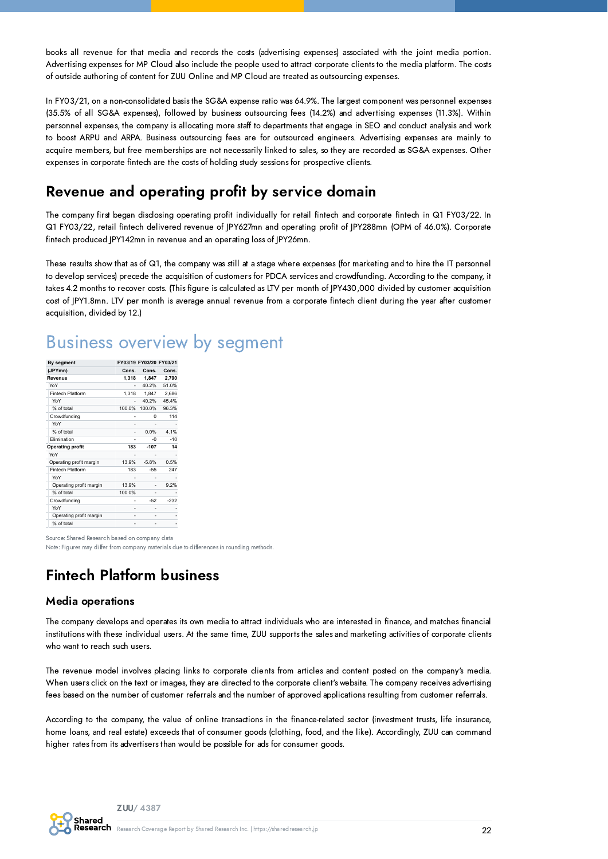books all revenue for that media and records the costs (advertising expenses) associated with the joint media portion. Advertising expenses for MP Cloud also include the people used to attract corporate clients to the media platform. The costs of outside authoring of content for ZUU Online and MP Cloud are treated as outsourcing expenses.

In FY03/21, on a non-consolidated basis the SG&A expense ratio was 64.9%. The largest component was personnel expenses (35.5% of all SG&A expenses), followed by business outsourcing fees (14.2%) and advertising expenses (11.3%). Within personnel expenses, the company is allocating more staff to departments that engage in SEO and conduct analysis and work to boost ARPU and ARPA. Business outsourcing fees are for outsourced engineers. Advertising expenses are mainly to acquire members, but free memberships are not necessarily linked to sales, so they are recorded as SG&A expenses. Other expenses in corporate fintech are the costs of holding study sessions for prospective clients.

### Revenue and operating profit by service domain

The company first began disclosing operating profit individually for retail fintech and corporate fintech in Q1 FY03/22. In Q1 FY03/22, retail fintech delivered revenue of JPY627mn and operating profit of JPY288mn (OPM of 46.0%). Corporate fintech produced JPY142mn in revenue and an operating loss of JPY26mn.

These results show that as of Q1, the company was still at a stage where expenses (for marketing and to hire the IT personnel to develop services) precede the acquisition of customers for PDCA services and crowdfunding. According to the company, it takes 4.2 months to recover costs. (This figure is calculated as LTV per month of JPY430,000 divided by customer acquisition cost of JPY1.8mn. LTV per month is average annual revenue from a corporate fintech client during the year after customer acquisition, divided by 12.)

| By segment              | FY03/19 FY03/20 FY03/21 |         |        |  |
|-------------------------|-------------------------|---------|--------|--|
| (JPYmn)                 | Cons.                   | Cons.   | Cons.  |  |
| Revenue                 | 1.318                   | 1.847   | 2,790  |  |
| YoY                     | ٠                       | 40.2%   | 51.0%  |  |
| <b>Fintech Platform</b> | 1.318                   | 1,847   | 2,686  |  |
| YoY                     |                         | 40.2%   | 45.4%  |  |
| % of total              | 100.0%                  | 100.0%  | 96.3%  |  |
| Crowdfunding            |                         | 0       | 114    |  |
| YoY                     |                         |         |        |  |
| % of total              |                         | 0.0%    | 4.1%   |  |
| Elimination             |                         | $-0$    | $-10$  |  |
| <b>Operating profit</b> | 183                     | $-107$  | 14     |  |
| YoY                     |                         |         |        |  |
| Operating profit margin | 13.9%                   | $-5.8%$ | 0.5%   |  |
| <b>Fintech Platform</b> | 183                     | $-55$   | 247    |  |
| YoY                     |                         |         |        |  |
| Operating profit margin | 13.9%                   |         | 9.2%   |  |
| % of total              | 100.0%                  |         |        |  |
| Crowdfunding            |                         | $-52$   | $-232$ |  |
| YoY                     |                         |         |        |  |
| Operating profit margin |                         |         |        |  |
| % of total              |                         |         |        |  |

## Business overview by segment

Source: Shared Research based on company data

Note: Figures may differ from company materials due to differences in rounding methods.

### Fintech Platform business

#### Media operations

The company develops and operates its own media to attract individuals who are interested in finance, and matches financial institutions with these individual users. At the same time, ZUU supports the sales and marketing activities of corporate clients who want to reach such users.

The revenue model involves placing links to corporate clients from articles and content posted on the company's media. When users click on the text or images, they are directed to the corporate client's website. The company receives advertising fees based on the number of customer referrals and the number of approved applications resulting from customer referrals.

According to the company, the value of online transactions in the finance-related sector (investment trusts, life insurance, home loans, and real estate) exceeds that of consumer goods (clothing, food, and the like). Accordingly, ZUU can command higher rates from its advertisers than would be possible for ads for consumer goods.

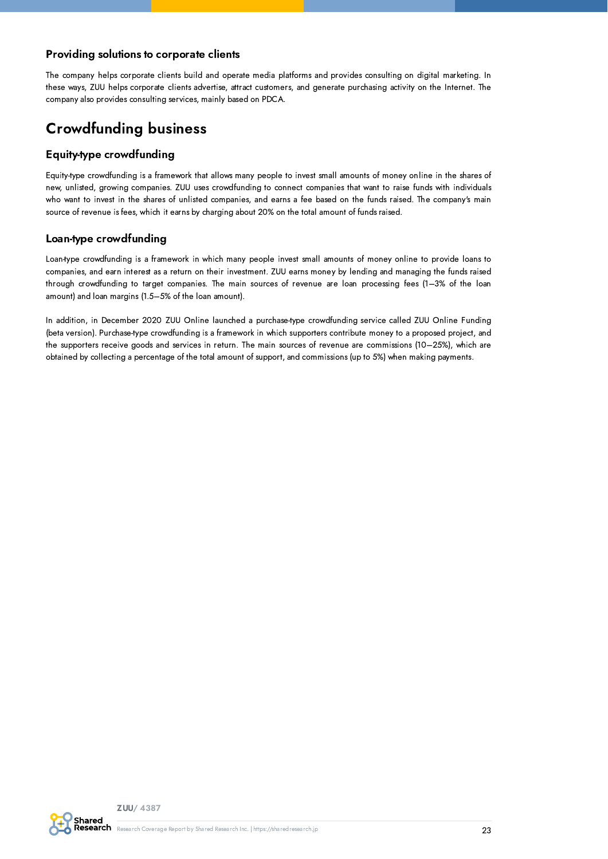#### Providing solutions to corporate clients

The company helps corporate clients build and operate media platforms and provides consulting on digital marketing. In these ways, ZUU helps corporate clients advertise, attract customers, and generate purchasing activity on the Internet. The company also provides consulting services, mainly based on PDCA.

### Crowdfunding business

#### Equity-type crowdfunding

Equity-type crowdfunding is a framework that allows many people to invest small amounts of money online in the shares of new, unlisted, growing companies. ZUU uses crowdfunding to connect companies that want to raise funds with individuals who want to invest in the shares of unlisted companies, and earns a fee based on the funds raised. The company's main source of revenue is fees, which it earns by charging about 20% on the total amount of funds raised.

#### Loan-type crowdfunding

Loan-type crowdfunding is a framework in which many people invest small amounts of money online to provide loans to companies, and earn interest as a return on their investment. ZUU earns money by lending and managing the funds raised through crowdfunding to target companies. The main sources of revenue are loan processing fees (1–3% of the loan amount) and loan margins (1.5–5% of the loan amount).

In addition, in December 2020 ZUU Online launched a purchase-type crowdfunding service called ZUU Online Funding (beta version). Purchase-type crowdfunding is a framework in which supporters contribute money to a proposed project, and the supporters receive goods and services in return. The main sources of revenue are commissions (10–25%), which are obtained by collecting a percentage of the total amount of support, and commissions (up to 5%) when making payments.

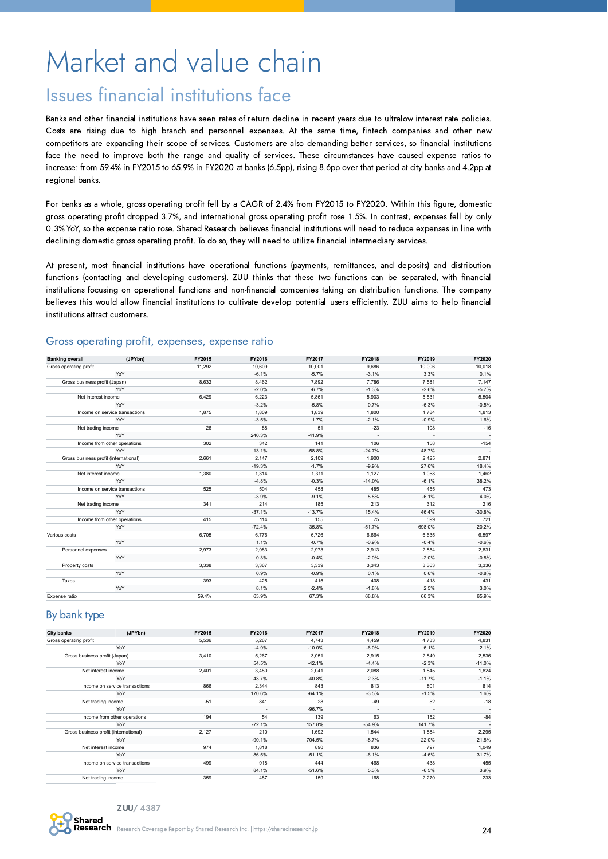# <span id="page-23-0"></span>Market and value chain

## Issues financial institutions face

Banks and other financial institutions have seen rates of return decline in recent years due to ultralow interest rate policies. Costs are rising due to high branch and personnel expenses. At the same time, fintech companies and other new competitors are expanding their scope of services. Customers are also demanding better services, so financial institutions face the need to improve both the range and quality of services. These circumstances have caused expense ratios to increase: from 59.4% in FY2015 to 65.9% in FY2020 at banks (6.5pp), rising 8.6pp over that period at city banks and 4.2pp at regional banks.

For banks as a whole, gross operating profit fell by a CAGR of 2.4% from FY2015 to FY2020. Within this figure, domestic gross operating profit dropped 3.7%, and international gross operating profit rose 1.5%. In contrast, expenses fell by only 0.3% YoY, so the expense ratio rose. Shared Research believes financial institutions will need to reduce expenses in line with declining domestic gross operating profit. To do so, they will need to utilize financial intermediary services.

At present, most financial institutions have operational functions (payments, remittances, and deposits) and distribution functions (contacting and developing customers). ZUU thinks that these two functions can be separated, with financial institutions focusing on operational functions and non-financial companies taking on distribution functions. The company believes this would allow financial institutions to cultivate develop potential users efficiently. ZUU aims to help financial institutions attract customers.

#### Gross operating profit, expenses, expense ratio

| <b>Banking overall</b>                | (JPYbn)                        | FY2015 | FY2016   | FY2017   | FY2018   | FY2019  | FY2020   |
|---------------------------------------|--------------------------------|--------|----------|----------|----------|---------|----------|
| Gross operating profit                |                                | 11,292 | 10.609   | 10,001   | 9.686    | 10.006  | 10,018   |
|                                       | YoY                            |        | $-6.1%$  | $-5.7%$  | $-3.1%$  | 3.3%    | 0.1%     |
| Gross business profit (Japan)         |                                | 8,632  | 8,462    | 7,892    | 7,786    | 7,581   | 7,147    |
|                                       | YoY                            |        | $-2.0%$  | $-6.7%$  | $-1.3%$  | $-2.6%$ | $-5.7%$  |
| Net interest income                   |                                | 6.429  | 6,223    | 5,861    | 5,903    | 5,531   | 5,504    |
|                                       | YoY                            |        | $-3.2%$  | $-5.8%$  | 0.7%     | $-6.3%$ | $-0.5%$  |
|                                       | Income on service transactions | 1,875  | 1,809    | 1,839    | 1,800    | 1,784   | 1,813    |
|                                       | YoY                            |        | $-3.5%$  | 1.7%     | $-2.1%$  | $-0.9%$ | 1.6%     |
| Net trading income                    |                                | 26     | 88       | 51       | $-23$    | 108     | $-16$    |
|                                       | YoY                            |        | 240.3%   | $-41.9%$ |          |         |          |
|                                       | Income from other operations   | 302    | 342      | 141      | 106      | 158     | $-154$   |
|                                       | YoY                            |        | 13.1%    | $-58.8%$ | $-24.7%$ | 48.7%   |          |
| Gross business profit (international) |                                | 2,661  | 2.147    | 2,109    | 1,900    | 2,425   | 2,871    |
|                                       | YoY                            |        | $-19.3%$ | $-1.7%$  | $-9.9%$  | 27.6%   | 18.4%    |
| Net interest income                   |                                | 1.380  | 1.314    | 1,311    | 1,127    | 1.058   | 1,462    |
|                                       | YoY                            |        | $-4.8%$  | $-0.3%$  | $-14.0%$ | $-6.1%$ | 38.2%    |
|                                       | Income on service transactions | 525    | 504      | 458      | 485      | 455     | 473      |
|                                       | YoY                            |        | $-3.9%$  | $-9.1%$  | 5.8%     | $-6.1%$ | 4.0%     |
| Net trading income                    |                                | 341    | 214      | 185      | 213      | 312     | 216      |
|                                       | YoY                            |        | $-37.1%$ | $-13.7%$ | 15.4%    | 46.4%   | $-30.8%$ |
|                                       | Income from other operations   | 415    | 114      | 155      | 75       | 599     | 721      |
|                                       | YoY                            |        | $-72.4%$ | 35.8%    | $-51.7%$ | 698.0%  | 20.2%    |
| Various costs                         |                                | 6,705  | 6,776    | 6,726    | 6,664    | 6,635   | 6,597    |
|                                       | YoY                            |        | 1.1%     | $-0.7%$  | $-0.9%$  | $-0.4%$ | $-0.6%$  |
| Personnel expenses                    |                                | 2.973  | 2,983    | 2,973    | 2,913    | 2,854   | 2,831    |
|                                       | YoY                            |        | 0.3%     | $-0.4%$  | $-2.0%$  | $-2.0%$ | $-0.8%$  |
| Property costs                        |                                | 3.338  | 3,367    | 3,339    | 3,343    | 3,363   | 3,336    |
|                                       | YoY                            |        | 0.9%     | $-0.9%$  | 0.1%     | 0.6%    | $-0.8%$  |
| Taxes                                 |                                | 393    | 425      | 415      | 408      | 418     | 431      |
|                                       | YoY                            |        | 8.1%     | $-2.4%$  | $-1.8%$  | 2.5%    | 3.0%     |
| Expense ratio                         |                                | 59.4%  | 63.9%    | 67.3%    | 68.8%    | 66.3%   | 65.9%    |

#### By bank type

| <b>City banks</b>                     | (JPYbn)                        | FY2015 | FY2016                   | FY2017   | FY2018                   | FY2019                   | FY2020   |
|---------------------------------------|--------------------------------|--------|--------------------------|----------|--------------------------|--------------------------|----------|
| Gross operating profit                |                                | 5,536  | 5.267                    | 4,743    | 4.459                    | 4.733                    | 4,831    |
|                                       | YoY                            |        | $-4.9%$                  | $-10.0%$ | $-6.0%$                  | 6.1%                     | 2.1%     |
| Gross business profit (Japan)         |                                | 3.410  | 5.267                    | 3,051    | 2.915                    | 2.849                    | 2,536    |
|                                       | YoY                            |        | 54.5%                    | $-42.1%$ | $-4.4%$                  | $-2.3%$                  | $-11.0%$ |
| Net interest income                   |                                | 2,401  | 3.450                    | 2,041    | 2,088                    | 1,845                    | 1,824    |
|                                       | YoY                            |        | 43.7%                    | $-40.8%$ | 2.3%                     | $-11.7%$                 | $-1.1%$  |
|                                       | Income on service transactions | 866    | 2,344                    | 843      | 813                      | 801                      | 814      |
|                                       | YoY                            |        | 170.6%                   | $-64.1%$ | $-3.5%$                  | $-1.5%$                  | 1.6%     |
| Net trading income                    |                                | $-51$  | 841                      | 28       | $-49$                    | 52                       | $-18$    |
|                                       | YoY                            |        |                          | $-96.7%$ |                          |                          |          |
|                                       |                                |        | $\overline{\phantom{a}}$ |          | $\overline{\phantom{a}}$ | $\overline{\phantom{a}}$ |          |
|                                       | Income from other operations   | 194    | 54                       | 139      | 63                       | 152                      | $-84$    |
|                                       | YoY                            |        | $-72.1%$                 | 157.8%   | $-54.9%$                 | 141.7%                   | ٠        |
| Gross business profit (international) |                                | 2,127  | 210                      | 1.692    | 1.544                    | 1.884                    | 2,295    |
|                                       | YoY                            |        | $-90.1%$                 | 704.5%   | $-8.7%$                  | 22.0%                    | 21.8%    |
| Net interest income                   |                                | 974    | 1,818                    | 890      | 836                      | 797                      | 1,049    |
|                                       | YoY                            |        | 86.5%                    | $-51.1%$ | $-6.1%$                  | $-4.6%$                  | 31.7%    |
|                                       | Income on service transactions | 499    | 918                      | 444      | 468                      | 438                      | 455      |
|                                       | YoY                            |        | 84.1%                    | $-51.6%$ | 5.3%                     | $-6.5%$                  | 3.9%     |
| Net trading income                    |                                | 359    | 487                      | 159      | 168                      | 2,270                    | 233      |

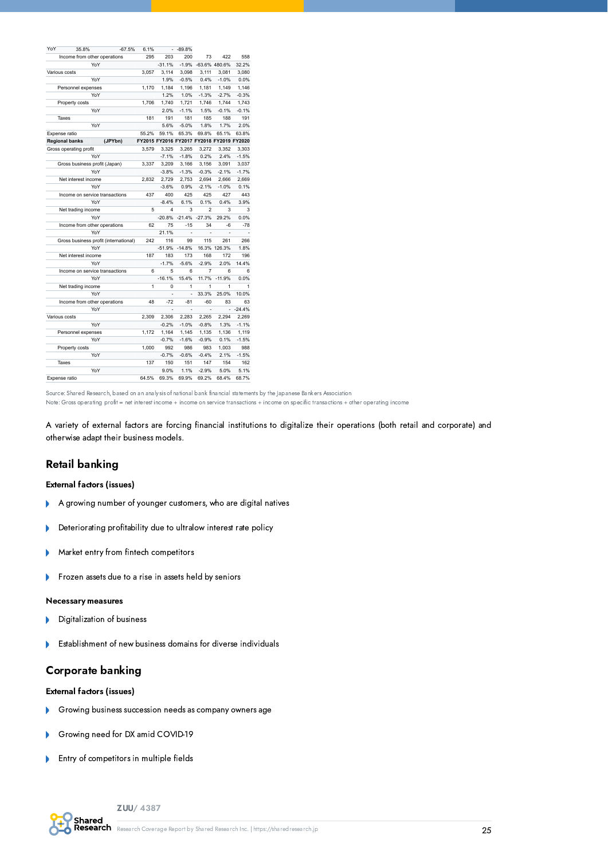| YoY | 35.8%                                 | $-67.5%$ | 6.1%  |                                           | $-89.8%$       |          |               |          |
|-----|---------------------------------------|----------|-------|-------------------------------------------|----------------|----------|---------------|----------|
|     | Income from other operations          |          | 295   | 203                                       | 200            | 73       | 422           | 558      |
|     | YoY                                   |          |       | $-31.1%$                                  | $-1.9%$        |          | -63.6% 480.6% | 32.2%    |
|     | Various costs                         |          | 3.057 | 3,114                                     | 3,098          | 3,111    | 3.081         | 3,080    |
|     | YoY                                   |          |       | 1.9%                                      | $-0.5%$        | 0.4%     | $-1.0%$       | 0.0%     |
|     | Personnel expenses                    |          | 1.170 | 1,184                                     | 1,196          | 1,181    | 1,149         | 1,146    |
|     | YoY                                   |          |       | 1.2%                                      | 1.0%           | $-1.3%$  | $-2.7%$       | $-0.3%$  |
|     | Property costs                        |          | 1,706 | 1,740                                     | 1,721          | 1,746    | 1,744         | 1,743    |
|     | YoY                                   |          |       | 2.0%                                      | $-1.1%$        | 1.5%     | $-0.1%$       | $-0.1%$  |
|     | Taxes                                 |          | 181   | 191                                       | 181            | 185      | 188           | 191      |
|     | YoY                                   |          |       | 5.6%                                      | $-5.0%$        | 1.8%     | 1.7%          | 2.0%     |
|     | Expense ratio                         |          | 55.2% | 59.1%                                     | 65.3%          | 69.8%    | 65.1%         | 63.8%    |
|     | <b>Regional banks</b>                 | (JPYbn)  |       | FY2015 FY2016 FY2017 FY2018 FY2019 FY2020 |                |          |               |          |
|     | Gross operating profit                |          | 3,579 | 3,325                                     | 3,265          | 3,272    | 3,352         | 3,303    |
|     | YoY                                   |          |       | $-7.1%$                                   | $-1.8%$        | 0.2%     | 2.4%          | $-1.5%$  |
|     | Gross business profit (Japan)         |          | 3.337 | 3,209                                     | 3.166          | 3,156    | 3.091         | 3,037    |
|     | YoY                                   |          |       | $-3.8%$                                   | $-1.3%$        | $-0.3%$  | $-2.1%$       | $-1.7%$  |
|     | Net interest income                   |          | 2.832 | 2.729                                     | 2.753          | 2.694    | 2.666         | 2.669    |
|     | YoY                                   |          |       | $-3.6%$                                   | 0.9%           | $-2.1%$  | $-1.0%$       | 0.1%     |
|     | Income on service transactions        |          | 437   | 400                                       | 425            | 425      | 427           | 443      |
|     | YoY                                   |          |       | $-8.4%$                                   | 6.1%           | 0.1%     | 0.4%          | 3.9%     |
|     | Net trading income                    |          | 5     | 4                                         | 3              | 2        | 3             | 3        |
|     | YoY                                   |          |       | $-20.8%$                                  | $-21.4%$       | $-27.3%$ | 29.2%         | 0.0%     |
|     | Income from other operations          |          | 62    | 75                                        | $-15$          | 34       | $-6$          | $-78$    |
|     | YoY                                   |          |       | 21.1%                                     | ä,             | ä,       |               |          |
|     | Gross business profit (international) |          | 242   | 116                                       | 99             | 115      | 261           | 266      |
|     | YoY                                   |          |       | $-51.9%$                                  | $-14.8%$       |          | 16.3% 126.3%  | 1.8%     |
|     | Net interest income                   |          | 187   | 183                                       | 173            | 168      | 172           | 196      |
|     | YoY                                   |          |       | $-1.7%$                                   | $-5.6%$        | $-2.9%$  | 2.0%          | 14.4%    |
|     | Income on service transactions        |          | 6     | 5                                         | 6              | 7        | 6             | 6        |
|     | YoY                                   |          |       | $-16.1%$                                  | 15.4%          | 11.7%    | $-11.9%$      | 0.0%     |
|     | Net trading income                    |          | 1     | $\Omega$                                  | 1              | 1        | 1             | 1        |
|     | YoY                                   |          |       |                                           |                | 33.3%    | 25.0%         | 10.0%    |
|     | Income from other operations          |          | 48    | $-72$                                     | $-81$          | $-60$    | 83            | 63       |
|     | YoY                                   |          |       |                                           | $\overline{a}$ |          |               | $-24.4%$ |
|     | Various costs                         |          | 2.309 | 2,306                                     | 2,283          | 2,265    | 2.294         | 2.269    |
|     | YoY                                   |          |       | $-0.2%$                                   | $-1.0%$        | $-0.8%$  | 1.3%          | $-1.1%$  |
|     | Personnel expenses                    |          | 1.172 | 1,164                                     | 1,145          | 1,135    | 1,136         | 1,119    |
|     | YoY                                   |          |       | $-0.7%$                                   | $-1.6%$        | $-0.9%$  | 0.1%          | $-1.5%$  |
|     | Property costs                        |          | 1,000 | 992                                       | 986            | 983      | 1,003         | 988      |
|     | YoY                                   |          |       | $-0.7%$                                   | $-0.6%$        | $-0.4%$  | 2.1%          | $-1.5%$  |
|     | Taxes                                 |          | 137   | 150                                       | 151            | 147      | 154           | 162      |
|     | YoY                                   |          |       | 9.0%                                      | 1.1%           | $-2.9%$  | 5.0%          | 5.1%     |
|     |                                       |          |       |                                           |                |          |               |          |
|     | Expense ratio                         |          | 64.5% | 69.3%                                     | 69.9%          | 69.2%    | 68.4%         | 68.7%    |

Source: Shared Research, based on an analysis of national bank financial statements by the Japanese Bankers Association

Note: Gross operating profit = net interest income + income on service transactions + income on specific transactions + other operating income

A variety of external factors are forcing financial institutions to digitalize their operations (both retail and corporate) and otherwise adapt their business models.

#### Retail banking

#### External factors (issues)

- A growing number of younger customers, who are digital natives ь
- Deteriorating profitability due to ultralow interest rate policy Þ
- Market entry from fintech competitors b
- Frozen assets due to a rise in assets held by seniors  $\overline{\phantom{a}}$

#### Necessary measures

- Digitalization of business ь
- Establishment of new business domains for diverse individuals  $\mathbf{b}$

#### Corporate banking

#### External factors (issues)

- Growing business succession needs as company owners age
- Growing need for DX amid COVID-19 b
- Entry of competitors in multiple fields b

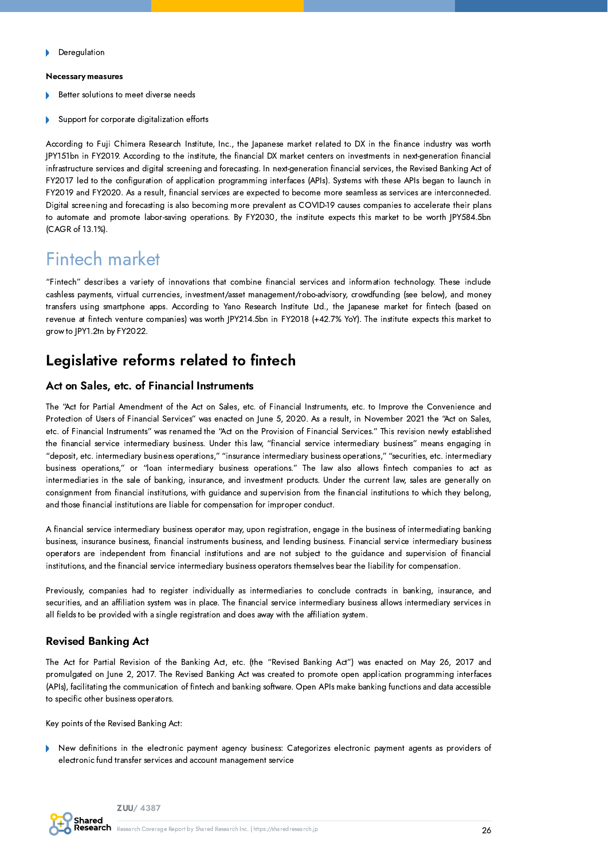#### Necessary measures

- Better solutions to meet diverse needs
- Support for corporate digitalization efforts

According to Fuji Chimera Research Institute, Inc., the Japanese market related to DX in the finance industry was worth JPY151bn in FY2019. According to the institute, the financial DX market centers on investments in next-generation financial infrastructure services and digital screening and forecasting. In next-generation financial services, the Revised Banking Act of FY2017 led to the configuration of application programming interfaces (APIs). Systems with these APIs began to launch in FY2019 and FY2020. As a result, financial services are expected to become more seamless as services are interconnected. Digital screening and forecasting is also becoming more prevalent as COVID-19 causes companies to accelerate their plans to automate and promote labor-saving operations. By FY2030, the institute expects this market to be worth JPY584.5bn (CAGR of 13.1%).

## Fintech market

"Fintech" describes a variety of innovations that combine financial services and information technology. These include cashless payments, virtual currencies, investment/asset management/robo-advisory, crowdfunding (see below), and money transfers using smartphone apps. According to Yano Research Institute Ltd., the Japanese market for fintech (based on revenue at fintech venture companies) was worth JPY214.5bn in FY2018 (+42.7% YoY). The institute expects this market to grow to JPY1.2tn by FY2022.

### Legislative reforms related to fintech

#### Act on Sales, etc. of Financial Instruments

The "Act for Partial Amendment of the Act on Sales, etc. of Financial Instruments, etc. to Improve the Convenience and Protection of Users of Financial Services" was enacted on June 5, 2020. As a result, in November 2021 the "Act on Sales, etc. of Financial Instruments" was renamed the "Act on the Provision of Financial Services." This revision newly established the financial service intermediary business. Under this law, "financial service intermediary business" means engaging in "deposit, etc. intermediary business operations," "insurance intermediary business operations," "securities, etc. intermediary business operations," or "loan intermediary business operations." The law also allows fintech companies to act as intermediaries in the sale of banking, insurance, and investment products. Under the current law, sales are generally on consignment from financial institutions, with guidance and supervision from the financial institutions to which they belong, and those financial institutions are liable for compensation for improper conduct.

A financial service intermediary business operator may, upon registration, engage in the business of intermediating banking business, insurance business, financial instruments business, and lending business. Financial service intermediary business operators are independent from financial institutions and are not subject to the guidance and supervision of financial institutions, and the financial service intermediary business operators themselves bear the liability for compensation.

Previously, companies had to register individually as intermediaries to conclude contracts in banking, insurance, and securities, and an affiliation system was in place. The financial service intermediary business allows intermediary services in all fields to be provided with a single registration and does away with the affiliation system.

#### Revised Banking Act

The Act for Partial Revision of the Banking Act, etc. (the "Revised Banking Act") was enacted on May 26, 2017 and promulgated on June 2, 2017. The Revised Banking Act was created to promote open application programming interfaces (APIs), facilitating the communication of fintech and banking software. Open APIs make banking functions and data accessible to specific other business operators.

Key points of the Revised Banking Act:

New definitions in the electronic payment agency business: Categorizes electronic payment agents as providers of electronic fund transfer services and account management service

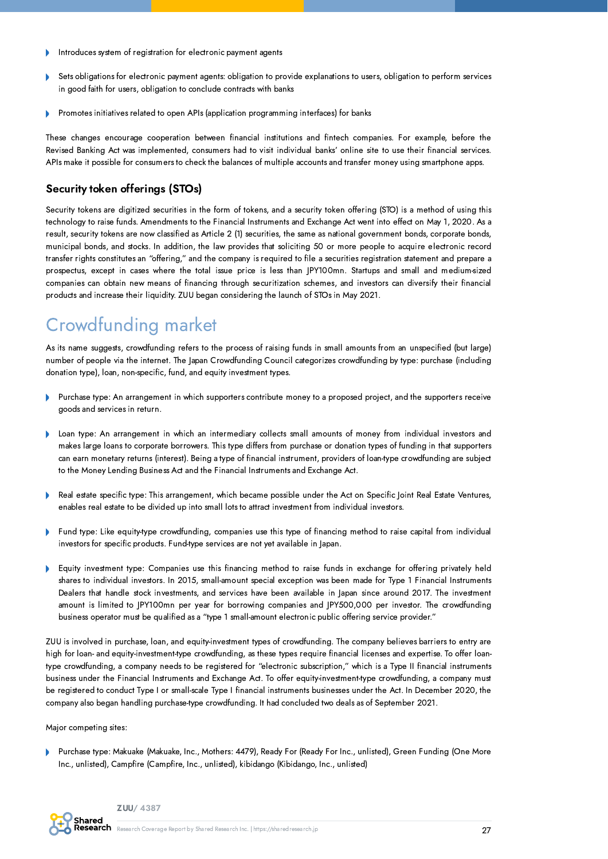- Introduces system of registration for electronic payment agents
- Sets obligations for electronic payment agents: obligation to provide explanations to users, obligation to perform services in good faith for users, obligation to conclude contracts with banks
- Promotes initiatives related to open APIs (application programming interfaces) for banks

These changes encourage cooperation between financial institutions and fintech companies. For example, before the Revised Banking Act was implemented, consumers had to visit individual banks' online site to use their financial services. APIs make it possible for consumers to check the balances of multiple accounts and transfer money using smartphone apps.

#### Security token offerings (STOs)

Security tokens are digitized securities in the form of tokens, and a security token offering (STO) is a method of using this technology to raise funds. Amendments to the Financial Instruments and Exchange Act went into effect on May 1, 2020. As a result, security tokens are now classified as Article 2 (1) securities, the same as national government bonds, corporate bonds, municipal bonds, and stocks. In addition, the law provides that soliciting 50 or more people to acquire electronic record transfer rights constitutes an "offering," and the company is required to file a securities registration statement and prepare a prospectus, except in cases where the total issue price is less than JPY100mn. Startups and small and medium-sized companies can obtain new means of financing through securitization schemes, and investors can diversify their financial products and increase their liquidity. ZUU began considering the launch of STOs in May 2021.

## Crowdfunding market

As its name suggests, crowdfunding refers to the process of raising funds in small amounts from an unspecified (but large) number of people via the internet. The Japan Crowdfunding Council categorizes crowdfunding by type: purchase (including donation type), loan, non-specific, fund, and equity investment types.

- Purchase type: An arrangement in which supporters contribute money to a proposed project, and the supporters receive goods and services in return.
- Loan type: An arrangement in which an intermediary collects small amounts of money from individual investors and b makes large loans to corporate borrowers. This type differs from purchase or donation types of funding in that supporters can earn monetary returns (interest). Being a type of financial instrument, providers of loan-type crowdfunding are subject to the Money Lending Business Act and the Financial Instruments and Exchange Act.
- Real estate specific type: This arrangement, which became possible under the Act on Specific Joint Real Estate Ventures, enables real estate to be divided up into small lots to attract investment from individual investors.
- $\mathbf{r}$ Fund type: Like equity-type crowdfunding, companies use this type of financing method to raise capital from individual investors for specific products. Fund-type services are not yet available in Japan.
- Equity investment type: Companies use this financing method to raise funds in exchange for offering privately held  $\mathbf b$ shares to individual investors. In 2015, small-amount special exception was been made for Type 1 Financial Instruments Dealers that handle stock investments, and services have been available in Japan since around 2017. The investment amount is limited to JPY100mn per year for borrowing companies and JPY500,000 per investor. The crowdfunding business operator must be qualified as a "type 1 small-amount electronic public offering service provider."

ZUU is involved in purchase, loan, and equity-investment types of crowdfunding. The company believes barriers to entry are high for loan- and equity-investment-type crowdfunding, as these types require financial licenses and expertise. To offer loantype crowdfunding, a company needs to be registered for "electronic subscription," which is a Type II financial instruments business under the Financial Instruments and Exchange Act. To offer equity-investment-type crowdfunding, a company must be registered to conduct Type I or small-scale Type I financial instruments businesses under the Act. In December 2020, the company also began handling purchase-type crowdfunding. It had concluded two deals as of September 2021.

Major competing sites:

Purchase type: Makuake (Makuake, Inc., Mothers: 4479), Ready For (Ready For Inc., unlisted), Green Funding (One More  $\mathbf{b}$ Inc., unlisted), Campfire (Campfire, Inc., unlisted), kibidango (Kibidango, Inc., unlisted)

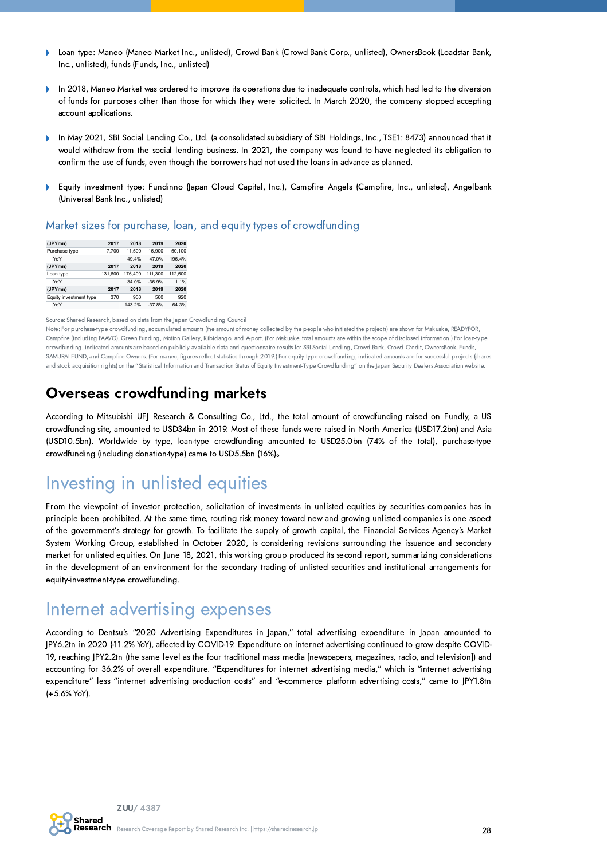- Loan type: Maneo (Maneo Market Inc., unlisted), Crowd Bank (Crowd Bank Corp., unlisted), OwnersBook (Loadstar Bank,  $\mathbf b$ Inc., unlisted), funds (Funds, Inc., unlisted)
- In 2018, Maneo Market was ordered to improve its operations due to inadequate controls, which had led to the diversion h of funds for purposes other than those for which they were solicited. In March 2020, the company stopped accepting account applications.
- In May 2021, SBI Social Lending Co., Ltd. (a consolidated subsidiary of SBI Holdings, Inc., TSE1: 8473) announced that it would withdraw from the social lending business. In 2021, the company was found to have neglected its obligation to confirm the use of funds, even though the borrowers had not used the loans in advance as planned.
- Equity investment type: Fundinno (Japan Cloud Capital, Inc.), Campfire Angels (Campfire, Inc., unlisted), Angelbank  $\mathbf{b}$ (Universal Bank Inc., unlisted)

#### Market sizes for purchase, loan, and equity types of crowdfunding

| (JPYmn)                | 2017    | 2018    | 2019     | 2020    |
|------------------------|---------|---------|----------|---------|
| Purchase type          | 7.700   | 11.500  | 16.900   | 50.100  |
| YoY                    |         | 49.4%   | 47.0%    | 196.4%  |
| (JPYmn)                | 2017    | 2018    | 2019     | 2020    |
| Loan type              | 131.600 | 176,400 | 111.300  | 112,500 |
| YoY                    |         | 34.0%   | $-36.9%$ | 1.1%    |
| (JPYmn)                | 2017    | 2018    | 2019     | 2020    |
| Equity investment type | 370     | 900     | 560      | 920     |
| YoY                    |         | 143.2%  | $-37.8%$ | 64.3%   |

#### Source: Shared Research, based on data from the Japan Crowdfunding Council

Note: For purchase-type crowdfunding, accumulated amounts (the amount of money collected by the people who initiated the projects) are shown for Makuake, READYFOR, Campfire (including FAAVO), Green Funding, Motion Gallery, Kibidango, and A-port. (For Makuake, total amounts are within the scope of disclosed information.) For loan-type crowdfunding, indicated amounts are based on publicly available data and questionnaire results for SBI Social Lending, Crowd Bank, Crowd Credit, OwnersBook, Funds, SAMURAI FUND, and Campfire Owners. (For maneo, figures reflect statistics through 2019.) For equity-type crowdfunding, indicated amounts are for successful projects (shares and stock acquisition rights) on the "Statistical Information and Transaction Status of Equity Investment-Type Crowdfunding" on the Japan Security Dealers Association website

### Overseas crowdfunding markets

According to Mitsubishi UFJ Research & Consulting Co., Ltd., the total amount of crowdfunding raised on Fundly, a US crowdfunding site, amounted to USD34bn in 2019. Most of these funds were raised in North America (USD17.2bn) and Asia (USD10.5bn). Worldwide by type, loan-type crowdfunding amounted to USD25.0bn (74% of the total), purchase-type crowdfunding (including donation-type) came to USD5.5bn (16%)。

## Investing in unlisted equities

From the viewpoint of investor protection, solicitation of investments in unlisted equities by securities companies has in principle been prohibited. At the same time, routing risk money toward new and growing unlisted companies is one aspect of the government's strategy for growth. To facilitate the supply of growth capital, the Financial Services Agency's Market System Working Group, established in October 2020, is considering revisions surrounding the issuance and secondary market for unlisted equities. On June 18, 2021, this working group produced its second report, summarizing considerations in the development of an environment for the secondary trading of unlisted securities and institutional arrangements for equity-investment-type crowdfunding.

## Internet advertising expenses

According to Dentsu's "2020 Advertising Expenditures in Japan," total advertising expenditure in Japan amounted to JPY6.2tn in 2020 (-11.2% YoY), affected by COVID-19. Expenditure on internet advertising continued to grow despite COVID-19, reaching JPY2.2tn (the same level as the four traditional mass media [newspapers, magazines, radio, and television]) and accounting for 36.2% of overall expenditure. "Expenditures for internet advertising media," which is "internet advertising expenditure" less "internet advertising production costs" and "e-commerce platform advertising costs," came to JPY1.8tn (+5.6% YoY).

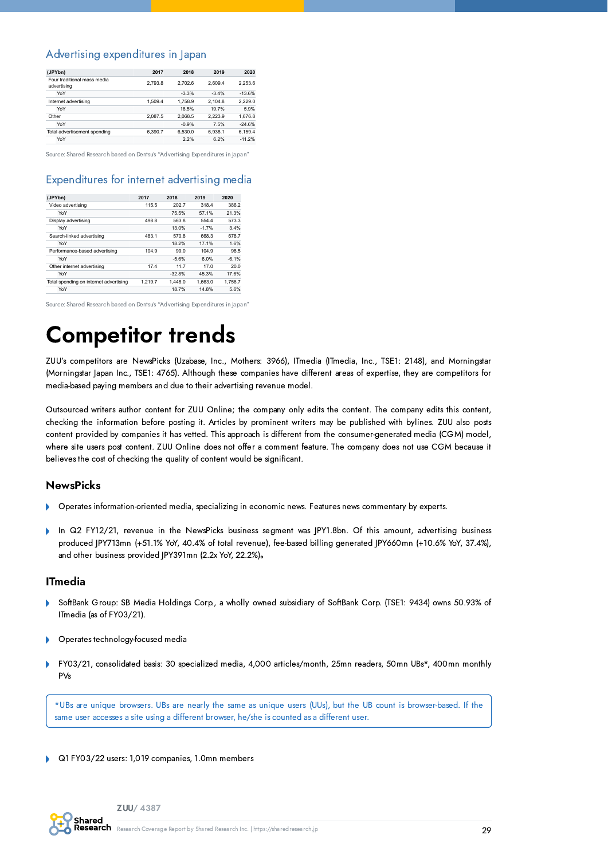#### Advertising expenditures in Japan

| (JPYbn)                                    | 2017    | 2018    | 2019    | 2020     |
|--------------------------------------------|---------|---------|---------|----------|
| Four traditional mass media<br>advertising | 2.793.8 | 2.702.6 | 2.609.4 | 2.253.6  |
| YoY                                        |         | $-3.3%$ | $-3.4%$ | $-13.6%$ |
| Internet advertising                       | 1.509.4 | 1.758.9 | 2.104.8 | 2.229.0  |
| YoY                                        |         | 16.5%   | 19.7%   | 5.9%     |
| Other                                      | 2.087.5 | 2.068.5 | 2.223.9 | 1.676.8  |
| YoY                                        |         | $-0.9%$ | 7.5%    | $-24.6%$ |
| Total advertisement spending               | 6.390.7 | 6.530.0 | 6.938.1 | 6.159.4  |
| YoY                                        |         | 2.2%    | 6.2%    | $-11.2%$ |

Source: Shared Research based on Dentsu's "Advertising Expenditures in Japan"

#### Expenditures for internet advertising media

| (JPYbn)                                | 2017    | 2018     | 2019    | 2020    |
|----------------------------------------|---------|----------|---------|---------|
| Video advertising                      | 115.5   | 202.7    | 318.4   | 386.2   |
| YoY                                    |         | 75.5%    | 57.1%   | 21.3%   |
| Display advertising                    | 498.8   | 563.8    | 554.4   | 573.3   |
| YoY                                    |         | 13.0%    | $-1.7%$ | 3.4%    |
| Search-linked advertising              | 483.1   | 570.8    | 668.3   | 678.7   |
| YoY                                    |         | 18.2%    | 17.1%   | 1.6%    |
| Performance-based advertising          | 104.9   | 99.0     | 104.9   | 98.5    |
| YoY                                    |         | $-5.6%$  | 6.0%    | $-6.1%$ |
| Other internet advertising             | 17.4    | 11.7     | 17.0    | 20.0    |
| YoY                                    |         | $-32.8%$ | 45.3%   | 17.6%   |
| Total spending on internet advertising | 1.219.7 | 1.448.0  | 1.663.0 | 1.756.7 |
| YoY                                    |         | 18.7%    | 14.8%   | 5.6%    |

Source: Shared Research based on Dentsu's "Advertising Expenditures in Japan"

## <span id="page-28-0"></span>Competitor trends

ZUU's competitors are NewsPicks (Uzabase, Inc., Mothers: 3966), ITmedia (ITmedia, Inc., TSE1: 2148), and Morningstar (Morningstar Japan Inc., TSE1: 4765). Although these companies have different areas of expertise, they are competitors for media-based paying members and due to their advertising revenue model.

Outsourced writers author content for ZUU Online; the company only edits the content. The company edits this content, checking the information before posting it. Articles by prominent writers may be published with bylines. ZUU also posts content provided by companies it has vetted. This approach is different from the consumer-generated media (CGM) model, where site users post content. ZUU Online does not offer a comment feature. The company does not use CGM because it believes the cost of checking the quality of content would be significant.

#### **NewsPicks**

- Operates information-oriented media, specializing in economic news. Features news commentary by experts.
- In Q2 FY12/21, revenue in the NewsPicks business segment was JPY1.8bn. Of this amount, advertising business b produced JPY713mn (+51.1% YoY, 40.4% of total revenue), fee-based billing generated JPY660mn (+10.6% YoY, 37.4%), and other business provided JPY391mn (2.2x YoY, 22.2%)。

#### ITmedia

- SoftBank Group: SB Media Holdings Corp., a wholly owned subsidiary of SoftBank Corp. (TSE1: 9434) owns 50.93% of ITmedia (as of FY03/21).
- Operates technology-focused media
- FY03/21, consolidated basis: 30 specialized media, 4,000 articles/month, 25mn readers, 50mn UBs\*, 400mn monthly PVs

\*UBs are unique browsers. UBs are nearly the same as unique users (UUs), but the UB count is browser-based. If the same user accesses a site using a different browser, he/she is counted as a different user.

Q1 FY03/22 users: 1,019 companies, 1.0mn members

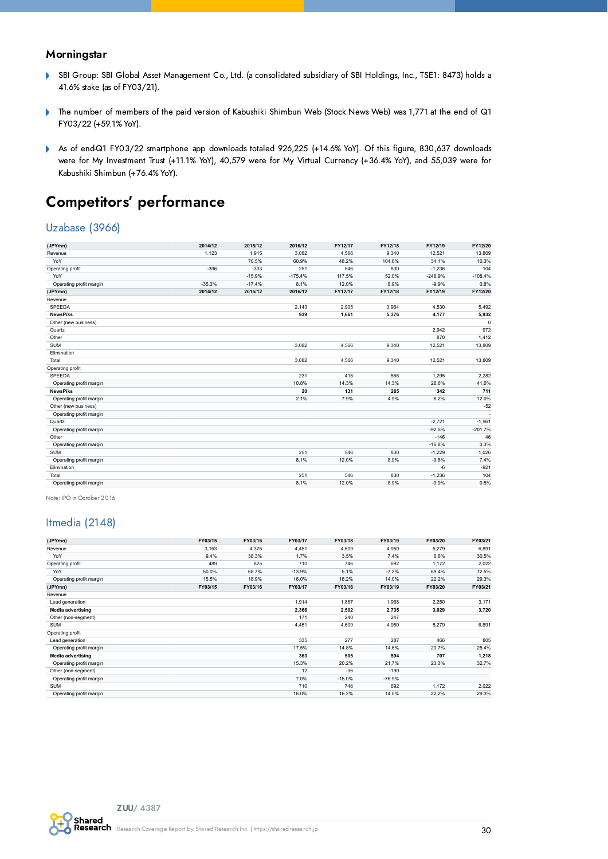#### **Morningstar**

- SBI Group: SBI Global Asset Management Co., Ltd. (a consolidated subsidiary of SBI Holdings, Inc., TSE1: 8473) holds a  $\mathbf{r}$ 41.6% stake (as of FY03/21).
- The number of members of the paid version of Kabushiki Shimbun Web (Stock News Web) was 1,771 at the end of Q1  $\mathbf{r}$ FY03/22 (+59.1% YoY).
- As of end-Q1 FY03/22 smartphone app downloads totaled 926,225 (+14.6% YoY). Of this figure, 830,637 downloads  $\mathbf{r}$ were for My Investment Trust (+11.1% YoY), 40,579 were for My Virtual Currency (+36.4% YoY), and 55,039 were for Kabushiki Shimbun (+76.4% YoY).

### Competitors' performance

#### Uzabase (3966)

| (JPYmn)                 | 2014/12  | 2015/12  | 2016/12   | FY12/17 | FY12/18 | FY12/19   | FY12/20   |
|-------------------------|----------|----------|-----------|---------|---------|-----------|-----------|
| Revenue                 | 1,123    | 1,915    | 3,082     | 4,566   | 9,340   | 12,521    | 13,809    |
| YoY                     |          | 70.5%    | 60.9%     | 48.2%   | 104.6%  | 34.1%     | 10.3%     |
| Operating profit        | $-396$   | $-333$   | 251       | 546     | 830     | $-1,236$  | 104       |
| YoY                     |          | $-15.9%$ | $-175.4%$ | 117.5%  | 52.0%   | $-248.9%$ | $-108.4%$ |
| Operating profit margin | $-35.3%$ | $-17.4%$ | 8.1%      | 12.0%   | 8.9%    | $-9.9%$   | 0.8%      |
| (JPYmn)                 | 2014/12  | 2015/12  | 2016/12   | FY12/17 | FY12/18 | FY12/19   | FY12/20   |
| Revenue                 |          |          |           |         |         |           |           |
| <b>SPEEDA</b>           |          |          | 2.143     | 2,905   | 3.964   | 4.530     | 5,492     |
| <b>NewsPiks</b>         |          |          | 939       | 1,661   | 5,376   | 4,177     | 5,932     |
| Other (new business)    |          |          |           |         |         |           | $\Omega$  |
| Quartz                  |          |          |           |         |         | 2.942     | 972       |
| Other                   |          |          |           |         |         | 870       | 1,412     |
| <b>SUM</b>              |          |          | 3.082     | 4,566   | 9,340   | 12,521    | 13,809    |
| Elimination             |          |          |           |         |         |           |           |
| Total                   |          |          | 3,082     | 4,566   | 9,340   | 12,521    | 13,809    |
| Operating profit        |          |          |           |         |         |           |           |
| SPEEDA                  |          |          | 231       | 415     | 566     | 1.295     | 2,282     |
| Operating profit margin |          |          | 10.8%     | 14.3%   | 14.3%   | 28.6%     | 41.6%     |
| <b>NewsPiks</b>         |          |          | 20        | 131     | 265     | 342       | 711       |
| Operating profit margin |          |          | 2.1%      | 7.9%    | 4.9%    | 8.2%      | 12.0%     |
| Other (new business)    |          |          |           |         |         |           | $-52$     |
| Operating profit margin |          |          |           |         |         |           |           |
| Quartz                  |          |          |           |         |         | $-2,721$  | $-1,961$  |
| Operating profit margin |          |          |           |         |         | $-92.5%$  | $-201.7%$ |
| Other                   |          |          |           |         |         | $-146$    | 46        |
| Operating profit margin |          |          |           |         |         | $-16.8%$  | 3.3%      |
| <b>SUM</b>              |          |          | 251       | 546     | 830     | $-1,229$  | 1,026     |
| Operating profit margin |          |          | 8.1%      | 12.0%   | 8.9%    | $-9.8%$   | 7.4%      |
| Elimination             |          |          |           |         |         | $-6$      | $-921$    |
| Total                   |          |          | 251       | 546     | 830     | $-1,236$  | 104       |
| Operating profit margin |          |          | 8.1%      | 12.0%   | 8.9%    | $-9.9%$   | 0.8%      |

Note: IPO in October 2016

#### Itmedia (2148)

| (JPYmn)                  | FY03/15 | FY03/16 | FY03/17  | FY03/18  | FY03/19  | FY03/20 | FY03/21 |
|--------------------------|---------|---------|----------|----------|----------|---------|---------|
| Revenue                  | 3,163   | 4,376   | 4,451    | 4,609    | 4,950    | 5,279   | 6,891   |
| YoY                      | 9.4%    | 38.3%   | 1.7%     | 3.5%     | 7.4%     | 6.6%    | 30.5%   |
| Operating profit         | 489     | 825     | 710      | 746      | 692      | 1,172   | 2,022   |
| YoY                      | 50.0%   | 68.7%   | $-13.9%$ | 5.1%     | $-7.2%$  | 69.4%   | 72.5%   |
| Operating profit margin  | 15.5%   | 18.9%   | 16.0%    | 16.2%    | 14.0%    | 22.2%   | 29.3%   |
| (JPYmn)                  | FY03/15 | FY03/16 | FY03/17  | FY03/18  | FY03/19  | FY03/20 | FY03/21 |
| Revenue                  |         |         |          |          |          |         |         |
| Lead generation          |         |         | 1,914    | 1,867    | 1,968    | 2,250   | 3,171   |
| <b>Media advertising</b> |         |         | 2,366    | 2,502    | 2,735    | 3,029   | 3,720   |
| Other (non-segment)      |         |         | 171      | 240      | 247      |         |         |
| <b>SUM</b>               |         |         | 4,451    | 4,609    | 4,950    | 5,279   | 6,891   |
| Operating profit         |         |         |          |          |          |         |         |
| Lead generation          |         |         | 335      | 277      | 287      | 466     | 805     |
| Operating profit margin  |         |         | 17.5%    | 14.8%    | 14.6%    | 20.7%   | 25.4%   |
| <b>Media advertising</b> |         |         | 363      | 505      | 594      | 707     | 1,218   |
| Operating profit margin  |         |         | 15.3%    | 20.2%    | 21.7%    | 23.3%   | 32.7%   |
| Other (non-segment)      |         |         | 12       | $-36$    | $-190$   |         |         |
| Operating profit margin  |         |         | 7.0%     | $-15.0%$ | $-76.9%$ |         |         |
| <b>SUM</b>               |         |         | 710      | 746      | 692      | 1,172   | 2,022   |
| Operating profit margin  |         |         | 16.0%    | 16.2%    | 14.0%    | 22.2%   | 29.3%   |

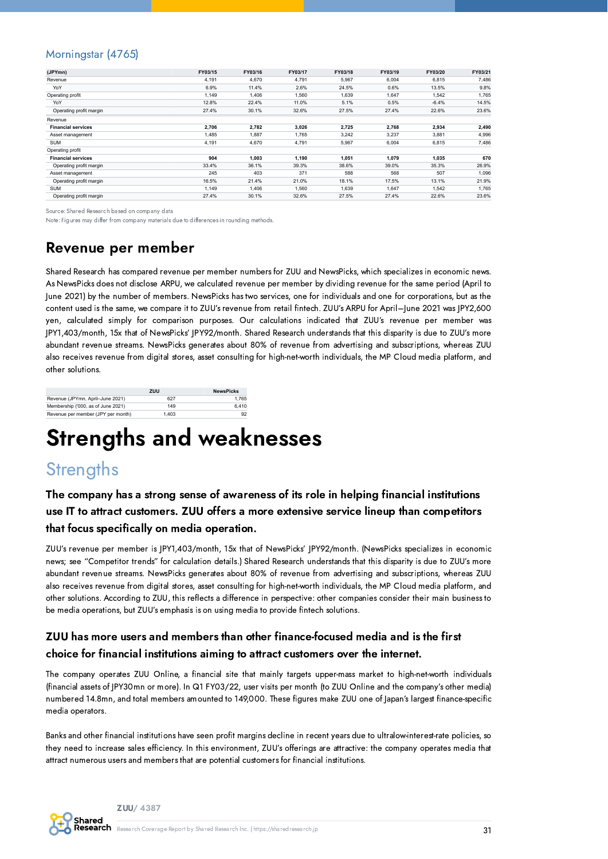#### Morningstar (4765)

| (JPYmn)                   | FY03/15 | FY03/16 | FY03/17 | FY03/18 | FY03/19 | FY03/20 | FY03/21 |
|---------------------------|---------|---------|---------|---------|---------|---------|---------|
| Revenue                   | 4,191   | 4,670   | 4.791   | 5,967   | 6,004   | 6,815   | 7,486   |
| YoY                       | 6.9%    | 11.4%   | 2.6%    | 24.5%   | 0.6%    | 13.5%   | 9.8%    |
| Operating profit          | 1,149   | 1,406   | 1,560   | 1,639   | 1,647   | 1,542   | 1,765   |
| YoY                       | 12.8%   | 22.4%   | 11.0%   | 5.1%    | 0.5%    | $-6.4%$ | 14.5%   |
| Operating profit margin   | 27.4%   | 30.1%   | 32.6%   | 27.5%   | 27.4%   | 22.6%   | 23.6%   |
| Revenue                   |         |         |         |         |         |         |         |
| <b>Financial services</b> | 2,706   | 2,782   | 3,026   | 2,725   | 2,768   | 2,934   | 2,490   |
| Asset management          | 1.485   | 1.887   | 1.765   | 3,242   | 3.237   | 3.881   | 4,996   |
| <b>SUM</b>                | 4,191   | 4,670   | 4,791   | 5,967   | 6.004   | 6,815   | 7,486   |
| Operating profit          |         |         |         |         |         |         |         |
| <b>Financial services</b> | 904     | 1,003   | 1,190   | 1,051   | 1,079   | 1,035   | 670     |
| Operating profit margin   | 33.4%   | 36.1%   | 39.3%   | 38.6%   | 39.0%   | 35.3%   | 26.9%   |
| Asset management          | 245     | 403     | 371     | 588     | 568     | 507     | 1,096   |
| Operating profit margin   | 16.5%   | 21.4%   | 21.0%   | 18.1%   | 17.5%   | 13.1%   | 21.9%   |
| <b>SUM</b>                | 1.149   | 1,406   | 1,560   | 1.639   | 1.647   | 1,542   | 1,765   |
| Operating profit margin   | 27.4%   | 30.1%   | 32.6%   | 27.5%   | 27.4%   | 22.6%   | 23.6%   |

Source: Shared Research based on company data

Note: Figures may differ from company materials due to differences in rounding methods.

## Revenue per member

Shared Research has compared revenue per member numbers for ZUU and NewsPicks, which specializes in economic news. As NewsPicks does not disclose ARPU, we calculated revenue per member by dividing revenue for the same period (April to June 2021) by the number of members. NewsPicks has two services, one for individuals and one for corporations, but as the content used is the same, we compare it to ZUU's revenue from retail fintech. ZUU's ARPU for April–June 2021 was JPY2,600 yen, calculated simply for comparison purposes. Our calculations indicated that ZUU's revenue per member was JPY1,403/month, 15x that of NewsPicks' JPY92/month. Shared Research understands that this disparity is due to ZUU's more abundant revenue streams. NewsPicks generates about 80% of revenue from advertising and subscriptions, whereas ZUU also receives revenue from digital stores, asset consulting for high-net-worth individuals, the MP Cloud media platform, and other solutions.

|                                    | zuu   | <b>NewsPicks</b> |
|------------------------------------|-------|------------------|
| Revenue (JPYmn, April-June 2021)   | 627   | 1.765            |
| Membership ('000, as of June 2021) | 149   | 6.410            |
| Revenue per member (JPY per month) | 1.403 | 92               |

## <span id="page-30-0"></span>Strengths and weaknesses

## **Strengths**

#### The company has a strong sense of awareness of its role in helping financial institutions use IT to attract customers. ZUU offers a more extensive service lineup than competitors that focus specifically on media operation.

ZUU's revenue per member is JPY1,403/month, 15x that of NewsPicks' JPY92/month. (NewsPicks specializes in economic news; see "Competitor trends" for calculation details.) Shared Research understands that this disparity is due to ZUU's more abundant revenue streams. NewsPicks generates about 80% of revenue from advertising and subscriptions, whereas ZUU also receives revenue from digital stores, asset consulting for high-net-worth individuals, the MP Cloud media platform, and other solutions. According to ZUU, this reflects a difference in perspective: other companies consider their main business to be media operations, but ZUU's emphasis is on using media to provide fintech solutions.

#### ZUU has more users and members than other finance-focused media and is the first choice for financial institutions aiming to attract customers over the internet.

The company operates ZUU Online, a financial site that mainly targets upper-mass market to high-net-worth individuals (financial assets of JPY30mn or more). In Q1 FY03/22, user visits per month (to ZUU Online and the company's other media) numbered 14.8mn, and total members amounted to 149,000. These figures make ZUU one of Japan's largest finance-specific media operators.

Banks and other financial institutions have seen profit margins decline in recent years due to ultralow-interest-rate policies, so they need to increase sales efficiency. In this environment, ZUU's offerings are attractive: the company operates media that attract numerous users and members that are potential customers for financial institutions.

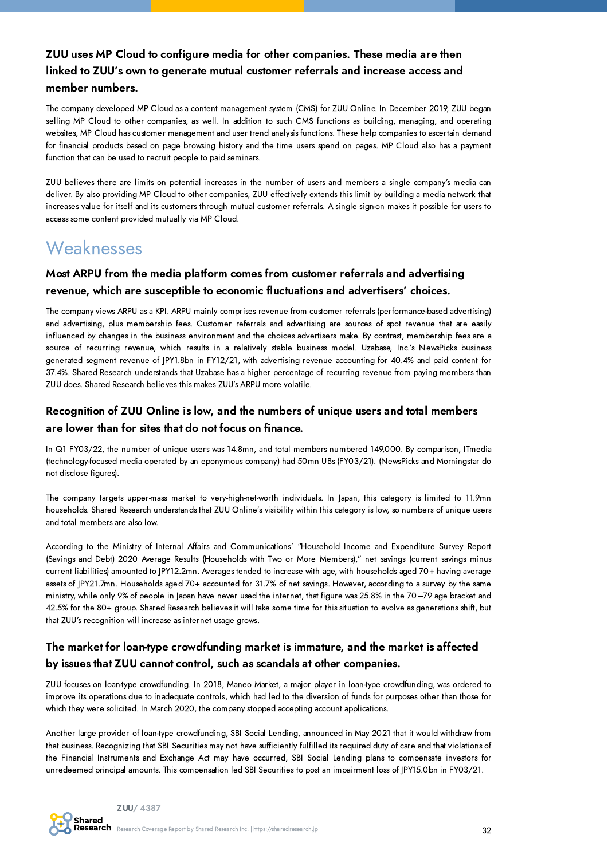#### ZUU uses MP Cloud to configure media for other companies. These media are then linked to ZUU's own to generate mutual customer referrals and increase access and member numbers.

The company developed MP Cloud as a content management system (CMS) for ZUU Online. In December 2019, ZUU began selling MP Cloud to other companies, as well. In addition to such CMS functions as building, managing, and operating websites, MP Cloud has customer management and user trend analysis functions. These help companies to ascertain demand for financial products based on page browsing history and the time users spend on pages. MP Cloud also has a payment function that can be used to recruit people to paid seminars.

ZUU believes there are limits on potential increases in the number of users and members a single company's media can deliver. By also providing MP Cloud to other companies, ZUU effectively extends this limit by building a media network that increases value for itself and its customers through mutual customer referrals. A single sign-on makes it possible for users to access some content provided mutually via MP Cloud.

## **Weaknesses**

#### Most ARPU from the media platform comes from customer referrals and advertising revenue, which are susceptible to economic fluctuations and advertisers' choices.

The company views ARPU as a KPI. ARPU mainly comprises revenue from customer referrals (performance-based advertising) and advertising, plus membership fees. Customer referrals and advertising are sources of spot revenue that are easily influenced by changes in the business environment and the choices advertisers make. By contrast, membership fees are a source of recurring revenue, which results in a relatively stable business model. Uzabase, Inc.'s NewsPicks business generated segment revenue of JPY1.8bn in FY12/21, with advertising revenue accounting for 40.4% and paid content for 37.4%. Shared Research understands that Uzabase has a higher percentage of recurring revenue from paying members than ZUU does. Shared Research believes this makes ZUU's ARPU more volatile.

#### Recognition of ZUU Online is low, and the numbers of unique users and total members are lower than for sites that do not focus on finance.

In Q1 FY03/22, the number of unique users was 14.8mn, and total members numbered 149,000. By comparison, ITmedia (technology-focused media operated by an eponymous company) had 50mn UBs (FY03/21). (NewsPicks and Morningstar do not disclose figures).

The company targets upper-mass market to very-high-net-worth individuals. In Japan, this category is limited to 11.9mn households. Shared Research understands that ZUU Online's visibility within this category is low, so numbers of unique users and total members are also low.

According to the Ministry of Internal Affairs and Communications' "Household Income and Expenditure Survey Report (Savings and Debt) 2020 Average Results (Households with Two or More Members)," net savings (current savings minus current liabilities) amounted to JPY12.2mn. Averages tended to increase with age, with households aged 70+ having average assets of JPY21.7mn. Households aged 70+ accounted for 31.7% of net savings. However, according to a survey by the same ministry, while only 9% of people in Japan have never used the internet, that figure was 25.8% in the 70–79 age bracket and 42.5% for the 80+ group. Shared Research believes it will take some time for this situation to evolve as generations shift, but that ZUU's recognition will increase as internet usage grows.

#### The market for loan-type crowdfunding market is immature, and the market is affected by issues that ZUU cannot control, such as scandals at other companies.

ZUU focuses on loan-type crowdfunding. In 2018, Maneo Market, a major player in loan-type crowdfunding, was ordered to improve its operations due to inadequate controls, which had led to the diversion of funds for purposes other than those for which they were solicited. In March 2020, the company stopped accepting account applications.

Another large provider of loan-type crowdfunding, SBI Social Lending, announced in May 2021 that it would withdraw from that business. Recognizing that SBI Securities may not have sufficiently fulfilled its required duty of care and that violations of the Financial Instruments and Exchange Act may have occurred, SBI Social Lending plans to compensate investors for unredeemed principal amounts. This compensation led SBI Securities to post an impairment loss of JPY15.0bn in FY03/21.

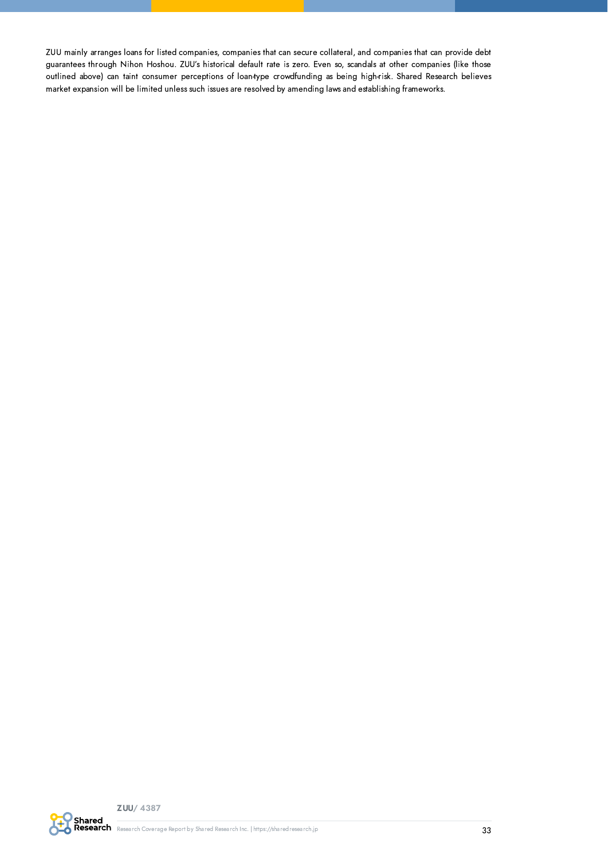ZUU mainly arranges loans for listed companies, companies that can secure collateral, and companies that can provide debt guarantees through Nihon Hoshou. ZUU's historical default rate is zero. Even so, scandals at other companies (like those outlined above) can taint consumer perceptions of loan-type crowdfunding as being high-risk. Shared Research believes market expansion will be limited unless such issues are resolved by amending laws and establishing frameworks.

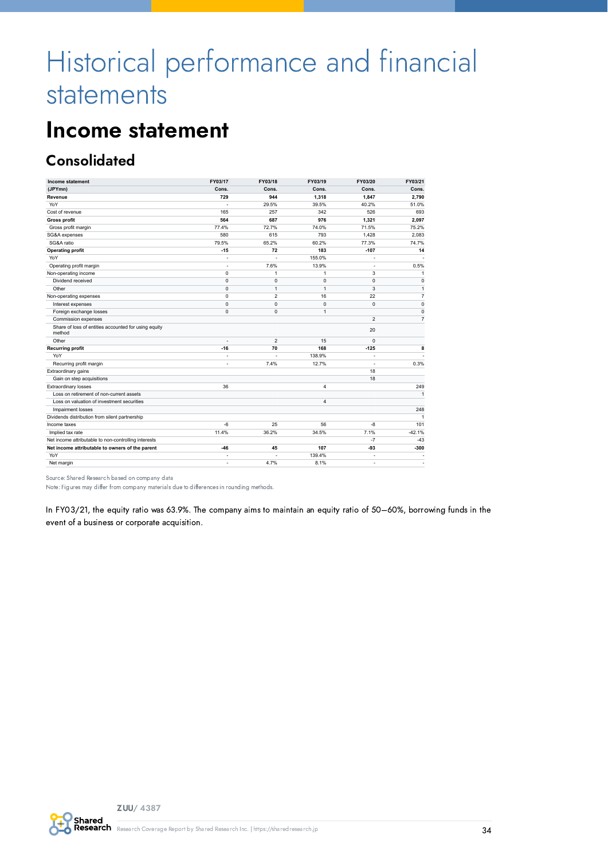# <span id="page-33-0"></span>Historical performance and financial statements

## <span id="page-33-1"></span>Income statement

## **Consolidated**

| Income statement                                               | FY03/17                  | FY03/18        | FY03/19        | FY03/20        | FY03/21        |
|----------------------------------------------------------------|--------------------------|----------------|----------------|----------------|----------------|
| (JPYmn)                                                        | Cons.                    | Cons.          | Cons.          | Cons.          | Cons.          |
| Revenue                                                        | 729                      | 944            | 1,318          | 1.847          | 2.790          |
| YoY                                                            | ä,                       | 29.5%          | 39.5%          | 40.2%          | 51.0%          |
| Cost of revenue                                                | 165                      | 257            | 342            | 526            | 693            |
| <b>Gross profit</b>                                            | 564                      | 687            | 976            | 1,321          | 2,097          |
| Gross profit margin                                            | 77.4%                    | 72.7%          | 74.0%          | 71.5%          | 75.2%          |
| SG&A expenses                                                  | 580                      | 615            | 793            | 1.428          | 2.083          |
| SG&A ratio                                                     | 79.5%                    | 65.2%          | 60.2%          | 77.3%          | 74.7%          |
| <b>Operating profit</b>                                        | $-15$                    | 72             | 183            | $-107$         | 14             |
| YoY                                                            |                          |                | 155.0%         |                |                |
| Operating profit margin                                        | ä,                       | 7.6%           | 13.9%          | ٠              | 0.5%           |
| Non-operating income                                           | 0                        | 1              | 1              | 3              | $\mathbf{1}$   |
| Dividend received                                              | $\mathbf 0$              | $\mathbf 0$    | $\mathbf 0$    | $\mathbf 0$    | $\mathbf 0$    |
| Other                                                          | $\mathbf 0$              | $\mathbf{1}$   | $\mathbf{1}$   | 3              | $\mathbf{1}$   |
| Non-operating expenses                                         | 0                        | $\overline{2}$ | 16             | 22             | $\overline{7}$ |
| Interest expenses                                              | $\mathbf 0$              | $\mathbf 0$    | $\mathbf 0$    | $\mathbf 0$    | $\pmb{0}$      |
| Foreign exchange losses                                        | $\mathbf 0$              | $\mathbf 0$    | $\mathbf{1}$   |                | $\pmb{0}$      |
| Commission expenses                                            |                          |                |                | $\overline{2}$ | $\overline{7}$ |
| Share of loss of entities accounted for using equity<br>method |                          |                |                | 20             |                |
| Other                                                          |                          | $\overline{2}$ | 15             | $\mathbf 0$    |                |
| <b>Recurring profit</b>                                        | $-16$                    | 70             | 168            | $-125$         | 8              |
| YoY                                                            | ÷                        |                | 138.9%         | ×.             |                |
| Recurring profit margin                                        | $\overline{\phantom{a}}$ | 7.4%           | 12.7%          | ٠              | 0.3%           |
| Extraordinary gains                                            |                          |                |                | 18             |                |
| Gain on step acquisitions                                      |                          |                |                | 18             |                |
| Extraordinary losses                                           | 36                       |                | 4              |                | 249            |
| Loss on retirement of non-current assets                       |                          |                |                |                | $\mathbf{1}$   |
| Loss on valuation of investment securities                     |                          |                | $\overline{4}$ |                |                |
| Impairment losses                                              |                          |                |                |                | 248            |
| Dividends distribution from silent partnership                 |                          |                |                |                | $\mathbf{1}$   |
| Income taxes                                                   | $-6$                     | 25             | 56             | -8             | 101            |
| Implied tax rate                                               | 11.4%                    | 36.2%          | 34.5%          | 7.1%           | $-42.1%$       |
| Net income attributable to non-controlling interests           |                          |                |                | $-7$           | $-43$          |
| Net income attributable to owners of the parent                | $-46$                    | 45             | 107            | $-93$          | $-300$         |
| YoY                                                            |                          |                | 139.4%         |                |                |
| Net margin                                                     | ٠                        | 4.7%           | 8.1%           | ×.             |                |

Source: Shared Research based on company data

Note: Figures may differ from company materials due to differences in rounding methods.

In FY03/21, the equity ratio was 63.9%. The company aims to maintain an equity ratio of 50–60%, borrowing funds in the event of a business or corporate acquisition.

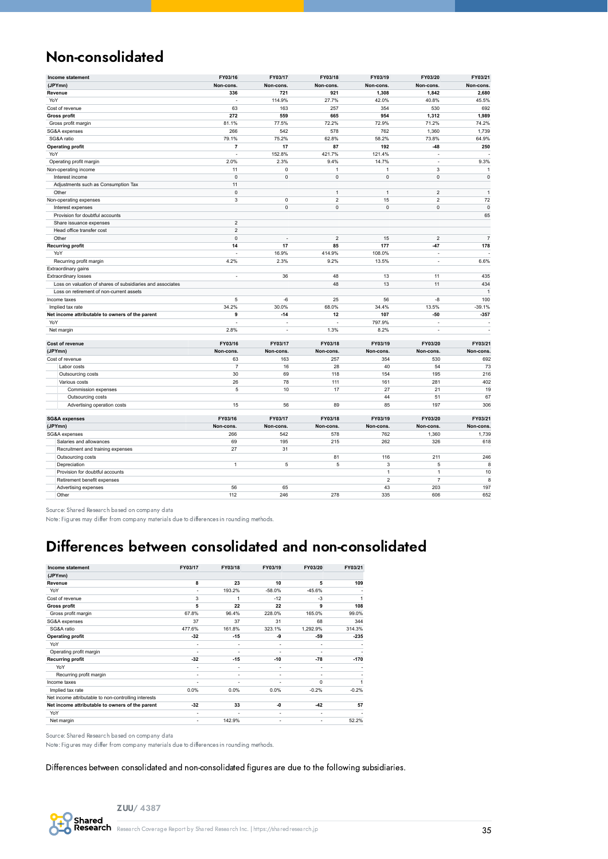## Non-consolidated

| Income statement                                           | FY03/16        | FY03/17     | FY03/18        | FY03/19                 | FY03/20        | FY03/21        |
|------------------------------------------------------------|----------------|-------------|----------------|-------------------------|----------------|----------------|
| (JPYmn)                                                    | Non-cons.      | Non-cons.   | Non-cons.      | Non-cons.               | Non-cons.      | Non-cons.      |
| Revenue                                                    | 336            | 721         | 921            | 1,308                   | 1,842          | 2,680          |
| YoY                                                        | $\sim$         | 114.9%      | 27.7%          | 42.0%                   | 40.8%          | 45.5%          |
| Cost of revenue                                            | 63             | 163         | 257            | 354                     | 530            | 692            |
| <b>Gross profit</b>                                        | 272            | 559         | 665            | 954                     | 1,312          | 1,989          |
| Gross profit margin                                        | 81.1%          | 77.5%       | 72.2%          | 72.9%                   | 71.2%          | 74.2%          |
| SG&A expenses                                              | 266            | 542         | 578            | 762                     | 1,360          | 1,739          |
| SG&A ratio                                                 | 79.1%          | 75.2%       | 62.8%          | 58.2%                   | 73.8%          | 64.9%          |
| <b>Operating profit</b>                                    | $\overline{7}$ | 17          | 87             | 192                     | $-48$          | 250            |
| YoY                                                        | ÷,             | 152.8%      | 421.7%         | 121.4%                  | ÷,             |                |
| Operating profit margin                                    | 2.0%           | 2.3%        | 9.4%           | 14.7%                   | ÷.             | 9.3%           |
| Non-operating income                                       | 11             | 0           | $\overline{1}$ | $\overline{1}$          | 3              | $\mathbf{1}$   |
| Interest income                                            | $\mathbf 0$    | 0           | $\mathbf 0$    | $\mathsf 0$             | $\mathbf 0$    | $\pmb{0}$      |
| Adjustments such as Consumption Tax                        | 11             |             |                |                         |                |                |
| Other                                                      | $\mathbf 0$    |             | $\mathbf{1}$   | $\mathbf{1}$            | $\overline{2}$ | $\mathbf{1}$   |
| Non-operating expenses                                     | 3              | 0           | $\overline{2}$ | 15                      | $\overline{2}$ | 72             |
| Interest expenses                                          |                | $\mathsf 0$ | $\mathsf 0$    | $\mathsf 0$             | $\mathbf 0$    | $\pmb{0}$      |
| Provision for doubtful accounts                            |                |             |                |                         |                | 65             |
| Share issuance expenses                                    | $\overline{2}$ |             |                |                         |                |                |
| Head office transfer cost                                  | $\mathbf 2$    |             |                |                         |                |                |
| Other                                                      | $\mathbf 0$    | ÷,          | $\overline{2}$ | 15                      | $\overline{2}$ | $\overline{7}$ |
| <b>Recurring profit</b>                                    | 14             | 17          | 85             | 177                     | $-47$          | 178            |
| YoY                                                        | L.             | 16.9%       | 414.9%         | 108.0%                  | ÷,             |                |
| Recurring profit margin                                    | 4.2%           | 2.3%        | 9.2%           | 13.5%                   | ÷,             | 6.6%           |
| Extraordinary gains                                        |                |             |                |                         |                |                |
| Extraordinary losses                                       | ÷,             | 36          | 48             | 13                      | 11             | 435            |
| Loss on valuation of shares of subsidiaries and associates |                |             | 48             | 13                      | 11             | 434            |
| Loss on retirement of non-current assets                   |                |             |                |                         |                | $\overline{1}$ |
| Income taxes                                               | 5              | $-6$        | 25             | 56                      | -8             | 100            |
| Implied tax rate                                           | 34.2%          | 30.0%       | 68.0%          | 34.4%                   | 13.5%          | $-39.1%$       |
| Net income attributable to owners of the parent            | 9              | $-14$       | 12             | 107                     | $-50$          | $-357$         |
| YoY                                                        |                |             |                | 797.9%                  |                |                |
| Net margin                                                 | 2.8%           | L.          | 1.3%           | 8.2%                    | J.             | ÷,             |
|                                                            |                |             |                |                         |                |                |
| Cost of revenue                                            | FY03/16        | FY03/17     | FY03/18        | FY03/19                 | FY03/20        | FY03/21        |
| (JPYmn)                                                    | Non-cons.      | Non-cons.   | Non-cons.      | Non-cons.               | Non-cons.      | Non-cons.      |
| Cost of revenue                                            | 63             | 163         | 257            | 354                     | 530            | 692            |
| Labor costs                                                | $\overline{7}$ | 16          | 28             | 40                      | 54             | 73             |
| Outsourcing costs                                          | 30             | 69          | 118            | 154                     | 195            | 216            |
| Various costs                                              | 26             | 78          | 111            | 161                     | 281            | 402            |
| Commission expenses                                        | 5              | 10          | 17             | 27                      | 21             | 19             |
| Outsourcing costs                                          |                |             |                | 44                      | 51             | 67             |
| Advertising operation costs                                | 15             | 56          | 89             | 85                      | 197            | 306            |
| <b>SG&amp;A expenses</b>                                   | FY03/16        | FY03/17     | FY03/18        | FY03/19                 | FY03/20        | FY03/21        |
| (JPYmn)                                                    | Non-cons.      | Non-cons.   | Non-cons.      | Non-cons.               | Non-cons.      | Non-cons.      |
| SG&A expenses                                              | 266            | 542         | 578            | 762                     | 1,360          | 1,739          |
| Salaries and allowances                                    | 69             | 195         | 215            | 262                     | 326            | 618            |
| Recruitment and training expenses                          | 27             | 31          |                |                         |                |                |
| Outsourcing costs                                          |                |             | 81             | 116                     | 211            | 246            |
| Depreciation                                               | $\mathbf{1}$   | 5           | 5              | 3                       | 5              | 8              |
| Provision for doubtful accounts                            |                |             |                | $\mathbf{1}$            | $\overline{1}$ | 10             |
| Retirement benefit expenses                                |                |             |                | $\overline{\mathbf{c}}$ | $\overline{7}$ | 8              |
| Advertising expenses                                       | 56             | 65          |                | 43                      | 203            | 197            |
| Other                                                      | 112            | 246         | 278            | 335                     | 606            | 652            |
|                                                            |                |             |                |                         |                |                |

Source: Shared Research based on company data

Note: Figures may differ from company materials due to differences in rounding methods.

## Differences between consolidated and non-consolidated

| Income statement                                     | FY03/17                  | FY03/18                  | FY03/19                      | FY03/20  | FY03/21 |
|------------------------------------------------------|--------------------------|--------------------------|------------------------------|----------|---------|
| (JPYmn)                                              |                          |                          |                              |          |         |
| Revenue                                              | 8                        | 23                       | 10                           | 5        | 109     |
| YoY                                                  | ٠                        | 193.2%                   | $-58.0%$                     | $-45.6%$ |         |
| Cost of revenue                                      | 3                        | 1                        | $-12$                        | $-3$     | 1       |
| <b>Gross profit</b>                                  | 5                        | 22                       | 22                           | 9        | 108     |
| Gross profit margin                                  | 67.8%                    | 96.4%                    | 228.0%                       | 165.0%   | 99.0%   |
| SG&A expenses                                        | 37                       | 37                       | 31                           | 68       | 344     |
| SG&A ratio                                           | 477.6%                   | 161.8%                   | 323.1%                       | 1,292.9% | 314.3%  |
| <b>Operating profit</b>                              | $-32$                    | $-15$                    | -9                           | -59      | $-235$  |
| YoY                                                  | ۰                        | $\overline{\phantom{a}}$ | ٠                            | ٠        |         |
| Operating profit margin                              |                          | ٠                        |                              |          |         |
| <b>Recurring profit</b>                              | $-32$                    | $-15$                    | $-10$                        | $-78$    | $-170$  |
| YoY                                                  | ٠                        | $\overline{\phantom{a}}$ | ٠                            | ٠        |         |
| Recurring profit margin                              | $\overline{\phantom{a}}$ | $\overline{\phantom{a}}$ | ٠                            | ٠        |         |
| Income taxes                                         | ۰                        |                          |                              | $\Omega$ |         |
| Implied tax rate                                     | 0.0%                     | 0.0%                     | 0.0%                         | $-0.2%$  | $-0.2%$ |
| Net income attributable to non-controlling interests |                          |                          |                              |          |         |
| Net income attributable to owners of the parent      | $-32$                    | 33                       | -0                           | $-42$    | 57      |
| YoY                                                  | ٠                        | ٠                        | $\qquad \qquad \blacksquare$ | ٠        |         |
| Net margin                                           | ٠                        | 142.9%                   | ٠                            |          | 52.2%   |

Source: Shared Research based on company data

Note: Figures may differ from company materials due to differences in rounding methods.

#### Differences between consolidated and non-consolidated figures are due to the following subsidiaries.

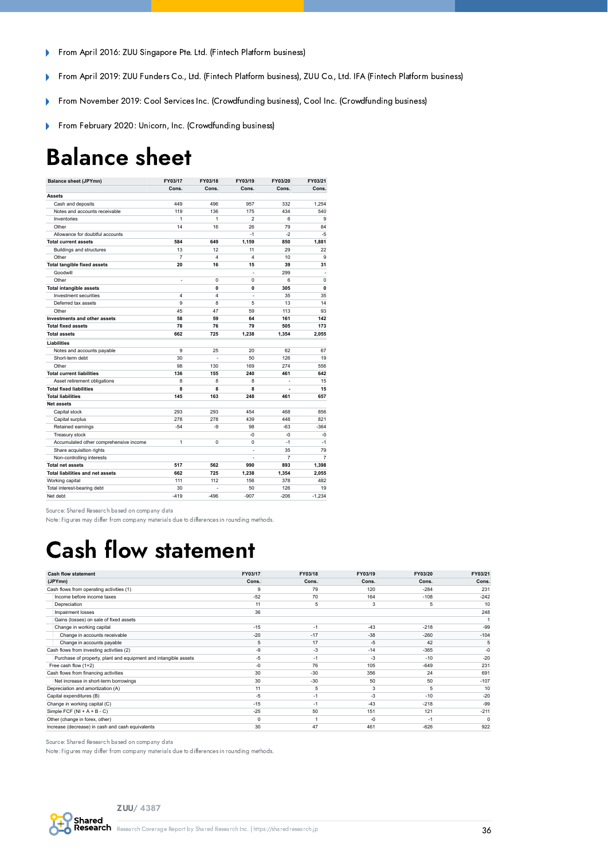- From April 2016: ZUU Singapore Pte. Ltd. (Fintech Platform business)  $\mathbf{r}$
- From April 2019: ZUU Funders Co., Ltd. (Fintech Platform business), ZUU Co., Ltd. IFA (Fintech Platform business)  $\overline{\phantom{a}}$
- From November 2019: Cool Services Inc. (Crowdfunding business), Cool Inc. (Crowdfunding business) b
- From February 2020: Unicorn, Inc. (Crowdfunding business) Þ

## <span id="page-35-0"></span>Balance sheet

| <b>Balance sheet (JPYmn)</b>            | FY03/17                  | FY03/18                 | FY03/19                 | FY03/20 | FY03/21        |
|-----------------------------------------|--------------------------|-------------------------|-------------------------|---------|----------------|
|                                         | Cons.                    | Cons.                   | Cons.                   | Cons.   | Cons.          |
| <b>Assets</b>                           |                          |                         |                         |         |                |
| Cash and deposits                       | 449                      | 496                     | 957                     | 332     | 1.254          |
| Notes and accounts receivable           | 119                      | 136                     | 175                     | 434     | 540            |
| Inventories                             | 1                        | 1                       | $\overline{2}$          | 6       | 9              |
| Other                                   | 14                       | 16                      | 26                      | 79      | 84             |
| Allowance for doubtful accounts         |                          |                         | $-1$                    | $-2$    | $-5$           |
| <b>Total current assets</b>             | 584                      | 649                     | 1,159                   | 850     | 1,881          |
| <b>Buildings and structures</b>         | 13                       | 12                      | 11                      | 29      | 22             |
| Other                                   | $\overline{7}$           | $\overline{\mathbf{4}}$ | $\overline{\mathbf{4}}$ | 10      | 9              |
| <b>Total tangible fixed assets</b>      | 20                       | 16                      | 15                      | 39      | 31             |
| Goodwill                                |                          |                         | L.                      | 299     |                |
| Other                                   | $\overline{\phantom{a}}$ | 0                       | $\Omega$                | 6       | $\mathbf 0$    |
| <b>Total intangible assets</b>          |                          | 0                       | 0                       | 305     | 0              |
| Investment securities                   | 4                        | $\overline{\mathbf{4}}$ | $\bar{a}$               | 35      | 35             |
| Deferred tax assets                     | 9                        | 8                       | 5                       | 13      | 14             |
| Other                                   | 45                       | 47                      | 59                      | 113     | 93             |
| Investments and other assets            | 58                       | 59                      | 64                      | 161     | 142            |
| <b>Total fixed assets</b>               | 78                       | 76                      | 79                      | 505     | 173            |
| <b>Total assets</b>                     | 662                      | 725                     | 1,238                   | 1,354   | 2,055          |
| <b>Liabilities</b>                      |                          |                         |                         |         |                |
| Notes and accounts payable              | 9                        | 25                      | 20                      | 62      | 67             |
| Short-term debt                         | 30                       | ÷.                      | 50                      | 126     | 19             |
| Other                                   | 98                       | 130                     | 169                     | 274     | 556            |
| <b>Total current liabilities</b>        | 136                      | 155                     | 240                     | 461     | 642            |
| Asset retirement obligations            | 8                        | 8                       | 8                       | L.      | 15             |
| <b>Total fixed liabilities</b>          | 8                        | 8                       | 8                       |         | 15             |
| <b>Total liabilities</b>                | 145                      | 163                     | 248                     | 461     | 657            |
| <b>Net assets</b>                       |                          |                         |                         |         |                |
| Capital stock                           | 293                      | 293                     | 454                     | 468     | 856            |
| Capital surplus                         | 278                      | 278                     | 439                     | 448     | 821            |
| Retained earnings                       | $-54$                    | -9                      | 98                      | $-63$   | $-364$         |
| Treasury stock                          |                          |                         | $-0$                    | $-0$    | $-0$           |
| Accumulated other comprehensive income  | 1                        | 0                       | 0                       | $-1$    | $-1$           |
| Share acquisition rights                |                          |                         | ä,                      | 35      | 79             |
| Non-controlling interests               |                          |                         | ٠                       | 7       | $\overline{7}$ |
| <b>Total net assets</b>                 | 517                      | 562                     | 990                     | 893     | 1,398          |
| <b>Total liabilities and net assets</b> | 662                      | 725                     | 1,238                   | 1,354   | 2.055          |
| Working capital                         | 111                      | 112                     | 156                     | 378     | 482            |
| Total interest-bearing debt             | 30                       | L.                      | 50                      | 126     | 19             |
| Net debt                                | $-419$                   | $-496$                  | $-907$                  | $-206$  | $-1.234$       |

Source: Shared Research based on company data

Note: Figures may differ from company materials due to differences in rounding methods.

## <span id="page-35-1"></span>Cash flow statement

| <b>Cash flow statement</b>                                      | FY03/17  | FY03/18 | FY03/19 | FY03/20 | FY03/21  |
|-----------------------------------------------------------------|----------|---------|---------|---------|----------|
| (JPYmn)                                                         | Cons.    | Cons.   | Cons.   | Cons.   | Cons.    |
| Cash flows from operating activities (1)                        | 9        | 79      | 120     | $-284$  | 231      |
| Income before income taxes                                      | $-52$    | 70      | 164     | $-108$  | $-242$   |
| Depreciation                                                    | 11       | 5       | 3       | 5       | 10       |
| Impairment losses                                               | 36       |         |         |         | 248      |
| Gains (losses) on sale of fixed assets                          |          |         |         |         |          |
| Change in working capital                                       | $-15$    | $-1$    | $-43$   | $-218$  | -99      |
| Change in accounts receivable                                   | $-20$    | $-17$   | $-38$   | $-260$  | $-104$   |
| Change in accounts payable                                      | 5        | 17      | $-5$    | 42      | 5        |
| Cash flows from investing activities (2)                        | $-9$     | $-3$    | $-14$   | $-365$  | $-0$     |
| Purchase of property, plant and equipment and intangible assets | $-5$     | $-1$    | $-3$    | $-10$   | $-20$    |
| Free cash flow (1+2)                                            | $-0$     | 76      | 105     | $-649$  | 231      |
| Cash flows from financing activities                            | 30       | $-30$   | 356     | 24      | 691      |
| Net increase in short-term borrowings                           | 30       | $-30$   | 50      | 50      | $-107$   |
| Depreciation and amortization (A)                               | 11       | 5       | 3       | 5       | 10       |
| Capital expenditures (B)                                        | $-5$     | $-1$    | $-3$    | $-10$   | $-20$    |
| Change in working capital (C)                                   | $-15$    | $-1$    | $-43$   | $-218$  | -99      |
| Simple FCF ( $NI + A + B - C$ )                                 | $-25$    | 50      | 151     | 121     | $-211$   |
| Other (change in forex, other)                                  | $\Omega$ |         | $-0$    | $-1$    | $\Omega$ |
| Increase (decrease) in cash and cash equivalents                | 30       | 47      | 461     | $-626$  | 922      |

Source: Shared Research based on company data

Note: Figures may differ from company materials due to differences in rounding methods.

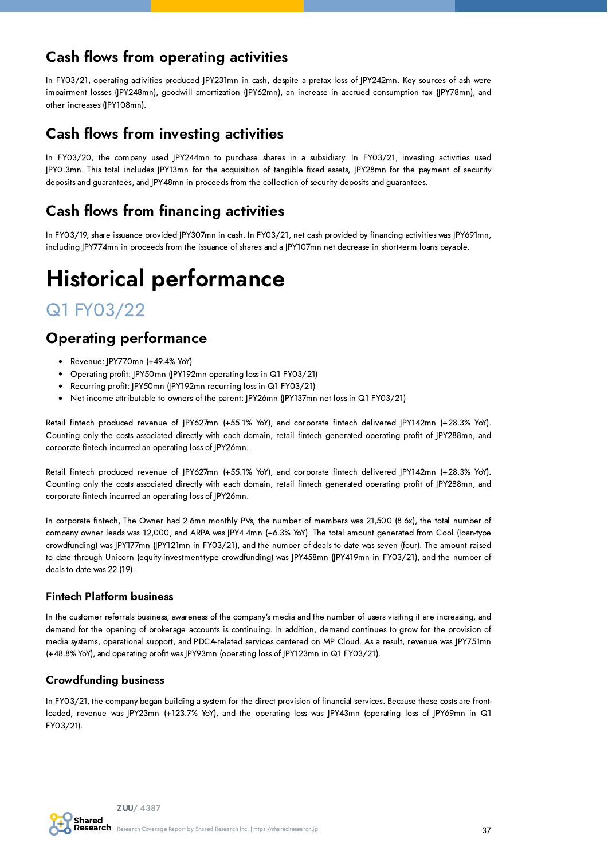## Cash flows from operating activities

In FY03/21, operating activities produced JPY231mn in cash, despite a pretax loss of JPY242mn. Key sources of ash were impairment losses (JPY248mn), goodwill amortization (JPY62mn), an increase in accrued consumption tax (JPY78mn), and other increases (JPY108mn).

### Cash flows from investing activities

In FY03/20, the company used JPY244mn to purchase shares in a subsidiary. In FY03/21, investing activities used JPY0.3mn. This total includes JPY13mn for the acquisition of tangible fixed assets, JPY28mn for the payment of security deposits and guarantees, and JPY48mn in proceeds from the collection of security deposits and guarantees.

## Cash flows from financing activities

In FY03/19, share issuance provided JPY307mn in cash. In FY03/21, net cash provided by financing activities was JPY691mn, including JPY774mn in proceeds from the issuance of shares and a JPY107mn net decrease in short-term loans payable.

# <span id="page-36-0"></span>Historical performance

## Q1 FY03/22

## Operating performance

- Revenue: JPY770mn (+49.4% YoY)  $\bullet$
- Operating profit: JPY50mn (JPY192mn operating loss in Q1 FY03/21)
- Recurring profit: JPY50mn (JPY192mn recurring loss in Q1 FY03/21)
- Net income attributable to owners of the parent: JPY26mn (JPY137mn net loss in Q1 FY03/21)

Retail fintech produced revenue of JPY627mn (+55.1% YoY), and corporate fintech delivered JPY142mn (+28.3% YoY). Counting only the costs associated directly with each domain, retail fintech generated operating profit of JPY288mn, and corporate fintech incurred an operating loss of JPY26mn.

Retail fintech produced revenue of JPY627mn (+55.1% YoY), and corporate fintech delivered JPY142mn (+28.3% YoY). Counting only the costs associated directly with each domain, retail fintech generated operating profit of JPY288mn, and corporate fintech incurred an operating loss of JPY26mn.

In corporate fintech, The Owner had 2.6mn monthly PVs, the number of members was 21,500 (8.6x), the total number of company owner leads was 12,000, and ARPA was JPY4.4mn (+6.3% YoY). The total amount generated from Cool (loan-type crowdfunding) was JPY177mn (JPY121mn in FY03/21), and the number of deals to date was seven (four). The amount raised to date through Unicorn (equity-investment-type crowdfunding) was JPY458mn (JPY419mn in FY03/21), and the number of deals to date was 22 (19).

#### Fintech Platform business

In the customer referrals business, awareness of the company's media and the number of users visiting it are increasing, and demand for the opening of brokerage accounts is continuing. In addition, demand continues to grow for the provision of media systems, operational support, and PDCA-related services centered on MP Cloud. As a result, revenue was JPY751mn (+48.8% YoY), and operating profit was JPY93mn (operating loss of JPY123mn in Q1 FY03/21).

#### Crowdfunding business

In FY03/21, the company began building a system for the direct provision of financial services. Because these costs are frontloaded, revenue was JPY23mn (+123.7% YoY), and the operating loss was JPY43mn (operating loss of JPY69mn in Q1 FY03/21).

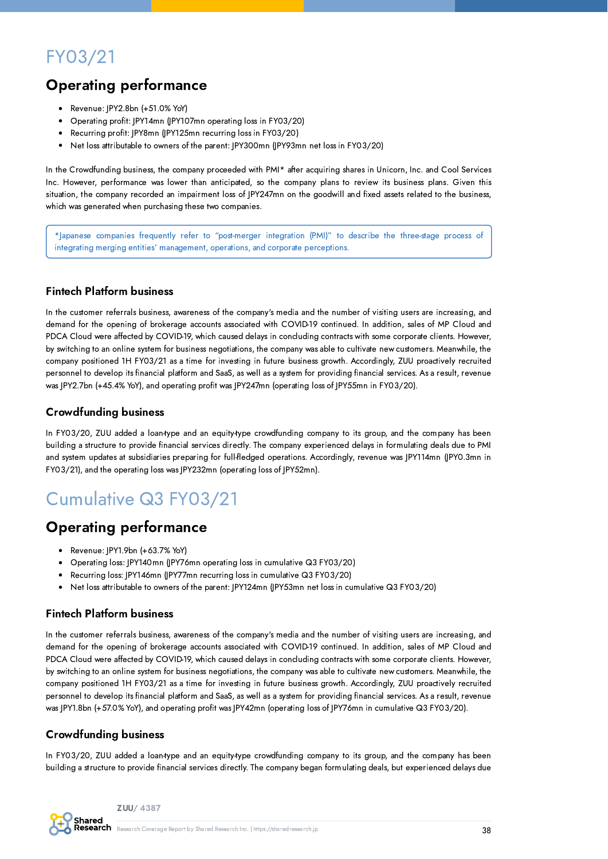## FY03/21

## Operating performance

- Revenue: JPY2.8bn (+51.0% YoY)
- Operating profit: JPY14mn (JPY107mn operating loss in FY03/20)
- Recurring profit: JPY8mn (JPY125mn recurring loss in FY03/20)
- Net loss attributable to owners of the parent: JPY300mn (JPY93mn net loss in FY03/20)  $\bullet$

In the Crowdfunding business, the company proceeded with PMI\* after acquiring shares in Unicorn, Inc. and Cool Services Inc. However, performance was lower than anticipated, so the company plans to review its business plans. Given this situation, the company recorded an impairment loss of JPY247mn on the goodwill and fixed assets related to the business, which was generated when purchasing these two companies.

\*Japanese companies frequently refer to "post-merger integration (PMI)" to describe the three-stage process of integrating merging entities' management, operations, and corporate perceptions.

#### Fintech Platform business

In the customer referrals business, awareness of the company's media and the number of visiting users are increasing, and demand for the opening of brokerage accounts associated with COVID-19 continued. In addition, sales of MP Cloud and PDCA Cloud were affected by COVID-19, which caused delays in concluding contracts with some corporate clients. However, by switching to an online system for business negotiations, the company was able to cultivate new customers. Meanwhile, the company positioned 1H FY03/21 as a time for investing in future business growth. Accordingly, ZUU proactively recruited personnel to develop its financial platform and SaaS, as well as a system for providing financial services. As a result, revenue was JPY2.7bn (+45.4% YoY), and operating profit was JPY247mn (operating loss of JPY55mn in FY03/20).

#### Crowdfunding business

In FY03/20, ZUU added a loan-type and an equity-type crowdfunding company to its group, and the company has been building a structure to provide financial services directly. The company experienced delays in formulating deals due to PMI and system updates at subsidiaries preparing for full-fledged operations. Accordingly, revenue was JPY114mn (JPY0.3mn in FY03/21), and the operating loss was JPY232mn (operating loss of JPY52mn).

## Cumulative Q3 FY03/21

### Operating performance

- Revenue: JPY1.9bn (+63.7% YoY)
- Operating loss: JPY140mn (JPY76mn operating loss in cumulative Q3 FY03/20)
- Recurring loss: JPY146mn (JPY77mn recurring loss in cumulative Q3 FY03/20)
- Net loss attributable to owners of the parent: JPY124mn (JPY53mn net loss in cumulative Q3 FY03/20)

#### Fintech Platform business

In the customer referrals business, awareness of the company's media and the number of visiting users are increasing, and demand for the opening of brokerage accounts associated with COVID-19 continued. In addition, sales of MP Cloud and PDCA Cloud were affected by COVID-19, which caused delays in concluding contracts with some corporate clients. However, by switching to an online system for business negotiations, the company was able to cultivate new customers. Meanwhile, the company positioned 1H FY03/21 as a time for investing in future business growth. Accordingly, ZUU proactively recruited personnel to develop its financial platform and SaaS, as well as a system for providing financial services. As a result, revenue was JPY1.8bn (+57.0% YoY), and operating profit was JPY42mn (operating loss of JPY76mn in cumulative Q3 FY03/20).

#### Crowdfunding business

In FY03/20, ZUU added a loan-type and an equity-type crowdfunding company to its group, and the company has been building a structure to provide financial services directly. The company began formulating deals, but experienced delays due

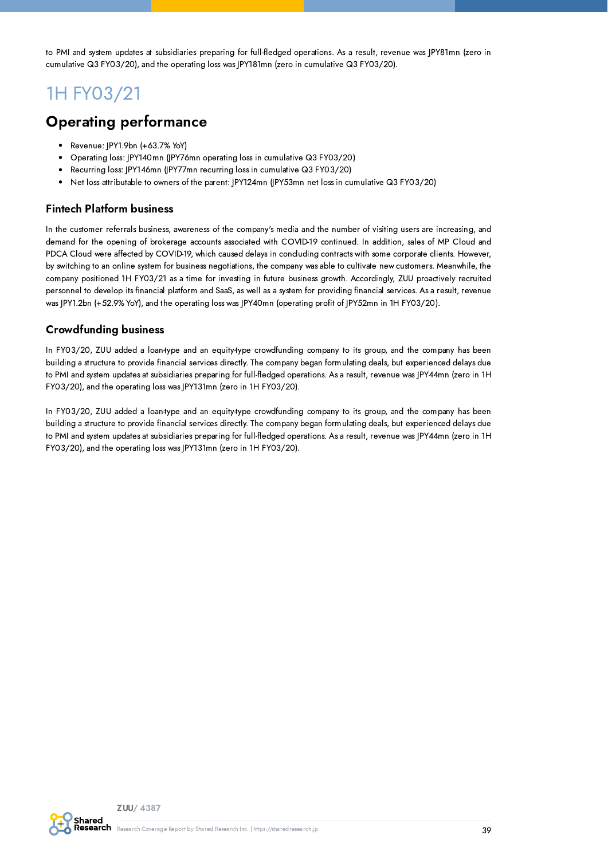to PMI and system updates at subsidiaries preparing for full-fledged operations. As a result, revenue was JPY81mn (zero in cumulative Q3 FY03/20), and the operating loss was JPY181mn (zero in cumulative Q3 FY03/20).

## 1H FY03/21

### Operating performance

- Revenue: JPY1.9bn (+63.7% YoY)
- Operating loss: JPY140mn (JPY76mn operating loss in cumulative Q3 FY03/20)
- Recurring loss: JPY146mn (JPY77mn recurring loss in cumulative Q3 FY03/20)
- Net loss attributable to owners of the parent: JPY124mn (JPY53mn net loss in cumulative Q3 FY03/20)

#### Fintech Platform business

In the customer referrals business, awareness of the company's media and the number of visiting users are increasing, and demand for the opening of brokerage accounts associated with COVID-19 continued. In addition, sales of MP Cloud and PDCA Cloud were affected by COVID-19, which caused delays in concluding contracts with some corporate clients. However, by switching to an online system for business negotiations, the company was able to cultivate new customers. Meanwhile, the company positioned 1H FY03/21 as a time for investing in future business growth. Accordingly, ZUU proactively recruited personnel to develop its financial platform and SaaS, as well as a system for providing financial services. As a result, revenue was JPY1.2bn (+52.9% YoY), and the operating loss was JPY40mn (operating profit of JPY52mn in 1H FY03/20).

#### Crowdfunding business

In FY03/20, ZUU added a loan-type and an equity-type crowdfunding company to its group, and the company has been building a structure to provide financial services directly. The company began formulating deals, but experienced delays due to PMI and system updates at subsidiaries preparing for full-fledged operations. As a result, revenue was JPY44mn (zero in 1H FY03/20), and the operating loss was JPY131mn (zero in 1H FY03/20).

In FY03/20, ZUU added a loan-type and an equity-type crowdfunding company to its group, and the company has been building a structure to provide financial services directly. The company began formulating deals, but experienced delays due to PMI and system updates at subsidiaries preparing for full-fledged operations. As a result, revenue was JPY44mn (zero in 1H FY03/20), and the operating loss was JPY131mn (zero in 1H FY03/20).

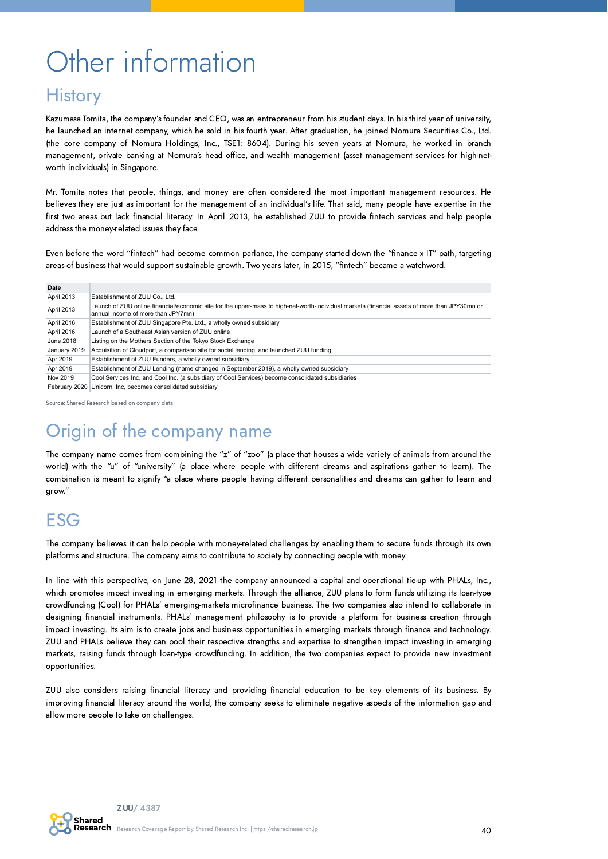# <span id="page-39-0"></span>Other information

## **History**

Kazumasa Tomita, the company's founder and CEO, was an entrepreneur from his student days. In his third year of university, he launched an internet company, which he sold in his fourth year. After graduation, he joined Nomura Securities Co., Ltd. (the core company of Nomura Holdings, Inc., TSE1: 8604). During his seven years at Nomura, he worked in branch management, private banking at Nomura's head office, and wealth management (asset management services for high-networth individuals) in Singapore.

Mr. Tomita notes that people, things, and money are often considered the most important management resources. He believes they are just as important for the management of an individual's life. That said, many people have expertise in the first two areas but lack financial literacy. In April 2013, he established ZUU to provide fintech services and help people address the money-related issues they face.

Even before the word "fintech" had become common parlance, the company started down the "finance x IT" path, targeting areas of business that would support sustainable growth. Two years later, in 2015, "fintech" became a watchword.

| Date          |                                                                                                                                                                                      |
|---------------|--------------------------------------------------------------------------------------------------------------------------------------------------------------------------------------|
| April 2013    | Establishment of ZUU Co., Ltd.                                                                                                                                                       |
| April 2013    | Launch of ZUU online financial/economic site for the upper-mass to high-net-worth-individual markets (financial assets of more than JPY30mn or<br>annual income of more than JPY7mn) |
| April 2016    | Establishment of ZUU Singapore Pte. Ltd., a wholly owned subsidiary                                                                                                                  |
| April 2016    | Launch of a Southeast Asian version of ZUU online                                                                                                                                    |
| June 2018     | Listing on the Mothers Section of the Tokyo Stock Exchange                                                                                                                           |
| January 2019  | Acquisition of Cloudport, a comparison site for social lending, and launched ZUU funding                                                                                             |
| Apr 2019      | Establishment of ZUU Funders, a wholly owned subsidiary                                                                                                                              |
| Apr 2019      | Establishment of ZUU Lending (name changed in September 2019), a wholly owned subsidiary                                                                                             |
| Nov 2019      | Cool Services Inc. and Cool Inc. (a subsidiary of Cool Services) become consolidated subsidiaries                                                                                    |
| February 2020 | Unicorn, Inc, becomes consolidated subsidiary                                                                                                                                        |

Source: Shared Research based on company data

## Origin of the company name

The company name comes from combining the "z" of "zoo" (a place that houses a wide variety of animals from around the world) with the "u" of "university" (a place where people with different dreams and aspirations gather to learn). The combination is meant to signify "a place where people having different personalities and dreams can gather to learn and grow."

## ESG

The company believes it can help people with money-related challenges by enabling them to secure funds through its own platforms and structure. The company aims to contribute to society by connecting people with money.

In line with this perspective, on June 28, 2021 the company announced a capital and operational tie-up with PHALs, Inc., which promotes impact investing in emerging markets. Through the alliance, ZUU plans to form funds utilizing its loan-type crowdfunding (Cool) for PHALs' emerging-markets microfinance business. The two companies also intend to collaborate in designing financial instruments. PHALs' management philosophy is to provide a platform for business creation through impact investing. Its aim is to create jobs and business opportunities in emerging markets through finance and technology. ZUU and PHALs believe they can pool their respective strengths and expertise to strengthen impact investing in emerging markets, raising funds through loan-type crowdfunding. In addition, the two companies expect to provide new investment opportunities.

ZUU also considers raising financial literacy and providing financial education to be key elements of its business. By improving financial literacy around the world, the company seeks to eliminate negative aspects of the information gap and allow more people to take on challenges.

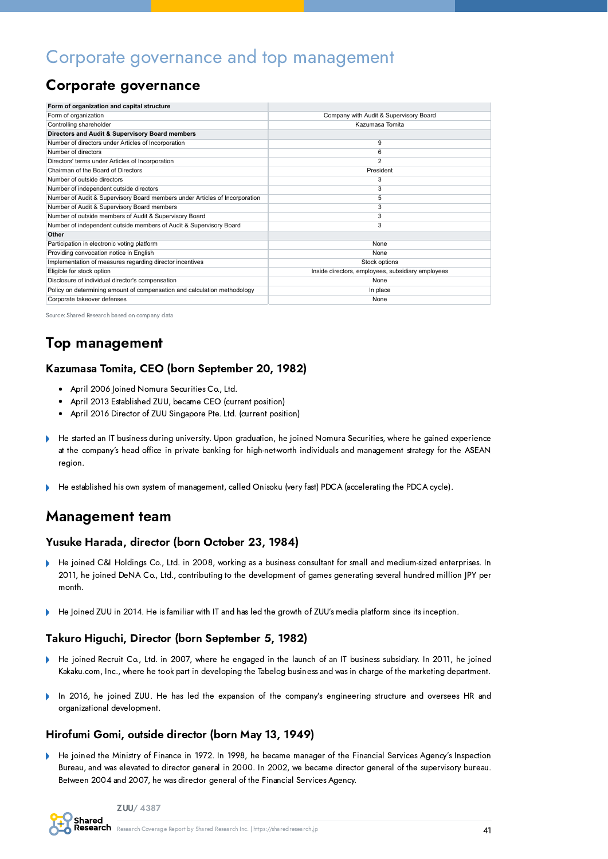## Corporate governance and top management

### Corporate governance

| Form of organization and capital structure                                  |                                                   |
|-----------------------------------------------------------------------------|---------------------------------------------------|
| Form of organization                                                        | Company with Audit & Supervisory Board            |
| Controlling shareholder                                                     | Kazumasa Tomita                                   |
| Directors and Audit & Supervisory Board members                             |                                                   |
| Number of directors under Articles of Incorporation                         | 9                                                 |
| Number of directors                                                         | 6                                                 |
| Directors' terms under Articles of Incorporation                            | $\overline{2}$                                    |
| Chairman of the Board of Directors                                          | President                                         |
| Number of outside directors                                                 | 3                                                 |
| Number of independent outside directors                                     | 3                                                 |
| Number of Audit & Supervisory Board members under Articles of Incorporation | 5                                                 |
| Number of Audit & Supervisory Board members                                 | 3                                                 |
| Number of outside members of Audit & Supervisory Board                      | 3                                                 |
| Number of independent outside members of Audit & Supervisory Board          | 3                                                 |
| Other                                                                       |                                                   |
| Participation in electronic voting platform                                 | None                                              |
| Providing convocation notice in English                                     | None                                              |
| Implementation of measures regarding director incentives                    | Stock options                                     |
| Eligible for stock option                                                   | Inside directors, employees, subsidiary employees |
| Disclosure of individual director's compensation                            | None                                              |
| Policy on determining amount of compensation and calculation methodology    | In place                                          |
| Corporate takeover defenses                                                 | None                                              |

Source: Shared Research based on company data

## Top management

#### Kazumasa Tomita, CEO (born September 20, 1982)

- April 2006 Joined Nomura Securities Co., Ltd.
- April 2013 Established ZUU, became CEO (current position)
- April 2016 Director of ZUU Singapore Pte. Ltd. (current position)  $\bullet$
- $\overline{a}$ He started an IT business during university. Upon graduation, he joined Nomura Securities, where he gained experience at the company's head office in private banking for high-net-worth individuals and management strategy for the ASEAN region.
- He established his own system of management, called Onisoku (very fast) PDCA (accelerating the PDCA cycle).

### Management team

#### Yusuke Harada, director (born October 23, 1984)

- He joined C&I Holdings Co., Ltd. in 2008, working as a business consultant for small and medium-sized enterprises. In 2011, he joined DeNA Co., Ltd., contributing to the development of games generating several hundred million JPY per month.
- He Joined ZUU in 2014. He is familiar with IT and has led the growth of ZUU's media platform since its inception.

#### Takuro Higuchi, Director (born September 5, 1982)

- $\mathbf{h}$ He joined Recruit Co., Ltd. in 2007, where he engaged in the launch of an IT business subsidiary. In 2011, he joined Kakaku.com, Inc., where he took part in developing the Tabelog business and was in charge of the marketing department.
- In 2016, he joined ZUU. He has led the expansion of the company's engineering structure and oversees HR and b organizational development.

#### Hirofumi Gomi, outside director (born May 13, 1949)

He joined the Ministry of Finance in 1972. In 1998, he became manager of the Financial Services Agency's Inspection Bureau, and was elevated to director general in 2000. In 2002, we became director general of the supervisory bureau. Between 2004 and 2007, he was director general of the Financial Services Agency.

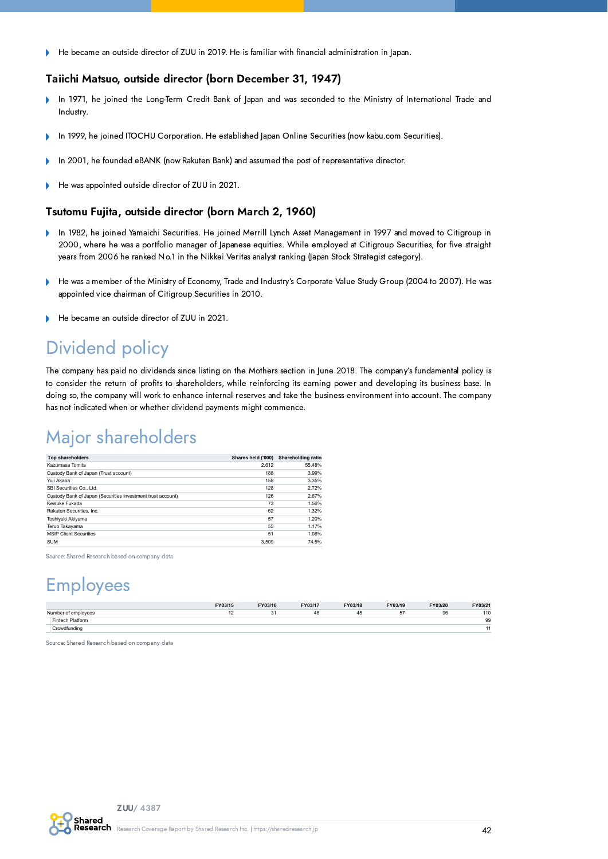He became an outside director of ZUU in 2019. He is familiar with financial administration in Japan. Þ

#### Taiichi Matsuo, outside director (born December 31, 1947)

- In 1971, he joined the Long-Term Credit Bank of Japan and was seconded to the Ministry of International Trade and b Industry.
- In 1999, he joined ITOCHU Corporation. He established Japan Online Securities (now kabu.com Securities). Þ
- In 2001, he founded eBANK (now Rakuten Bank) and assumed the post of representative director.
- He was appointed outside director of ZUU in 2021.

#### Tsutomu Fujita, outside director (born March 2, 1960)

- In 1982, he joined Yamaichi Securities. He joined Merrill Lynch Asset Management in 1997 and moved to Citigroup in ¥ 2000, where he was a portfolio manager of Japanese equities. While employed at Citigroup Securities, for five straight years from 2006 he ranked No.1 in the Nikkei Veritas analyst ranking (Japan Stock Strategist category).
- He was a member of the Ministry of Economy, Trade and Industry's Corporate Value Study Group (2004 to 2007). He was Þ appointed vice chairman of Citigroup Securities in 2010.
- He became an outside director of ZUU in 2021.  $\overline{a}$

## Dividend policy

The company has paid no dividends since listing on the Mothers section in June 2018. The company's fundamental policy is to consider the return of profits to shareholders, while reinforcing its earning power and developing its business base. In doing so, the company will work to enhance internal reserves and take the business environment into account. The company has not indicated when or whether dividend payments might commence.

## Major shareholders

| <b>Top shareholders</b>                                     | Shares held ('000) | Shareholding ratio |
|-------------------------------------------------------------|--------------------|--------------------|
| Kazumasa Tomita                                             | 2.612              | 55.48%             |
| Custody Bank of Japan (Trust account)                       | 188                | 3.99%              |
| Yuii Akaba                                                  | 158                | 3.35%              |
| SBI Securities Co., Ltd.                                    | 128                | 2.72%              |
| Custody Bank of Japan (Securities investment trust account) | 126                | 2.67%              |
| Keisuke Fukada                                              | 73                 | 1.56%              |
| Rakuten Securities, Inc.                                    | 62                 | 1.32%              |
| Toshiyuki Akiyama                                           | 57                 | 1.20%              |
| Teruo Takayama                                              | 55                 | 1.17%              |
| <b>MSIP Client Securities</b>                               | 51                 | 1.08%              |
| <b>SUM</b>                                                  | 3.509              | 74.5%              |

Source: Shared Research based on company data

## Employees

|                     | FY03/15 | FY03/16        | FY03/17 | FY03/18 | FY03/19 | FY03/20 | FY03/21 |
|---------------------|---------|----------------|---------|---------|---------|---------|---------|
| Number of employees |         | 3 <sup>1</sup> | 46      | -45     | 57      | 96      | 110     |
| Fintech Platform    |         |                |         |         |         |         | 99      |
| Crowdfunding        |         |                |         |         |         |         | 44      |
|                     |         |                |         |         |         |         |         |

Source: Shared Research based on company data

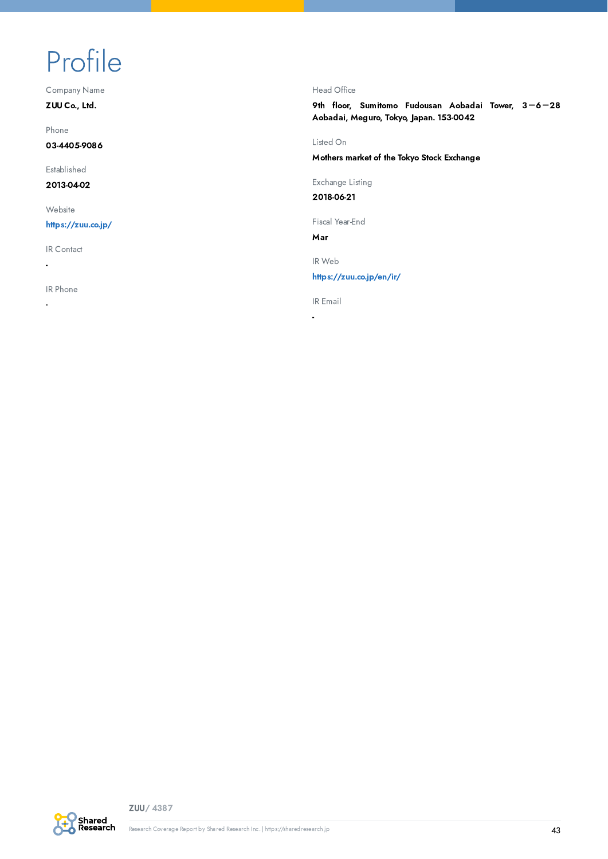# <span id="page-42-0"></span>Profile

Company Name

ZUU Co., Ltd.

Phone

03-4405-9086

Established

2013-04-02

**Website** 

<https://zuu.co.jp/>

IR Contact

IR Phone

-

-

#### Head Office

9th floor, Sumitomo Fudousan Aobadai Tower, 3-6-28 Aobadai, Meguro, Tokyo, Japan. 153-0042

Listed On

Mothers market of the Tokyo Stock Exchange

Exchange Listing

2018-06-21

Fiscal Year-End

Mar

IR Web

<https://zuu.co.jp/en/ir/>

IR Email

-